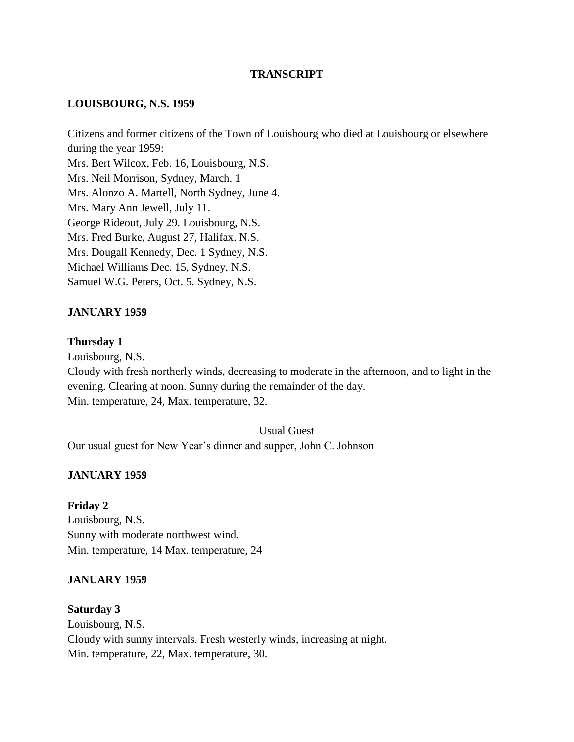### **TRANSCRIPT**

#### **LOUISBOURG, N.S. 1959**

Citizens and former citizens of the Town of Louisbourg who died at Louisbourg or elsewhere during the year 1959: Mrs. Bert Wilcox, Feb. 16, Louisbourg, N.S. Mrs. Neil Morrison, Sydney, March. 1 Mrs. Alonzo A. Martell, North Sydney, June 4. Mrs. Mary Ann Jewell, July 11. George Rideout, July 29. Louisbourg, N.S. Mrs. Fred Burke, August 27, Halifax. N.S. Mrs. Dougall Kennedy, Dec. 1 Sydney, N.S. Michael Williams Dec. 15, Sydney, N.S. Samuel W.G. Peters, Oct. 5. Sydney, N.S.

### **JANUARY 1959**

#### **Thursday 1**

Louisbourg, N.S.

Cloudy with fresh northerly winds, decreasing to moderate in the afternoon, and to light in the evening. Clearing at noon. Sunny during the remainder of the day. Min. temperature, 24, Max. temperature, 32.

Usual Guest

Our usual guest for New Year's dinner and supper, John C. Johnson

#### **JANUARY 1959**

**Friday 2** Louisbourg, N.S. Sunny with moderate northwest wind. Min. temperature, 14 Max. temperature, 24

#### **JANUARY 1959**

**Saturday 3** Louisbourg, N.S. Cloudy with sunny intervals. Fresh westerly winds, increasing at night. Min. temperature, 22, Max. temperature, 30.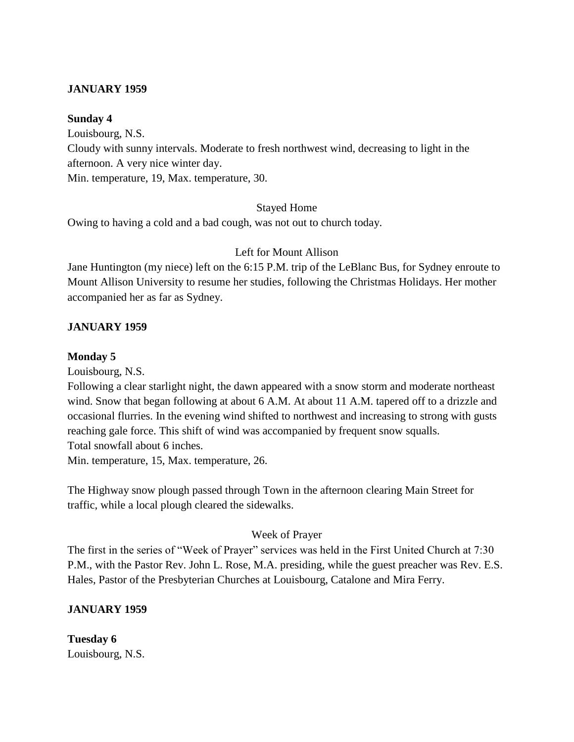### **JANUARY 1959**

#### **Sunday 4**

Louisbourg, N.S. Cloudy with sunny intervals. Moderate to fresh northwest wind, decreasing to light in the afternoon. A very nice winter day. Min. temperature, 19, Max. temperature, 30.

#### Stayed Home

Owing to having a cold and a bad cough, was not out to church today.

#### Left for Mount Allison

Jane Huntington (my niece) left on the 6:15 P.M. trip of the LeBlanc Bus, for Sydney enroute to Mount Allison University to resume her studies, following the Christmas Holidays. Her mother accompanied her as far as Sydney.

#### **JANUARY 1959**

#### **Monday 5**

Louisbourg, N.S.

Following a clear starlight night, the dawn appeared with a snow storm and moderate northeast wind. Snow that began following at about 6 A.M. At about 11 A.M. tapered off to a drizzle and occasional flurries. In the evening wind shifted to northwest and increasing to strong with gusts reaching gale force. This shift of wind was accompanied by frequent snow squalls. Total snowfall about 6 inches.

Min. temperature, 15, Max. temperature, 26.

The Highway snow plough passed through Town in the afternoon clearing Main Street for traffic, while a local plough cleared the sidewalks.

#### Week of Prayer

The first in the series of "Week of Prayer" services was held in the First United Church at 7:30 P.M., with the Pastor Rev. John L. Rose, M.A. presiding, while the guest preacher was Rev. E.S. Hales, Pastor of the Presbyterian Churches at Louisbourg, Catalone and Mira Ferry.

### **JANUARY 1959**

**Tuesday 6** Louisbourg, N.S.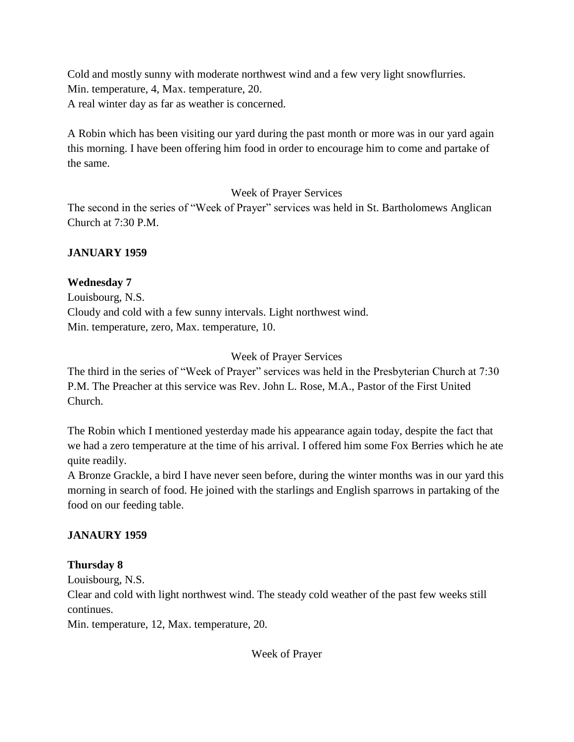Cold and mostly sunny with moderate northwest wind and a few very light snowflurries. Min. temperature, 4, Max. temperature, 20. A real winter day as far as weather is concerned.

A Robin which has been visiting our yard during the past month or more was in our yard again this morning. I have been offering him food in order to encourage him to come and partake of the same.

Week of Prayer Services

The second in the series of "Week of Prayer" services was held in St. Bartholomews Anglican Church at 7:30 P.M.

## **JANUARY 1959**

## **Wednesday 7**

Louisbourg, N.S. Cloudy and cold with a few sunny intervals. Light northwest wind. Min. temperature, zero, Max. temperature, 10.

## Week of Prayer Services

The third in the series of "Week of Prayer" services was held in the Presbyterian Church at 7:30 P.M. The Preacher at this service was Rev. John L. Rose, M.A., Pastor of the First United Church.

The Robin which I mentioned yesterday made his appearance again today, despite the fact that we had a zero temperature at the time of his arrival. I offered him some Fox Berries which he ate quite readily.

A Bronze Grackle, a bird I have never seen before, during the winter months was in our yard this morning in search of food. He joined with the starlings and English sparrows in partaking of the food on our feeding table.

## **JANAURY 1959**

## **Thursday 8**

Louisbourg, N.S.

Clear and cold with light northwest wind. The steady cold weather of the past few weeks still continues.

Min. temperature, 12, Max. temperature, 20.

Week of Prayer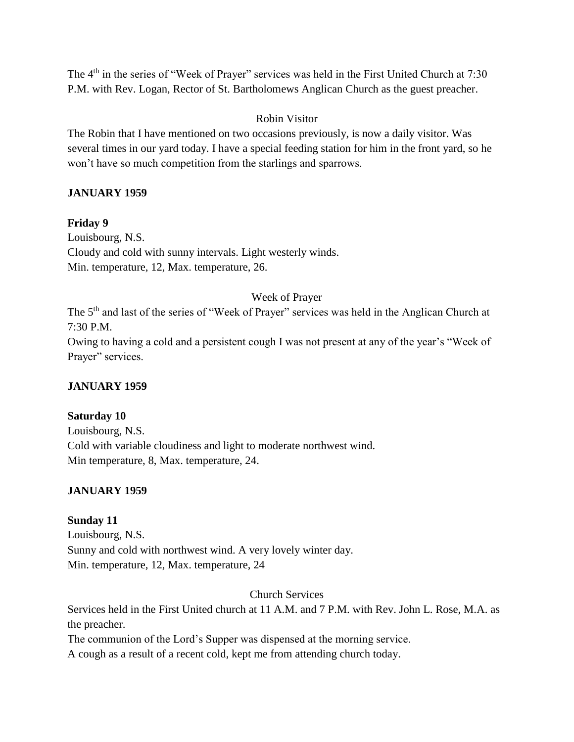The 4<sup>th</sup> in the series of "Week of Prayer" services was held in the First United Church at 7:30 P.M. with Rev. Logan, Rector of St. Bartholomews Anglican Church as the guest preacher.

### Robin Visitor

The Robin that I have mentioned on two occasions previously, is now a daily visitor. Was several times in our yard today. I have a special feeding station for him in the front yard, so he won't have so much competition from the starlings and sparrows.

## **JANUARY 1959**

### **Friday 9**

Louisbourg, N.S. Cloudy and cold with sunny intervals. Light westerly winds. Min. temperature, 12, Max. temperature, 26.

### Week of Prayer

The 5<sup>th</sup> and last of the series of "Week of Prayer" services was held in the Anglican Church at 7:30 P.M.

Owing to having a cold and a persistent cough I was not present at any of the year's "Week of Prayer" services.

### **JANUARY 1959**

### **Saturday 10**

Louisbourg, N.S. Cold with variable cloudiness and light to moderate northwest wind. Min temperature, 8, Max. temperature, 24.

### **JANUARY 1959**

## **Sunday 11**

Louisbourg, N.S. Sunny and cold with northwest wind. A very lovely winter day. Min. temperature, 12, Max. temperature, 24

Church Services

Services held in the First United church at 11 A.M. and 7 P.M. with Rev. John L. Rose, M.A. as the preacher.

The communion of the Lord's Supper was dispensed at the morning service.

A cough as a result of a recent cold, kept me from attending church today.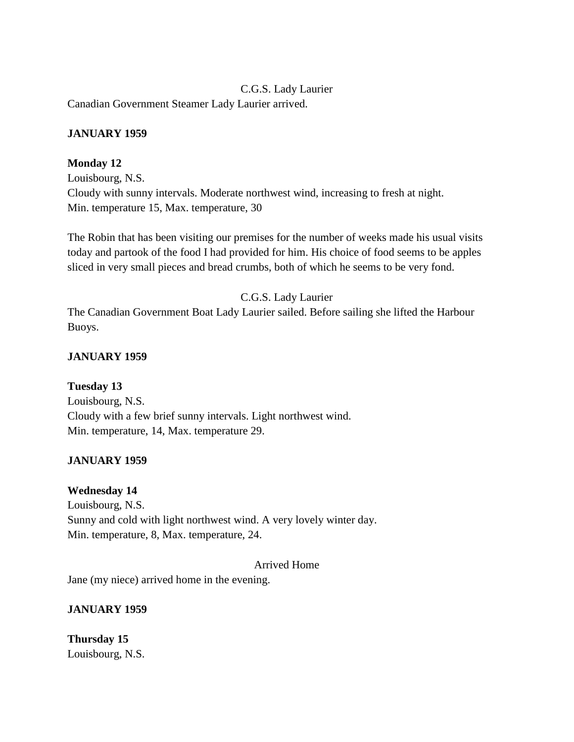C.G.S. Lady Laurier Canadian Government Steamer Lady Laurier arrived.

## **JANUARY 1959**

## **Monday 12**

Louisbourg, N.S. Cloudy with sunny intervals. Moderate northwest wind, increasing to fresh at night. Min. temperature 15, Max. temperature, 30

The Robin that has been visiting our premises for the number of weeks made his usual visits today and partook of the food I had provided for him. His choice of food seems to be apples sliced in very small pieces and bread crumbs, both of which he seems to be very fond.

## C.G.S. Lady Laurier

The Canadian Government Boat Lady Laurier sailed. Before sailing she lifted the Harbour Buoys.

## **JANUARY 1959**

### **Tuesday 13**

Louisbourg, N.S. Cloudy with a few brief sunny intervals. Light northwest wind. Min. temperature, 14, Max. temperature 29.

## **JANUARY 1959**

### **Wednesday 14**

Louisbourg, N.S. Sunny and cold with light northwest wind. A very lovely winter day. Min. temperature, 8, Max. temperature, 24.

### Arrived Home

Jane (my niece) arrived home in the evening.

### **JANUARY 1959**

**Thursday 15** Louisbourg, N.S.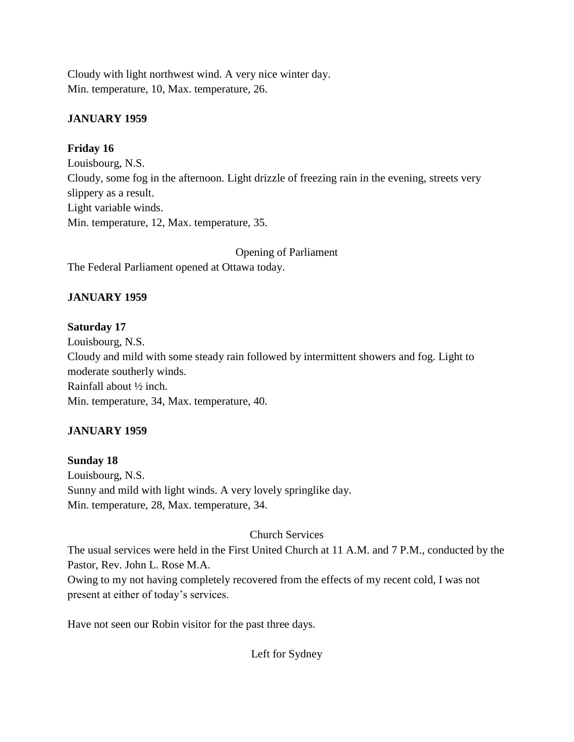Cloudy with light northwest wind. A very nice winter day. Min. temperature, 10, Max. temperature, 26.

## **JANUARY 1959**

### **Friday 16**

Louisbourg, N.S. Cloudy, some fog in the afternoon. Light drizzle of freezing rain in the evening, streets very slippery as a result. Light variable winds. Min. temperature, 12, Max. temperature, 35.

Opening of Parliament

The Federal Parliament opened at Ottawa today.

## **JANUARY 1959**

## **Saturday 17**

Louisbourg, N.S. Cloudy and mild with some steady rain followed by intermittent showers and fog. Light to moderate southerly winds. Rainfall about ½ inch. Min. temperature, 34, Max. temperature, 40.

## **JANUARY 1959**

# **Sunday 18**

Louisbourg, N.S. Sunny and mild with light winds. A very lovely springlike day. Min. temperature, 28, Max. temperature, 34.

## Church Services

The usual services were held in the First United Church at 11 A.M. and 7 P.M., conducted by the Pastor, Rev. John L. Rose M.A.

Owing to my not having completely recovered from the effects of my recent cold, I was not present at either of today's services.

Have not seen our Robin visitor for the past three days.

Left for Sydney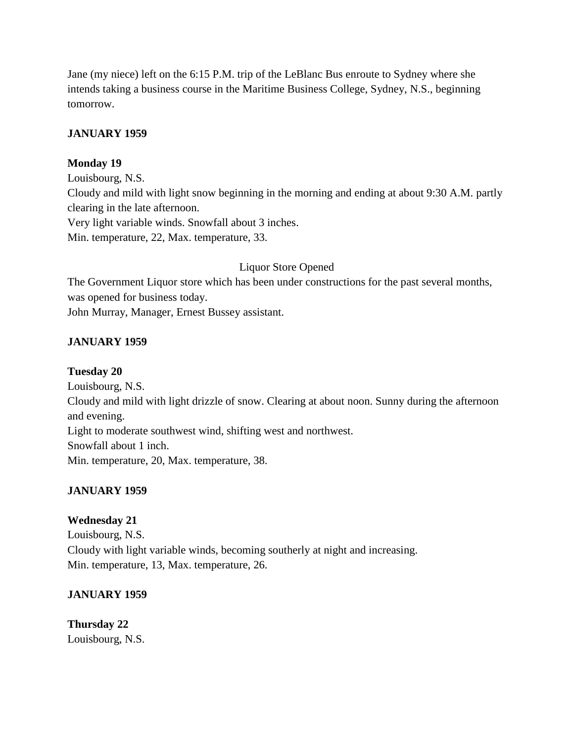Jane (my niece) left on the 6:15 P.M. trip of the LeBlanc Bus enroute to Sydney where she intends taking a business course in the Maritime Business College, Sydney, N.S., beginning tomorrow.

### **JANUARY 1959**

### **Monday 19**

Louisbourg, N.S. Cloudy and mild with light snow beginning in the morning and ending at about 9:30 A.M. partly clearing in the late afternoon. Very light variable winds. Snowfall about 3 inches. Min. temperature, 22, Max. temperature, 33.

## Liquor Store Opened

The Government Liquor store which has been under constructions for the past several months, was opened for business today.

John Murray, Manager, Ernest Bussey assistant.

## **JANUARY 1959**

### **Tuesday 20**

Louisbourg, N.S. Cloudy and mild with light drizzle of snow. Clearing at about noon. Sunny during the afternoon and evening. Light to moderate southwest wind, shifting west and northwest. Snowfall about 1 inch. Min. temperature, 20, Max. temperature, 38.

## **JANUARY 1959**

## **Wednesday 21**

Louisbourg, N.S. Cloudy with light variable winds, becoming southerly at night and increasing. Min. temperature, 13, Max. temperature, 26.

## **JANUARY 1959**

#### **Thursday 22** Louisbourg, N.S.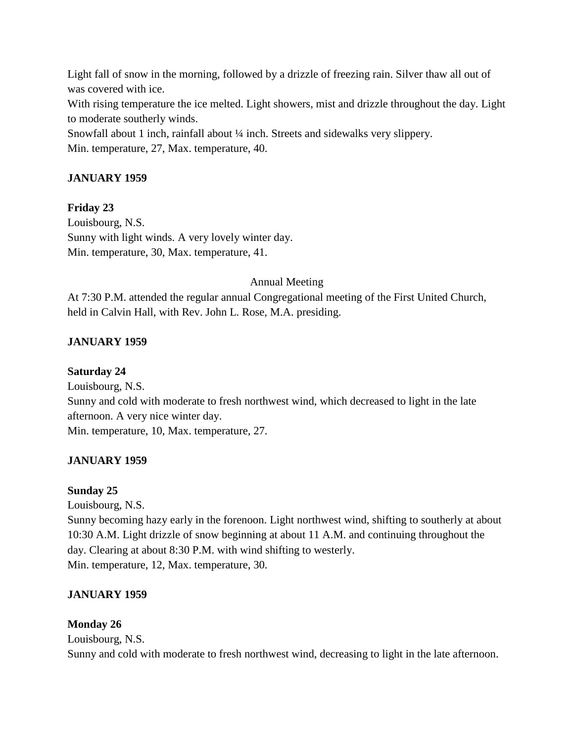Light fall of snow in the morning, followed by a drizzle of freezing rain. Silver thaw all out of was covered with ice. With rising temperature the ice melted. Light showers, mist and drizzle throughout the day. Light to moderate southerly winds. Snowfall about 1 inch, rainfall about ¼ inch. Streets and sidewalks very slippery. Min. temperature, 27, Max. temperature, 40.

## **JANUARY 1959**

### **Friday 23**

Louisbourg, N.S. Sunny with light winds. A very lovely winter day. Min. temperature, 30, Max. temperature, 41.

### Annual Meeting

At 7:30 P.M. attended the regular annual Congregational meeting of the First United Church, held in Calvin Hall, with Rev. John L. Rose, M.A. presiding.

### **JANUARY 1959**

### **Saturday 24**

Louisbourg, N.S. Sunny and cold with moderate to fresh northwest wind, which decreased to light in the late afternoon. A very nice winter day. Min. temperature, 10, Max. temperature, 27.

### **JANUARY 1959**

#### **Sunday 25**

Louisbourg, N.S.

Sunny becoming hazy early in the forenoon. Light northwest wind, shifting to southerly at about 10:30 A.M. Light drizzle of snow beginning at about 11 A.M. and continuing throughout the day. Clearing at about 8:30 P.M. with wind shifting to westerly. Min. temperature, 12, Max. temperature, 30.

### **JANUARY 1959**

### **Monday 26**

Louisbourg, N.S. Sunny and cold with moderate to fresh northwest wind, decreasing to light in the late afternoon.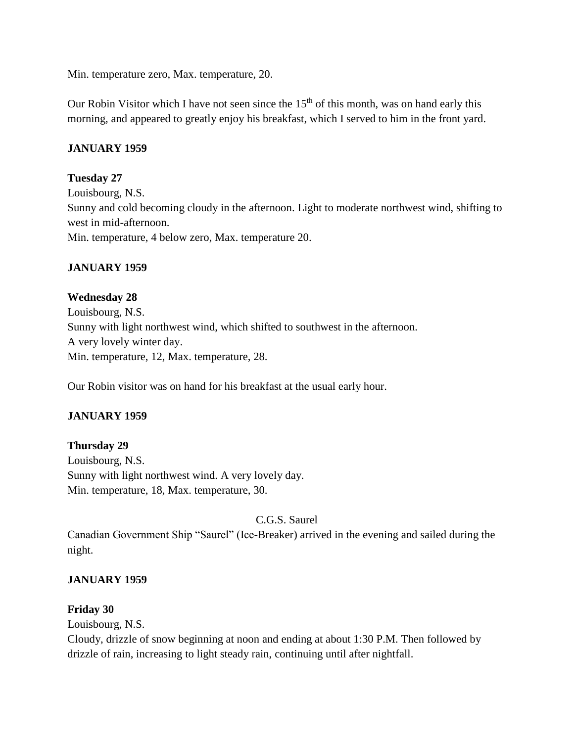Min. temperature zero, Max. temperature, 20.

Our Robin Visitor which I have not seen since the  $15<sup>th</sup>$  of this month, was on hand early this morning, and appeared to greatly enjoy his breakfast, which I served to him in the front yard.

### **JANUARY 1959**

### **Tuesday 27**

Louisbourg, N.S. Sunny and cold becoming cloudy in the afternoon. Light to moderate northwest wind, shifting to west in mid-afternoon. Min. temperature, 4 below zero, Max. temperature 20.

### **JANUARY 1959**

**Wednesday 28** Louisbourg, N.S. Sunny with light northwest wind, which shifted to southwest in the afternoon. A very lovely winter day. Min. temperature, 12, Max. temperature, 28.

Our Robin visitor was on hand for his breakfast at the usual early hour.

## **JANUARY 1959**

### **Thursday 29**

Louisbourg, N.S. Sunny with light northwest wind. A very lovely day. Min. temperature, 18, Max. temperature, 30.

C.G.S. Saurel

Canadian Government Ship "Saurel" (Ice-Breaker) arrived in the evening and sailed during the night.

### **JANUARY 1959**

### **Friday 30**

Louisbourg, N.S.

Cloudy, drizzle of snow beginning at noon and ending at about 1:30 P.M. Then followed by drizzle of rain, increasing to light steady rain, continuing until after nightfall.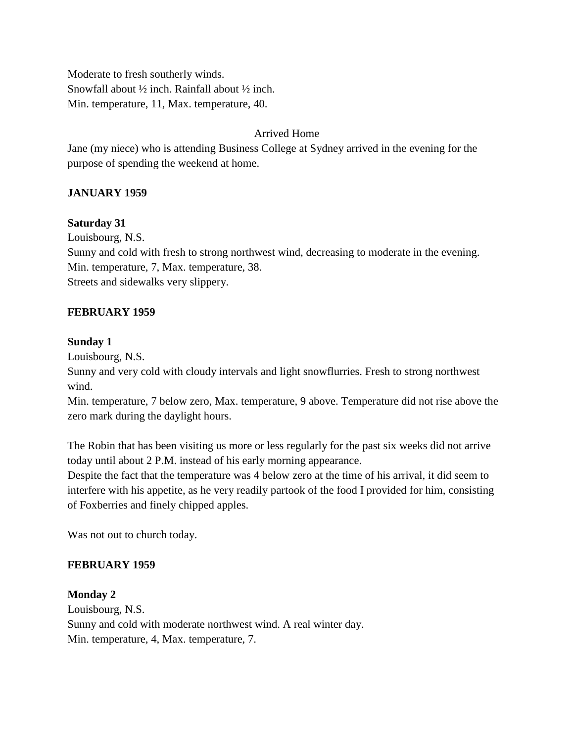Moderate to fresh southerly winds. Snowfall about ½ inch. Rainfall about ½ inch. Min. temperature, 11, Max. temperature, 40.

## Arrived Home

Jane (my niece) who is attending Business College at Sydney arrived in the evening for the purpose of spending the weekend at home.

## **JANUARY 1959**

### **Saturday 31**

Louisbourg, N.S. Sunny and cold with fresh to strong northwest wind, decreasing to moderate in the evening. Min. temperature, 7, Max. temperature, 38. Streets and sidewalks very slippery.

### **FEBRUARY 1959**

### **Sunday 1**

Louisbourg, N.S.

Sunny and very cold with cloudy intervals and light snowflurries. Fresh to strong northwest wind.

Min. temperature, 7 below zero, Max. temperature, 9 above. Temperature did not rise above the zero mark during the daylight hours.

The Robin that has been visiting us more or less regularly for the past six weeks did not arrive today until about 2 P.M. instead of his early morning appearance.

Despite the fact that the temperature was 4 below zero at the time of his arrival, it did seem to interfere with his appetite, as he very readily partook of the food I provided for him, consisting of Foxberries and finely chipped apples.

Was not out to church today.

### **FEBRUARY 1959**

### **Monday 2**

Louisbourg, N.S. Sunny and cold with moderate northwest wind. A real winter day. Min. temperature, 4, Max. temperature, 7.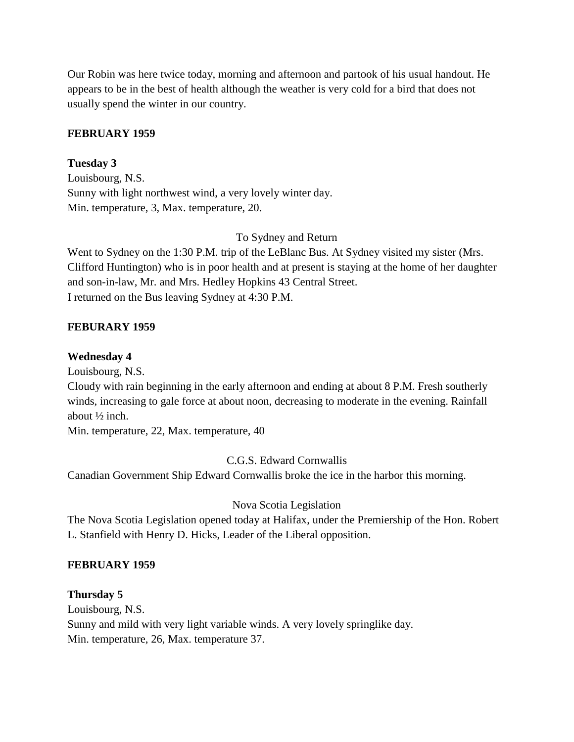Our Robin was here twice today, morning and afternoon and partook of his usual handout. He appears to be in the best of health although the weather is very cold for a bird that does not usually spend the winter in our country.

### **FEBRUARY 1959**

**Tuesday 3** Louisbourg, N.S. Sunny with light northwest wind, a very lovely winter day. Min. temperature, 3, Max. temperature, 20.

To Sydney and Return

Went to Sydney on the 1:30 P.M. trip of the LeBlanc Bus. At Sydney visited my sister (Mrs. Clifford Huntington) who is in poor health and at present is staying at the home of her daughter and son-in-law, Mr. and Mrs. Hedley Hopkins 43 Central Street. I returned on the Bus leaving Sydney at 4:30 P.M.

## **FEBURARY 1959**

### **Wednesday 4**

Louisbourg, N.S.

Cloudy with rain beginning in the early afternoon and ending at about 8 P.M. Fresh southerly winds, increasing to gale force at about noon, decreasing to moderate in the evening. Rainfall about ½ inch.

Min. temperature, 22, Max. temperature, 40

C.G.S. Edward Cornwallis

Canadian Government Ship Edward Cornwallis broke the ice in the harbor this morning.

Nova Scotia Legislation

The Nova Scotia Legislation opened today at Halifax, under the Premiership of the Hon. Robert L. Stanfield with Henry D. Hicks, Leader of the Liberal opposition.

### **FEBRUARY 1959**

### **Thursday 5**

Louisbourg, N.S. Sunny and mild with very light variable winds. A very lovely springlike day. Min. temperature, 26, Max. temperature 37.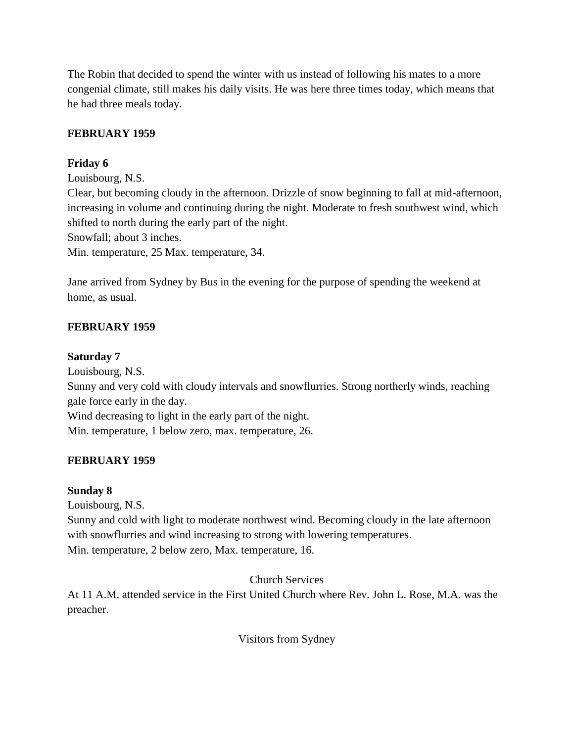The Robin that decided to spend the winter with us instead of following his mates to a more congenial climate, still makes his daily visits. He was here three times today, which means that he had three meals today.

## **FEBRUARY 1959**

## **Friday 6**

Louisbourg, N.S.

Clear, but becoming cloudy in the afternoon. Drizzle of snow beginning to fall at mid-afternoon, increasing in volume and continuing during the night. Moderate to fresh southwest wind, which shifted to north during the early part of the night.

Snowfall; about 3 inches.

Min. temperature, 25 Max. temperature, 34.

Jane arrived from Sydney by Bus in the evening for the purpose of spending the weekend at home, as usual.

## **FEBRUARY 1959**

## **Saturday 7**

Louisbourg, N.S. Sunny and very cold with cloudy intervals and snowflurries. Strong northerly winds, reaching gale force early in the day. Wind decreasing to light in the early part of the night. Min. temperature, 1 below zero, max. temperature, 26.

## **FEBRUARY 1959**

## **Sunday 8**

Louisbourg, N.S.

Sunny and cold with light to moderate northwest wind. Becoming cloudy in the late afternoon with snowflurries and wind increasing to strong with lowering temperatures. Min. temperature, 2 below zero, Max. temperature, 16.

## Church Services

At 11 A.M. attended service in the First United Church where Rev. John L. Rose, M.A. was the preacher.

Visitors from Sydney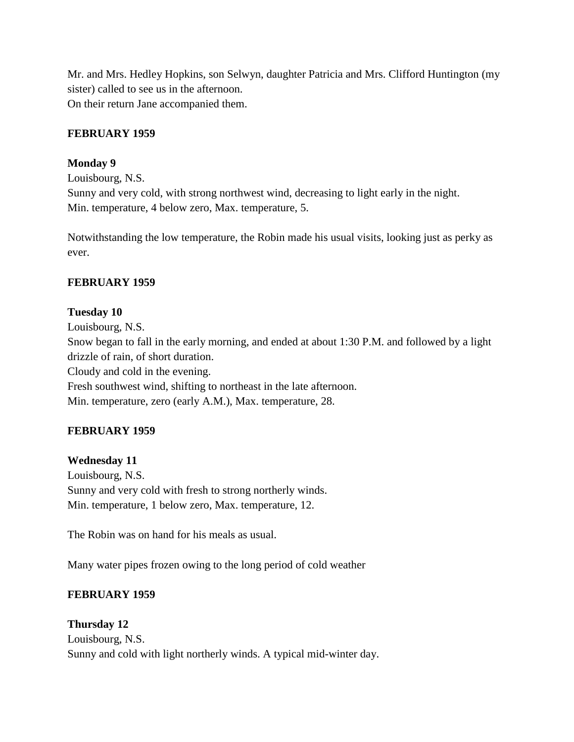Mr. and Mrs. Hedley Hopkins, son Selwyn, daughter Patricia and Mrs. Clifford Huntington (my sister) called to see us in the afternoon. On their return Jane accompanied them.

### **FEBRUARY 1959**

### **Monday 9**

Louisbourg, N.S. Sunny and very cold, with strong northwest wind, decreasing to light early in the night. Min. temperature, 4 below zero, Max. temperature, 5.

Notwithstanding the low temperature, the Robin made his usual visits, looking just as perky as ever.

### **FEBRUARY 1959**

#### **Tuesday 10**

Louisbourg, N.S. Snow began to fall in the early morning, and ended at about 1:30 P.M. and followed by a light drizzle of rain, of short duration. Cloudy and cold in the evening. Fresh southwest wind, shifting to northeast in the late afternoon. Min. temperature, zero (early A.M.), Max. temperature, 28.

### **FEBRUARY 1959**

#### **Wednesday 11**

Louisbourg, N.S. Sunny and very cold with fresh to strong northerly winds. Min. temperature, 1 below zero, Max. temperature, 12.

The Robin was on hand for his meals as usual.

Many water pipes frozen owing to the long period of cold weather

### **FEBRUARY 1959**

## **Thursday 12** Louisbourg, N.S. Sunny and cold with light northerly winds. A typical mid-winter day.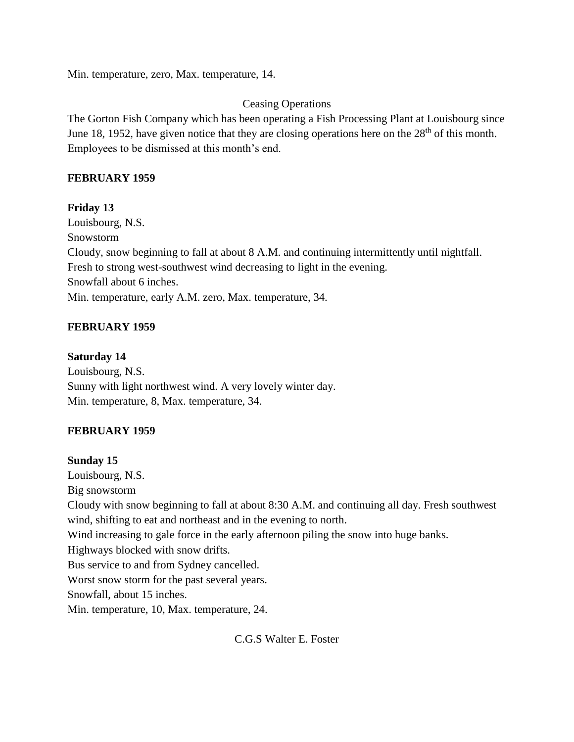Min. temperature, zero, Max. temperature, 14.

## Ceasing Operations

The Gorton Fish Company which has been operating a Fish Processing Plant at Louisbourg since June 18, 1952, have given notice that they are closing operations here on the  $28<sup>th</sup>$  of this month. Employees to be dismissed at this month's end.

### **FEBRUARY 1959**

### **Friday 13**

Louisbourg, N.S. Snowstorm Cloudy, snow beginning to fall at about 8 A.M. and continuing intermittently until nightfall. Fresh to strong west-southwest wind decreasing to light in the evening. Snowfall about 6 inches. Min. temperature, early A.M. zero, Max. temperature, 34.

## **FEBRUARY 1959**

### **Saturday 14**

Louisbourg, N.S. Sunny with light northwest wind. A very lovely winter day. Min. temperature, 8, Max. temperature, 34.

## **FEBRUARY 1959**

### **Sunday 15**

Louisbourg, N.S. Big snowstorm Cloudy with snow beginning to fall at about 8:30 A.M. and continuing all day. Fresh southwest wind, shifting to eat and northeast and in the evening to north. Wind increasing to gale force in the early afternoon piling the snow into huge banks. Highways blocked with snow drifts. Bus service to and from Sydney cancelled. Worst snow storm for the past several years. Snowfall, about 15 inches. Min. temperature, 10, Max. temperature, 24.

C.G.S Walter E. Foster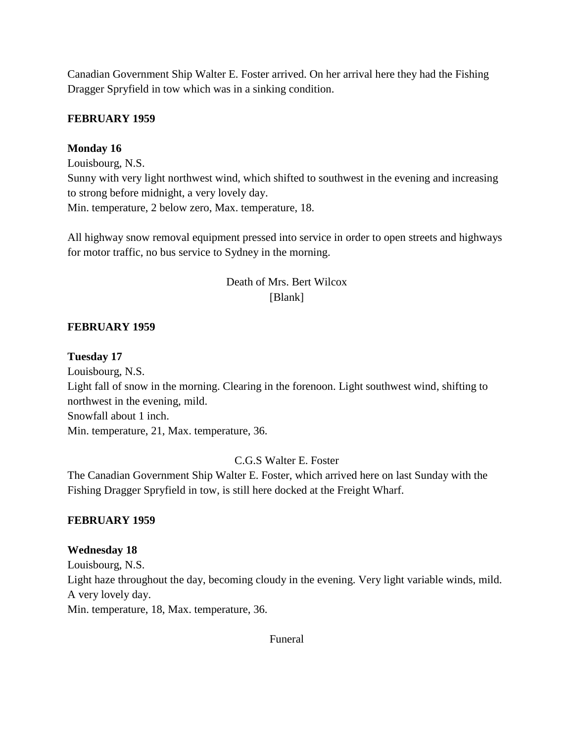Canadian Government Ship Walter E. Foster arrived. On her arrival here they had the Fishing Dragger Spryfield in tow which was in a sinking condition.

### **FEBRUARY 1959**

### **Monday 16**

Louisbourg, N.S. Sunny with very light northwest wind, which shifted to southwest in the evening and increasing to strong before midnight, a very lovely day. Min. temperature, 2 below zero, Max. temperature, 18.

All highway snow removal equipment pressed into service in order to open streets and highways for motor traffic, no bus service to Sydney in the morning.

## Death of Mrs. Bert Wilcox [Blank]

### **FEBRUARY 1959**

### **Tuesday 17**

Louisbourg, N.S. Light fall of snow in the morning. Clearing in the forenoon. Light southwest wind, shifting to northwest in the evening, mild. Snowfall about 1 inch. Min. temperature, 21, Max. temperature, 36.

### C.G.S Walter E. Foster

The Canadian Government Ship Walter E. Foster, which arrived here on last Sunday with the Fishing Dragger Spryfield in tow, is still here docked at the Freight Wharf.

### **FEBRUARY 1959**

### **Wednesday 18**

Louisbourg, N.S. Light haze throughout the day, becoming cloudy in the evening. Very light variable winds, mild. A very lovely day. Min. temperature, 18, Max. temperature, 36.

Funeral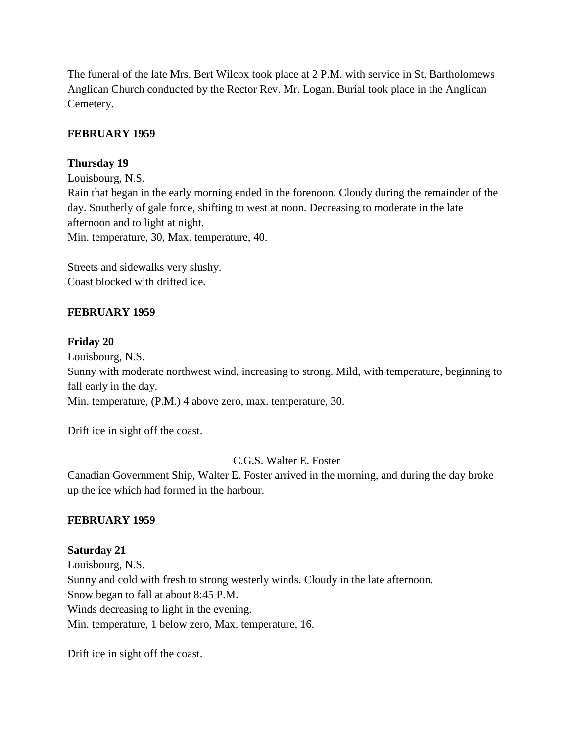The funeral of the late Mrs. Bert Wilcox took place at 2 P.M. with service in St. Bartholomews Anglican Church conducted by the Rector Rev. Mr. Logan. Burial took place in the Anglican Cemetery.

### **FEBRUARY 1959**

### **Thursday 19**

Louisbourg, N.S. Rain that began in the early morning ended in the forenoon. Cloudy during the remainder of the day. Southerly of gale force, shifting to west at noon. Decreasing to moderate in the late afternoon and to light at night. Min. temperature, 30, Max. temperature, 40.

Streets and sidewalks very slushy. Coast blocked with drifted ice.

### **FEBRUARY 1959**

#### **Friday 20**

Louisbourg, N.S.

Sunny with moderate northwest wind, increasing to strong. Mild, with temperature, beginning to fall early in the day.

Min. temperature, (P.M.) 4 above zero, max. temperature, 30.

Drift ice in sight off the coast.

C.G.S. Walter E. Foster

Canadian Government Ship, Walter E. Foster arrived in the morning, and during the day broke up the ice which had formed in the harbour.

#### **FEBRUARY 1959**

**Saturday 21** Louisbourg, N.S. Sunny and cold with fresh to strong westerly winds. Cloudy in the late afternoon. Snow began to fall at about 8:45 P.M. Winds decreasing to light in the evening. Min. temperature, 1 below zero, Max. temperature, 16.

Drift ice in sight off the coast.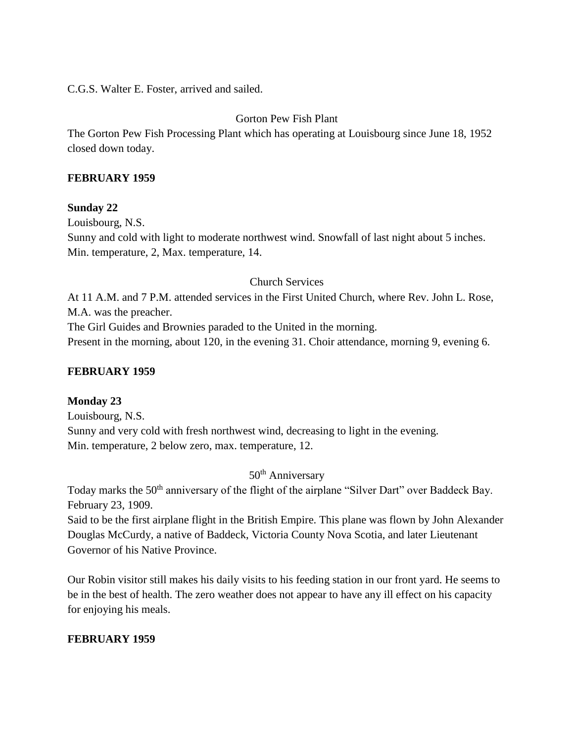C.G.S. Walter E. Foster, arrived and sailed.

## Gorton Pew Fish Plant

The Gorton Pew Fish Processing Plant which has operating at Louisbourg since June 18, 1952 closed down today.

### **FEBRUARY 1959**

### **Sunday 22**

Louisbourg, N.S. Sunny and cold with light to moderate northwest wind. Snowfall of last night about 5 inches. Min. temperature, 2, Max. temperature, 14.

### Church Services

At 11 A.M. and 7 P.M. attended services in the First United Church, where Rev. John L. Rose, M.A. was the preacher. The Girl Guides and Brownies paraded to the United in the morning. Present in the morning, about 120, in the evening 31. Choir attendance, morning 9, evening 6.

### **FEBRUARY 1959**

#### **Monday 23**

Louisbourg, N.S. Sunny and very cold with fresh northwest wind, decreasing to light in the evening. Min. temperature, 2 below zero, max. temperature, 12.

50<sup>th</sup> Anniversary

Today marks the 50<sup>th</sup> anniversary of the flight of the airplane "Silver Dart" over Baddeck Bay. February 23, 1909.

Said to be the first airplane flight in the British Empire. This plane was flown by John Alexander Douglas McCurdy, a native of Baddeck, Victoria County Nova Scotia, and later Lieutenant Governor of his Native Province.

Our Robin visitor still makes his daily visits to his feeding station in our front yard. He seems to be in the best of health. The zero weather does not appear to have any ill effect on his capacity for enjoying his meals.

### **FEBRUARY 1959**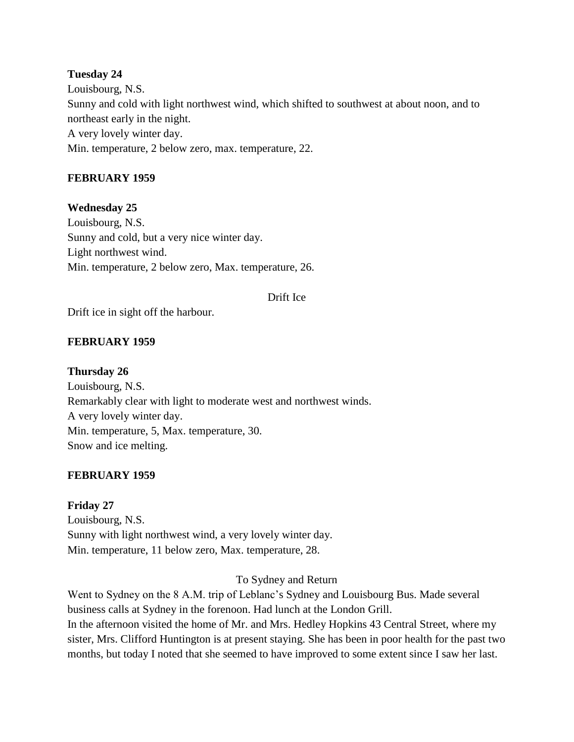## **Tuesday 24** Louisbourg, N.S. Sunny and cold with light northwest wind, which shifted to southwest at about noon, and to northeast early in the night. A very lovely winter day. Min. temperature, 2 below zero, max. temperature, 22.

### **FEBRUARY 1959**

### **Wednesday 25**

Louisbourg, N.S. Sunny and cold, but a very nice winter day. Light northwest wind. Min. temperature, 2 below zero, Max. temperature, 26.

#### Drift Ice

Drift ice in sight off the harbour.

### **FEBRUARY 1959**

#### **Thursday 26**

Louisbourg, N.S. Remarkably clear with light to moderate west and northwest winds. A very lovely winter day. Min. temperature, 5, Max. temperature, 30. Snow and ice melting.

#### **FEBRUARY 1959**

**Friday 27** Louisbourg, N.S. Sunny with light northwest wind, a very lovely winter day. Min. temperature, 11 below zero, Max. temperature, 28.

To Sydney and Return

Went to Sydney on the 8 A.M. trip of Leblanc's Sydney and Louisbourg Bus. Made several business calls at Sydney in the forenoon. Had lunch at the London Grill. In the afternoon visited the home of Mr. and Mrs. Hedley Hopkins 43 Central Street, where my sister, Mrs. Clifford Huntington is at present staying. She has been in poor health for the past two months, but today I noted that she seemed to have improved to some extent since I saw her last.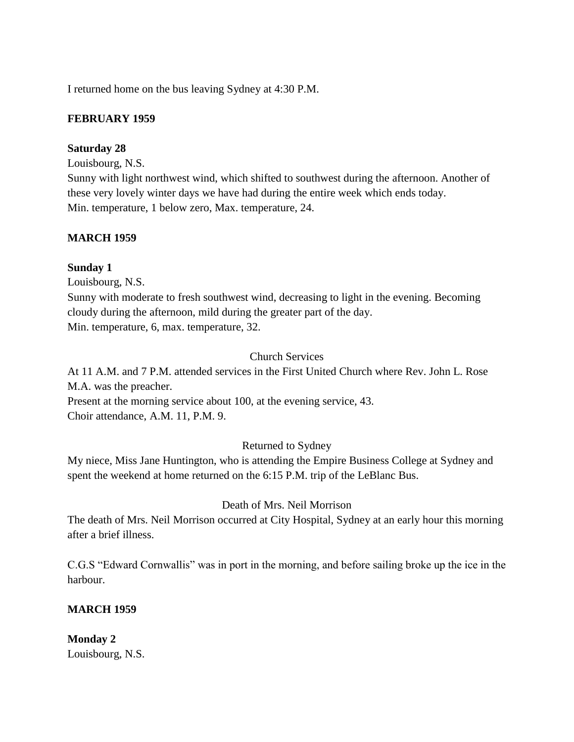I returned home on the bus leaving Sydney at 4:30 P.M.

### **FEBRUARY 1959**

#### **Saturday 28**

Louisbourg, N.S.

Sunny with light northwest wind, which shifted to southwest during the afternoon. Another of these very lovely winter days we have had during the entire week which ends today. Min. temperature, 1 below zero, Max. temperature, 24.

### **MARCH 1959**

### **Sunday 1**

Louisbourg, N.S.

Sunny with moderate to fresh southwest wind, decreasing to light in the evening. Becoming cloudy during the afternoon, mild during the greater part of the day. Min. temperature, 6, max. temperature, 32.

### Church Services

At 11 A.M. and 7 P.M. attended services in the First United Church where Rev. John L. Rose M.A. was the preacher.

Present at the morning service about 100, at the evening service, 43. Choir attendance, A.M. 11, P.M. 9.

### Returned to Sydney

My niece, Miss Jane Huntington, who is attending the Empire Business College at Sydney and spent the weekend at home returned on the 6:15 P.M. trip of the LeBlanc Bus.

#### Death of Mrs. Neil Morrison

The death of Mrs. Neil Morrison occurred at City Hospital, Sydney at an early hour this morning after a brief illness.

C.G.S "Edward Cornwallis" was in port in the morning, and before sailing broke up the ice in the harbour.

### **MARCH 1959**

**Monday 2** Louisbourg, N.S.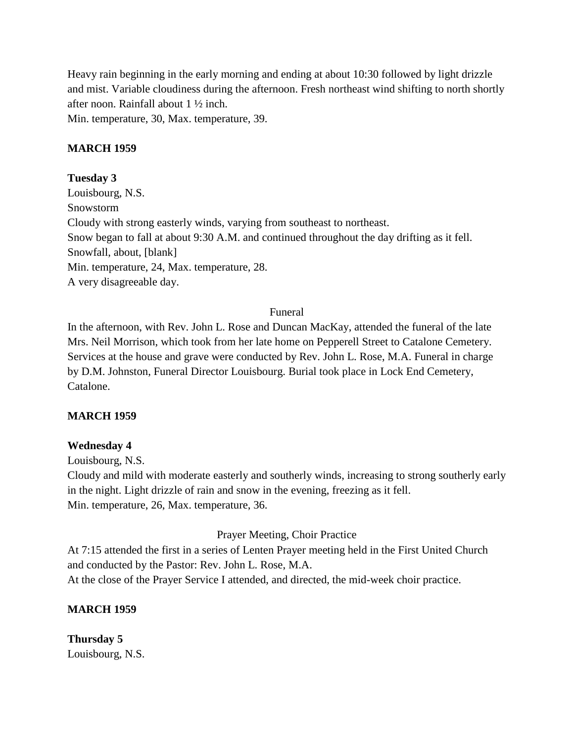Heavy rain beginning in the early morning and ending at about 10:30 followed by light drizzle and mist. Variable cloudiness during the afternoon. Fresh northeast wind shifting to north shortly after noon. Rainfall about 1 ½ inch.

Min. temperature, 30, Max. temperature, 39.

### **MARCH 1959**

### **Tuesday 3**

Louisbourg, N.S. Snowstorm Cloudy with strong easterly winds, varying from southeast to northeast. Snow began to fall at about 9:30 A.M. and continued throughout the day drifting as it fell. Snowfall, about, [blank] Min. temperature, 24, Max. temperature, 28. A very disagreeable day.

### Funeral

In the afternoon, with Rev. John L. Rose and Duncan MacKay, attended the funeral of the late Mrs. Neil Morrison, which took from her late home on Pepperell Street to Catalone Cemetery. Services at the house and grave were conducted by Rev. John L. Rose, M.A. Funeral in charge by D.M. Johnston, Funeral Director Louisbourg. Burial took place in Lock End Cemetery, Catalone.

### **MARCH 1959**

### **Wednesday 4**

Louisbourg, N.S.

Cloudy and mild with moderate easterly and southerly winds, increasing to strong southerly early in the night. Light drizzle of rain and snow in the evening, freezing as it fell. Min. temperature, 26, Max. temperature, 36.

### Prayer Meeting, Choir Practice

At 7:15 attended the first in a series of Lenten Prayer meeting held in the First United Church and conducted by the Pastor: Rev. John L. Rose, M.A. At the close of the Prayer Service I attended, and directed, the mid-week choir practice.

### **MARCH 1959**

**Thursday 5** Louisbourg, N.S.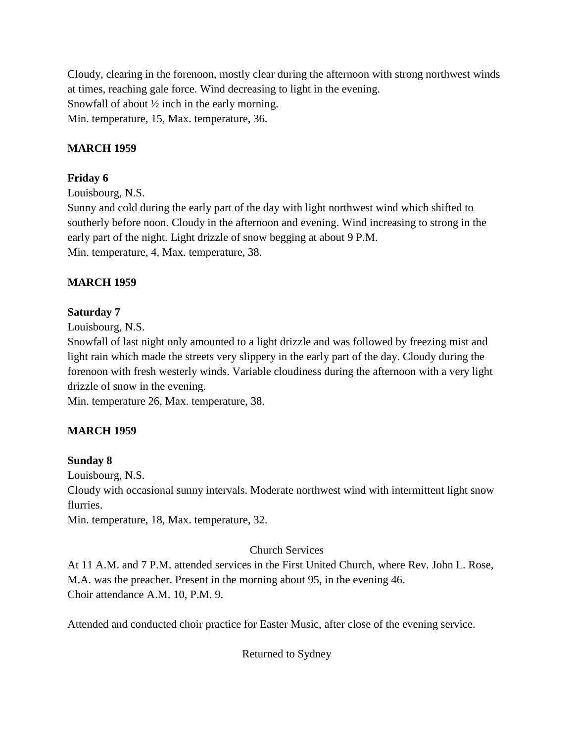Cloudy, clearing in the forenoon, mostly clear during the afternoon with strong northwest winds at times, reaching gale force. Wind decreasing to light in the evening. Snowfall of about ½ inch in the early morning. Min. temperature, 15, Max. temperature, 36.

## **MARCH 1959**

## **Friday 6**

Louisbourg, N.S.

Sunny and cold during the early part of the day with light northwest wind which shifted to southerly before noon. Cloudy in the afternoon and evening. Wind increasing to strong in the early part of the night. Light drizzle of snow begging at about 9 P.M. Min. temperature, 4, Max. temperature, 38.

## **MARCH 1959**

### **Saturday 7**

Louisbourg, N.S.

Snowfall of last night only amounted to a light drizzle and was followed by freezing mist and light rain which made the streets very slippery in the early part of the day. Cloudy during the forenoon with fresh westerly winds. Variable cloudiness during the afternoon with a very light drizzle of snow in the evening.

Min. temperature 26, Max. temperature, 38.

## **MARCH 1959**

### **Sunday 8**

Louisbourg, N.S.

Cloudy with occasional sunny intervals. Moderate northwest wind with intermittent light snow flurries.

Min. temperature, 18, Max. temperature, 32.

### Church Services

At 11 A.M. and 7 P.M. attended services in the First United Church, where Rev. John L. Rose, M.A. was the preacher. Present in the morning about 95, in the evening 46. Choir attendance A.M. 10, P.M. 9.

Attended and conducted choir practice for Easter Music, after close of the evening service.

Returned to Sydney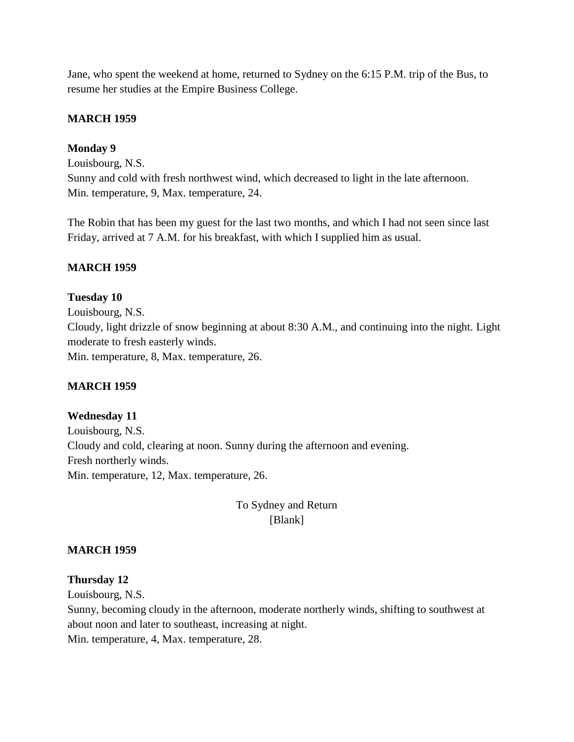Jane, who spent the weekend at home, returned to Sydney on the 6:15 P.M. trip of the Bus, to resume her studies at the Empire Business College.

### **MARCH 1959**

#### **Monday 9**

Louisbourg, N.S. Sunny and cold with fresh northwest wind, which decreased to light in the late afternoon. Min. temperature, 9, Max. temperature, 24.

The Robin that has been my guest for the last two months, and which I had not seen since last Friday, arrived at 7 A.M. for his breakfast, with which I supplied him as usual.

#### **MARCH 1959**

#### **Tuesday 10**

Louisbourg, N.S. Cloudy, light drizzle of snow beginning at about 8:30 A.M., and continuing into the night. Light moderate to fresh easterly winds. Min. temperature, 8, Max. temperature, 26.

#### **MARCH 1959**

**Wednesday 11** Louisbourg, N.S. Cloudy and cold, clearing at noon. Sunny during the afternoon and evening. Fresh northerly winds. Min. temperature, 12, Max. temperature, 26.

## To Sydney and Return [Blank]

#### **MARCH 1959**

#### **Thursday 12**

Louisbourg, N.S.

Sunny, becoming cloudy in the afternoon, moderate northerly winds, shifting to southwest at about noon and later to southeast, increasing at night.

Min. temperature, 4, Max. temperature, 28.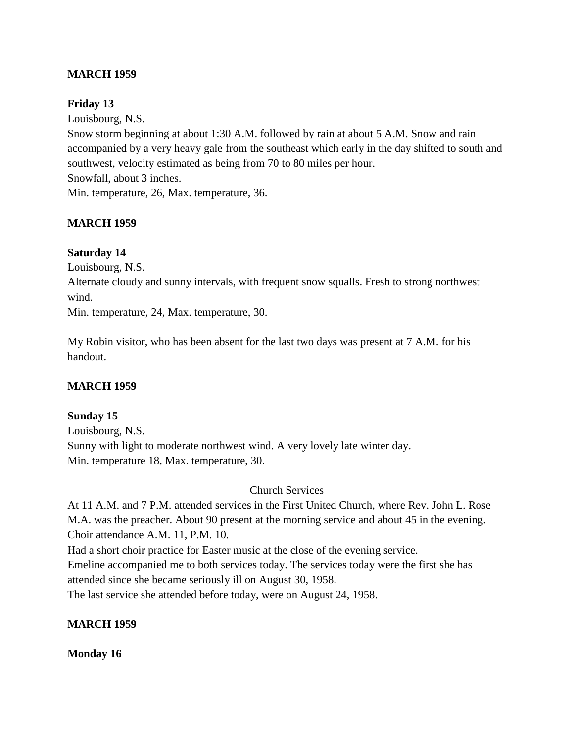### **MARCH 1959**

### **Friday 13**

Louisbourg, N.S.

Snow storm beginning at about 1:30 A.M. followed by rain at about 5 A.M. Snow and rain accompanied by a very heavy gale from the southeast which early in the day shifted to south and southwest, velocity estimated as being from 70 to 80 miles per hour. Snowfall, about 3 inches. Min. temperature, 26, Max. temperature, 36.

### **MARCH 1959**

#### **Saturday 14**

Louisbourg, N.S.

Alternate cloudy and sunny intervals, with frequent snow squalls. Fresh to strong northwest wind.

Min. temperature, 24, Max. temperature, 30.

My Robin visitor, who has been absent for the last two days was present at 7 A.M. for his handout.

### **MARCH 1959**

#### **Sunday 15**

Louisbourg, N.S. Sunny with light to moderate northwest wind. A very lovely late winter day. Min. temperature 18, Max. temperature, 30.

#### Church Services

At 11 A.M. and 7 P.M. attended services in the First United Church, where Rev. John L. Rose M.A. was the preacher. About 90 present at the morning service and about 45 in the evening. Choir attendance A.M. 11, P.M. 10.

Had a short choir practice for Easter music at the close of the evening service.

Emeline accompanied me to both services today. The services today were the first she has attended since she became seriously ill on August 30, 1958.

The last service she attended before today, were on August 24, 1958.

### **MARCH 1959**

#### **Monday 16**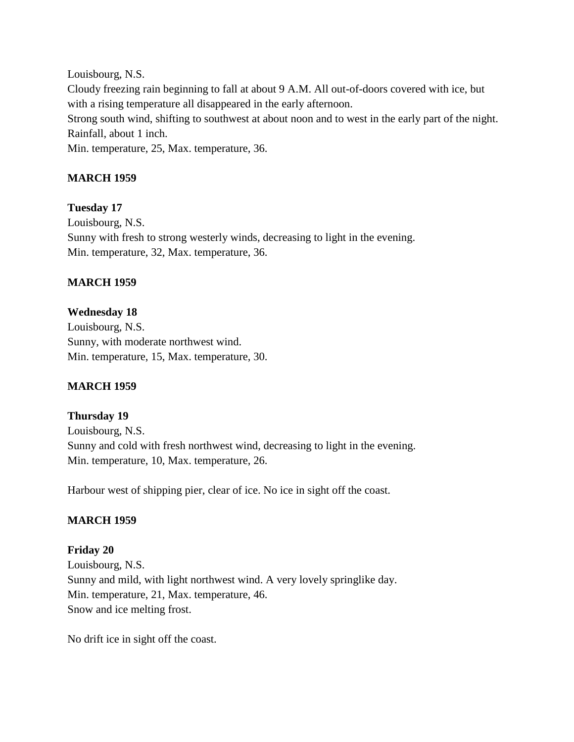Louisbourg, N.S. Cloudy freezing rain beginning to fall at about 9 A.M. All out-of-doors covered with ice, but with a rising temperature all disappeared in the early afternoon. Strong south wind, shifting to southwest at about noon and to west in the early part of the night. Rainfall, about 1 inch. Min. temperature, 25, Max. temperature, 36.

## **MARCH 1959**

### **Tuesday 17**

Louisbourg, N.S. Sunny with fresh to strong westerly winds, decreasing to light in the evening. Min. temperature, 32, Max. temperature, 36.

### **MARCH 1959**

### **Wednesday 18**

Louisbourg, N.S. Sunny, with moderate northwest wind. Min. temperature, 15, Max. temperature, 30.

### **MARCH 1959**

#### **Thursday 19**

Louisbourg, N.S. Sunny and cold with fresh northwest wind, decreasing to light in the evening. Min. temperature, 10, Max. temperature, 26.

Harbour west of shipping pier, clear of ice. No ice in sight off the coast.

### **MARCH 1959**

**Friday 20** Louisbourg, N.S. Sunny and mild, with light northwest wind. A very lovely springlike day. Min. temperature, 21, Max. temperature, 46. Snow and ice melting frost.

No drift ice in sight off the coast.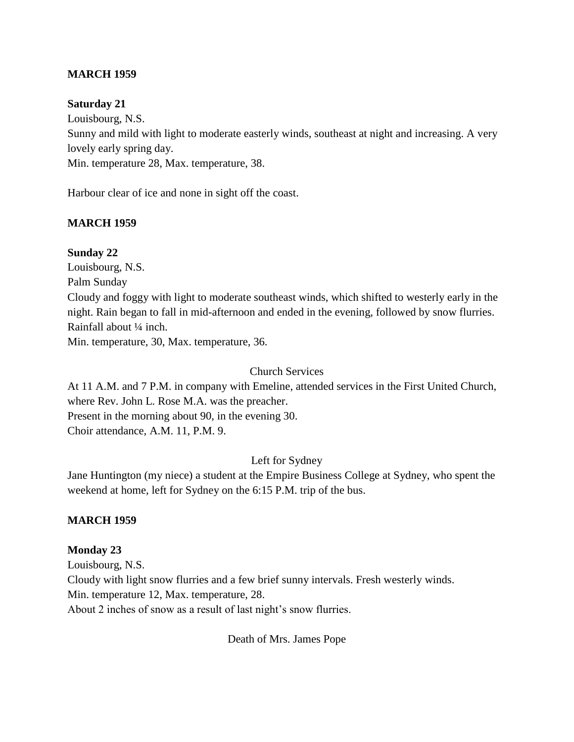### **MARCH 1959**

#### **Saturday 21**

Louisbourg, N.S. Sunny and mild with light to moderate easterly winds, southeast at night and increasing. A very lovely early spring day. Min. temperature 28, Max. temperature, 38.

Harbour clear of ice and none in sight off the coast.

#### **MARCH 1959**

#### **Sunday 22**

Louisbourg, N.S.

Palm Sunday

Cloudy and foggy with light to moderate southeast winds, which shifted to westerly early in the night. Rain began to fall in mid-afternoon and ended in the evening, followed by snow flurries. Rainfall about ¼ inch.

Min. temperature, 30, Max. temperature, 36.

#### Church Services

At 11 A.M. and 7 P.M. in company with Emeline, attended services in the First United Church, where Rev. John L. Rose M.A. was the preacher. Present in the morning about 90, in the evening 30. Choir attendance, A.M. 11, P.M. 9.

#### Left for Sydney

Jane Huntington (my niece) a student at the Empire Business College at Sydney, who spent the weekend at home, left for Sydney on the 6:15 P.M. trip of the bus.

#### **MARCH 1959**

#### **Monday 23**

Louisbourg, N.S. Cloudy with light snow flurries and a few brief sunny intervals. Fresh westerly winds. Min. temperature 12, Max. temperature, 28. About 2 inches of snow as a result of last night's snow flurries.

Death of Mrs. James Pope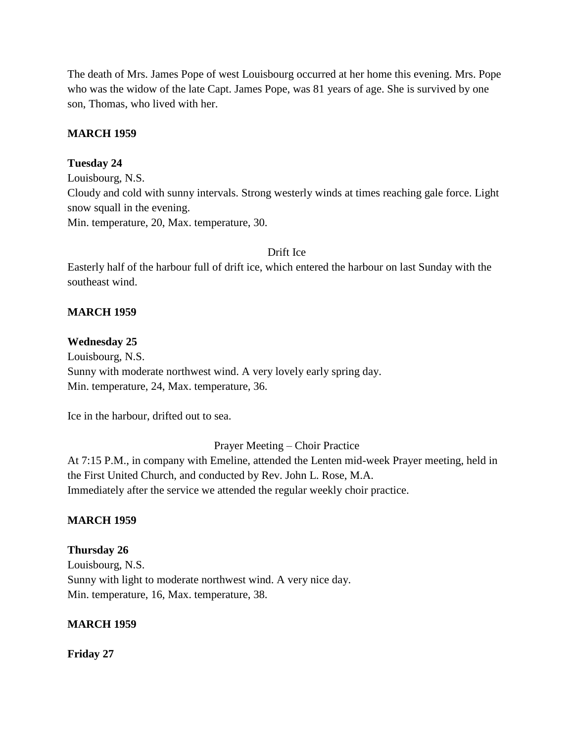The death of Mrs. James Pope of west Louisbourg occurred at her home this evening. Mrs. Pope who was the widow of the late Capt. James Pope, was 81 years of age. She is survived by one son, Thomas, who lived with her.

### **MARCH 1959**

### **Tuesday 24**

Louisbourg, N.S. Cloudy and cold with sunny intervals. Strong westerly winds at times reaching gale force. Light snow squall in the evening. Min. temperature, 20, Max. temperature, 30.

### Drift Ice

Easterly half of the harbour full of drift ice, which entered the harbour on last Sunday with the southeast wind.

### **MARCH 1959**

#### **Wednesday 25**

Louisbourg, N.S. Sunny with moderate northwest wind. A very lovely early spring day. Min. temperature, 24, Max. temperature, 36.

Ice in the harbour, drifted out to sea.

Prayer Meeting – Choir Practice

At 7:15 P.M., in company with Emeline, attended the Lenten mid-week Prayer meeting, held in the First United Church, and conducted by Rev. John L. Rose, M.A. Immediately after the service we attended the regular weekly choir practice.

### **MARCH 1959**

### **Thursday 26**

Louisbourg, N.S. Sunny with light to moderate northwest wind. A very nice day. Min. temperature, 16, Max. temperature, 38.

#### **MARCH 1959**

**Friday 27**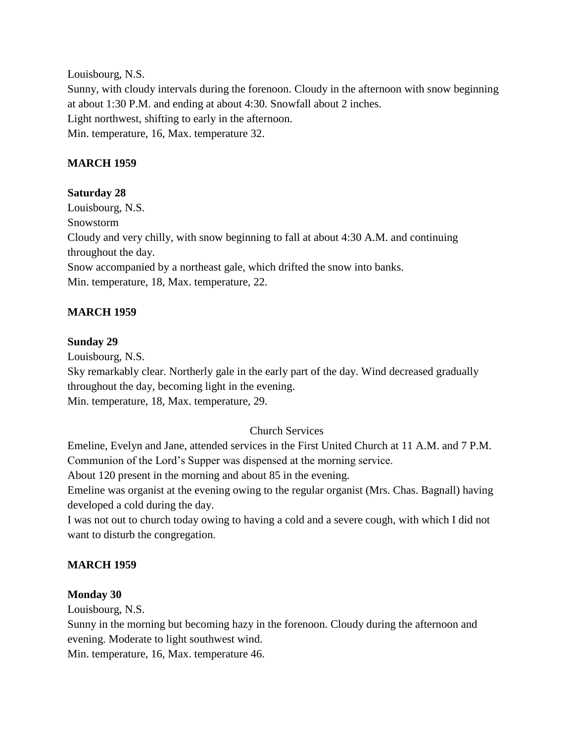Louisbourg, N.S. Sunny, with cloudy intervals during the forenoon. Cloudy in the afternoon with snow beginning at about 1:30 P.M. and ending at about 4:30. Snowfall about 2 inches. Light northwest, shifting to early in the afternoon. Min. temperature, 16, Max. temperature 32.

## **MARCH 1959**

### **Saturday 28**

Louisbourg, N.S. Snowstorm Cloudy and very chilly, with snow beginning to fall at about 4:30 A.M. and continuing throughout the day. Snow accompanied by a northeast gale, which drifted the snow into banks. Min. temperature, 18, Max. temperature, 22.

## **MARCH 1959**

### **Sunday 29**

Louisbourg, N.S.

Sky remarkably clear. Northerly gale in the early part of the day. Wind decreased gradually throughout the day, becoming light in the evening.

Min. temperature, 18, Max. temperature, 29.

## Church Services

Emeline, Evelyn and Jane, attended services in the First United Church at 11 A.M. and 7 P.M. Communion of the Lord's Supper was dispensed at the morning service.

About 120 present in the morning and about 85 in the evening.

Emeline was organist at the evening owing to the regular organist (Mrs. Chas. Bagnall) having developed a cold during the day.

I was not out to church today owing to having a cold and a severe cough, with which I did not want to disturb the congregation.

## **MARCH 1959**

### **Monday 30**

Louisbourg, N.S.

Sunny in the morning but becoming hazy in the forenoon. Cloudy during the afternoon and evening. Moderate to light southwest wind.

Min. temperature, 16, Max. temperature 46.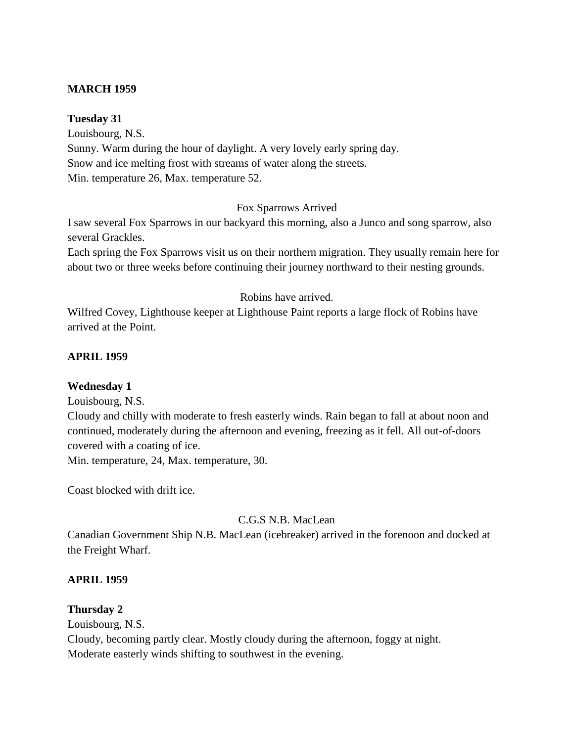### **MARCH 1959**

#### **Tuesday 31**

Louisbourg, N.S. Sunny. Warm during the hour of daylight. A very lovely early spring day. Snow and ice melting frost with streams of water along the streets. Min. temperature 26, Max. temperature 52.

### Fox Sparrows Arrived

I saw several Fox Sparrows in our backyard this morning, also a Junco and song sparrow, also several Grackles.

Each spring the Fox Sparrows visit us on their northern migration. They usually remain here for about two or three weeks before continuing their journey northward to their nesting grounds.

#### Robins have arrived.

Wilfred Covey, Lighthouse keeper at Lighthouse Paint reports a large flock of Robins have arrived at the Point.

### **APRIL 1959**

#### **Wednesday 1**

Louisbourg, N.S.

Cloudy and chilly with moderate to fresh easterly winds. Rain began to fall at about noon and continued, moderately during the afternoon and evening, freezing as it fell. All out-of-doors covered with a coating of ice.

Min. temperature, 24, Max. temperature, 30.

Coast blocked with drift ice.

### C.G.S N.B. MacLean

Canadian Government Ship N.B. MacLean (icebreaker) arrived in the forenoon and docked at the Freight Wharf.

#### **APRIL 1959**

#### **Thursday 2**

Louisbourg, N.S. Cloudy, becoming partly clear. Mostly cloudy during the afternoon, foggy at night. Moderate easterly winds shifting to southwest in the evening.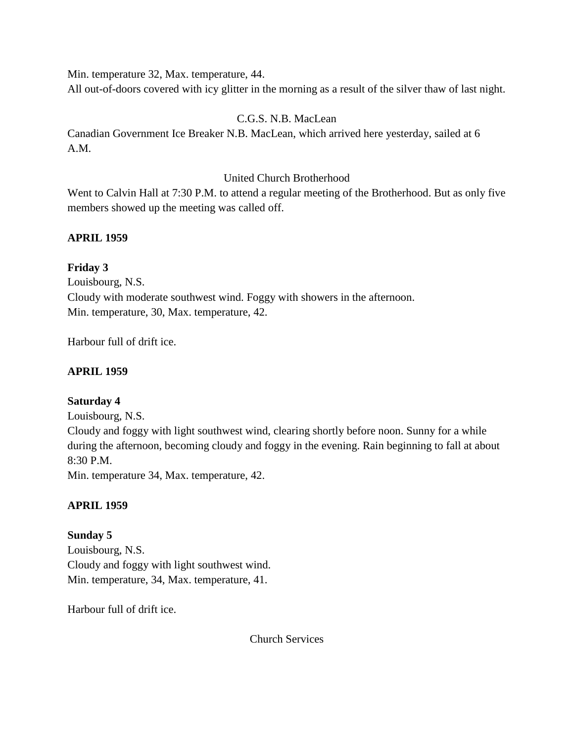Min. temperature 32, Max. temperature, 44.

All out-of-doors covered with icy glitter in the morning as a result of the silver thaw of last night.

## C.G.S. N.B. MacLean

Canadian Government Ice Breaker N.B. MacLean, which arrived here yesterday, sailed at 6 A.M.

## United Church Brotherhood

Went to Calvin Hall at 7:30 P.M. to attend a regular meeting of the Brotherhood. But as only five members showed up the meeting was called off.

## **APRIL 1959**

**Friday 3** Louisbourg, N.S. Cloudy with moderate southwest wind. Foggy with showers in the afternoon. Min. temperature, 30, Max. temperature, 42.

Harbour full of drift ice.

## **APRIL 1959**

## **Saturday 4**

Louisbourg, N.S.

Cloudy and foggy with light southwest wind, clearing shortly before noon. Sunny for a while during the afternoon, becoming cloudy and foggy in the evening. Rain beginning to fall at about 8:30 P.M.

Min. temperature 34, Max. temperature, 42.

## **APRIL 1959**

## **Sunday 5**

Louisbourg, N.S. Cloudy and foggy with light southwest wind. Min. temperature, 34, Max. temperature, 41.

Harbour full of drift ice.

Church Services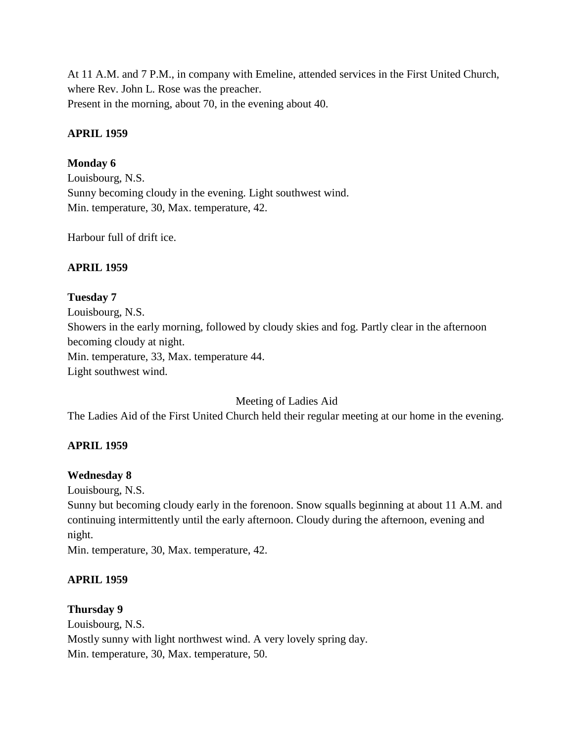At 11 A.M. and 7 P.M., in company with Emeline, attended services in the First United Church, where Rev. John L. Rose was the preacher. Present in the morning, about 70, in the evening about 40.

### **APRIL 1959**

## **Monday 6**

Louisbourg, N.S. Sunny becoming cloudy in the evening. Light southwest wind. Min. temperature, 30, Max. temperature, 42.

Harbour full of drift ice.

## **APRIL 1959**

### **Tuesday 7**

Louisbourg, N.S. Showers in the early morning, followed by cloudy skies and fog. Partly clear in the afternoon becoming cloudy at night. Min. temperature, 33, Max. temperature 44. Light southwest wind.

### Meeting of Ladies Aid

The Ladies Aid of the First United Church held their regular meeting at our home in the evening.

### **APRIL 1959**

### **Wednesday 8**

Louisbourg, N.S.

Sunny but becoming cloudy early in the forenoon. Snow squalls beginning at about 11 A.M. and continuing intermittently until the early afternoon. Cloudy during the afternoon, evening and night.

Min. temperature, 30, Max. temperature, 42.

### **APRIL 1959**

### **Thursday 9**

Louisbourg, N.S. Mostly sunny with light northwest wind. A very lovely spring day. Min. temperature, 30, Max. temperature, 50.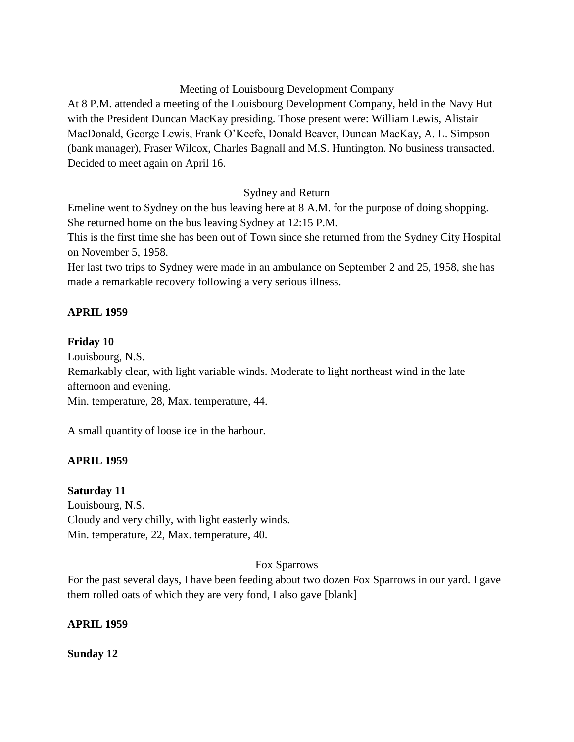### Meeting of Louisbourg Development Company

At 8 P.M. attended a meeting of the Louisbourg Development Company, held in the Navy Hut with the President Duncan MacKay presiding. Those present were: William Lewis, Alistair MacDonald, George Lewis, Frank O'Keefe, Donald Beaver, Duncan MacKay, A. L. Simpson (bank manager), Fraser Wilcox, Charles Bagnall and M.S. Huntington. No business transacted. Decided to meet again on April 16.

## Sydney and Return

Emeline went to Sydney on the bus leaving here at 8 A.M. for the purpose of doing shopping. She returned home on the bus leaving Sydney at 12:15 P.M.

This is the first time she has been out of Town since she returned from the Sydney City Hospital on November 5, 1958.

Her last two trips to Sydney were made in an ambulance on September 2 and 25, 1958, she has made a remarkable recovery following a very serious illness.

## **APRIL 1959**

### **Friday 10**

Louisbourg, N.S.

Remarkably clear, with light variable winds. Moderate to light northeast wind in the late afternoon and evening.

Min. temperature, 28, Max. temperature, 44.

A small quantity of loose ice in the harbour.

### **APRIL 1959**

### **Saturday 11**

Louisbourg, N.S. Cloudy and very chilly, with light easterly winds. Min. temperature, 22, Max. temperature, 40.

### Fox Sparrows

For the past several days, I have been feeding about two dozen Fox Sparrows in our yard. I gave them rolled oats of which they are very fond, I also gave [blank]

### **APRIL 1959**

**Sunday 12**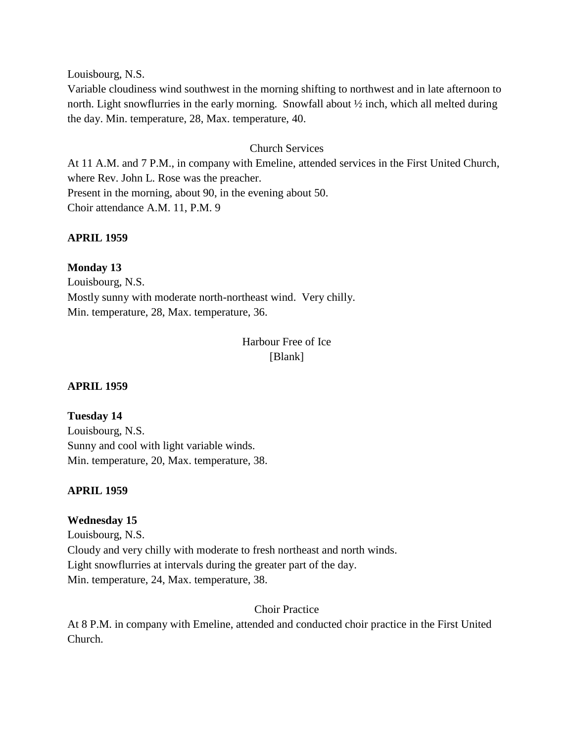Louisbourg, N.S.

Variable cloudiness wind southwest in the morning shifting to northwest and in late afternoon to north. Light snowflurries in the early morning. Snowfall about ½ inch, which all melted during the day. Min. temperature, 28, Max. temperature, 40.

### Church Services

At 11 A.M. and 7 P.M., in company with Emeline, attended services in the First United Church, where Rev. John L. Rose was the preacher. Present in the morning, about 90, in the evening about 50. Choir attendance A.M. 11, P.M. 9

### **APRIL 1959**

**Monday 13** Louisbourg, N.S. Mostly sunny with moderate north-northeast wind. Very chilly. Min. temperature, 28, Max. temperature, 36.

> Harbour Free of Ice [Blank]

#### **APRIL 1959**

#### **Tuesday 14**

Louisbourg, N.S. Sunny and cool with light variable winds. Min. temperature, 20, Max. temperature, 38.

### **APRIL 1959**

#### **Wednesday 15**

Louisbourg, N.S. Cloudy and very chilly with moderate to fresh northeast and north winds. Light snowflurries at intervals during the greater part of the day. Min. temperature, 24, Max. temperature, 38.

#### Choir Practice

At 8 P.M. in company with Emeline, attended and conducted choir practice in the First United Church.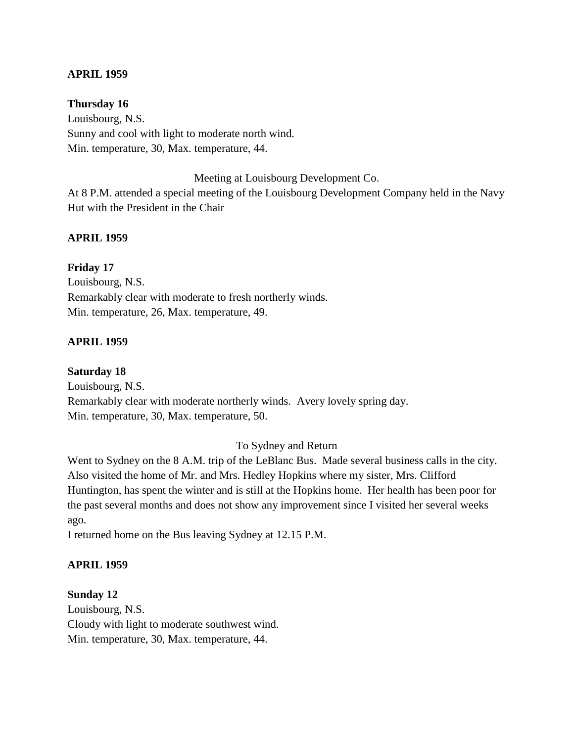#### **APRIL 1959**

### **Thursday 16**

Louisbourg, N.S. Sunny and cool with light to moderate north wind. Min. temperature, 30, Max. temperature, 44.

Meeting at Louisbourg Development Co.

At 8 P.M. attended a special meeting of the Louisbourg Development Company held in the Navy Hut with the President in the Chair

### **APRIL 1959**

**Friday 17** Louisbourg, N.S. Remarkably clear with moderate to fresh northerly winds. Min. temperature, 26, Max. temperature, 49.

### **APRIL 1959**

#### **Saturday 18**

Louisbourg, N.S. Remarkably clear with moderate northerly winds. Avery lovely spring day. Min. temperature, 30, Max. temperature, 50.

#### To Sydney and Return

Went to Sydney on the 8 A.M. trip of the LeBlanc Bus. Made several business calls in the city. Also visited the home of Mr. and Mrs. Hedley Hopkins where my sister, Mrs. Clifford Huntington, has spent the winter and is still at the Hopkins home. Her health has been poor for the past several months and does not show any improvement since I visited her several weeks ago.

I returned home on the Bus leaving Sydney at 12.15 P.M.

#### **APRIL 1959**

#### **Sunday 12**

Louisbourg, N.S. Cloudy with light to moderate southwest wind. Min. temperature, 30, Max. temperature, 44.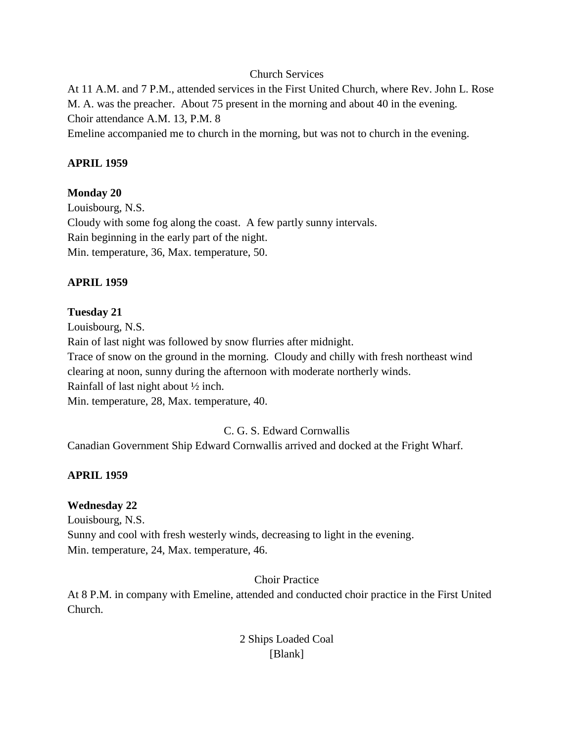### Church Services

At 11 A.M. and 7 P.M., attended services in the First United Church, where Rev. John L. Rose M. A. was the preacher. About 75 present in the morning and about 40 in the evening. Choir attendance A.M. 13, P.M. 8 Emeline accompanied me to church in the morning, but was not to church in the evening.

### **APRIL 1959**

### **Monday 20**

Louisbourg, N.S. Cloudy with some fog along the coast. A few partly sunny intervals. Rain beginning in the early part of the night. Min. temperature, 36, Max. temperature, 50.

## **APRIL 1959**

### **Tuesday 21**

Louisbourg, N.S. Rain of last night was followed by snow flurries after midnight. Trace of snow on the ground in the morning. Cloudy and chilly with fresh northeast wind clearing at noon, sunny during the afternoon with moderate northerly winds. Rainfall of last night about ½ inch. Min. temperature, 28, Max. temperature, 40.

## C. G. S. Edward Cornwallis

Canadian Government Ship Edward Cornwallis arrived and docked at the Fright Wharf.

### **APRIL 1959**

### **Wednesday 22**

Louisbourg, N.S. Sunny and cool with fresh westerly winds, decreasing to light in the evening. Min. temperature, 24, Max. temperature, 46.

### Choir Practice

At 8 P.M. in company with Emeline, attended and conducted choir practice in the First United Church.

## 2 Ships Loaded Coal [Blank]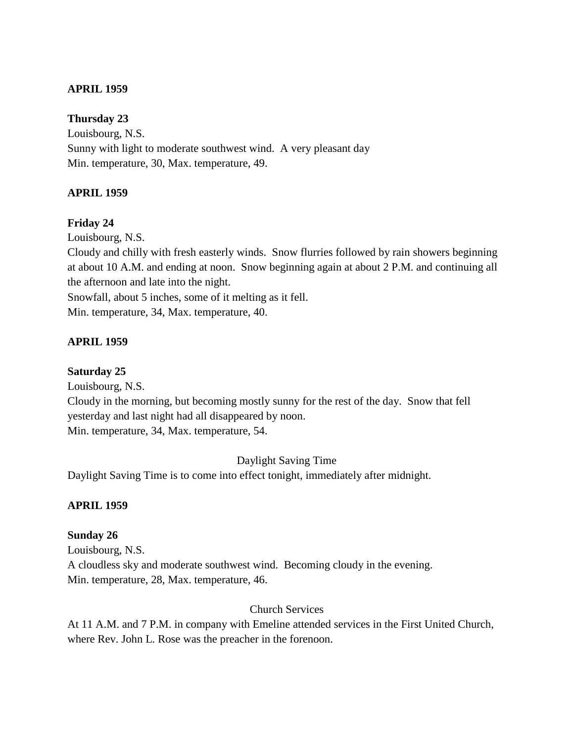### **APRIL 1959**

**Thursday 23** Louisbourg, N.S. Sunny with light to moderate southwest wind. A very pleasant day Min. temperature, 30, Max. temperature, 49.

### **APRIL 1959**

### **Friday 24**

Louisbourg, N.S.

Cloudy and chilly with fresh easterly winds. Snow flurries followed by rain showers beginning at about 10 A.M. and ending at noon. Snow beginning again at about 2 P.M. and continuing all the afternoon and late into the night.

Snowfall, about 5 inches, some of it melting as it fell.

Min. temperature, 34, Max. temperature, 40.

## **APRIL 1959**

### **Saturday 25**

Louisbourg, N.S.

Cloudy in the morning, but becoming mostly sunny for the rest of the day. Snow that fell yesterday and last night had all disappeared by noon. Min. temperature, 34, Max. temperature, 54.

Daylight Saving Time

Daylight Saving Time is to come into effect tonight, immediately after midnight.

### **APRIL 1959**

### **Sunday 26**

Louisbourg, N.S. A cloudless sky and moderate southwest wind. Becoming cloudy in the evening. Min. temperature, 28, Max. temperature, 46.

## Church Services

At 11 A.M. and 7 P.M. in company with Emeline attended services in the First United Church, where Rev. John L. Rose was the preacher in the forenoon.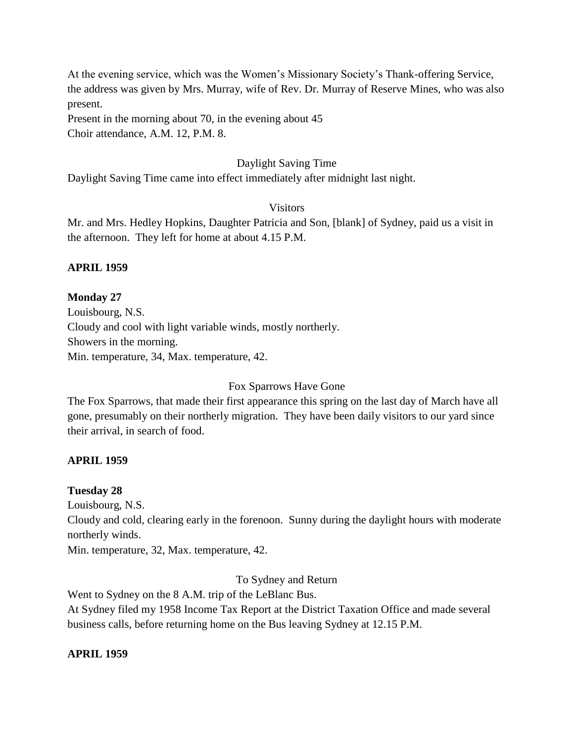At the evening service, which was the Women's Missionary Society's Thank-offering Service, the address was given by Mrs. Murray, wife of Rev. Dr. Murray of Reserve Mines, who was also present.

Present in the morning about 70, in the evening about 45 Choir attendance, A.M. 12, P.M. 8.

## Daylight Saving Time

Daylight Saving Time came into effect immediately after midnight last night.

### Visitors

Mr. and Mrs. Hedley Hopkins, Daughter Patricia and Son, [blank] of Sydney, paid us a visit in the afternoon. They left for home at about 4.15 P.M.

## **APRIL 1959**

## **Monday 27**

Louisbourg, N.S. Cloudy and cool with light variable winds, mostly northerly. Showers in the morning. Min. temperature, 34, Max. temperature, 42.

Fox Sparrows Have Gone

The Fox Sparrows, that made their first appearance this spring on the last day of March have all gone, presumably on their northerly migration. They have been daily visitors to our yard since their arrival, in search of food.

### **APRIL 1959**

### **Tuesday 28**

Louisbourg, N.S.

Cloudy and cold, clearing early in the forenoon. Sunny during the daylight hours with moderate northerly winds.

Min. temperature, 32, Max. temperature, 42.

To Sydney and Return

Went to Sydney on the 8 A.M. trip of the LeBlanc Bus.

At Sydney filed my 1958 Income Tax Report at the District Taxation Office and made several business calls, before returning home on the Bus leaving Sydney at 12.15 P.M.

### **APRIL 1959**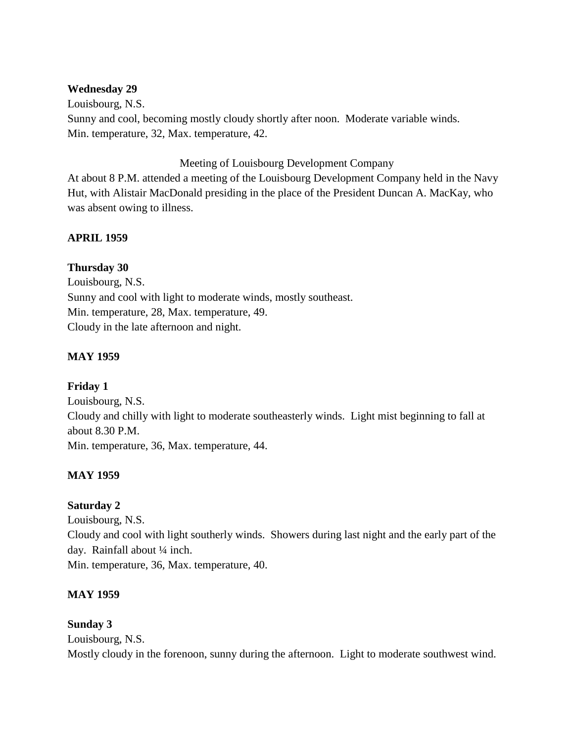### **Wednesday 29**

Louisbourg, N.S. Sunny and cool, becoming mostly cloudy shortly after noon. Moderate variable winds. Min. temperature, 32, Max. temperature, 42.

### Meeting of Louisbourg Development Company

At about 8 P.M. attended a meeting of the Louisbourg Development Company held in the Navy Hut, with Alistair MacDonald presiding in the place of the President Duncan A. MacKay, who was absent owing to illness.

## **APRIL 1959**

## **Thursday 30**

Louisbourg, N.S. Sunny and cool with light to moderate winds, mostly southeast. Min. temperature, 28, Max. temperature, 49. Cloudy in the late afternoon and night.

## **MAY 1959**

## **Friday 1**

Louisbourg, N.S. Cloudy and chilly with light to moderate southeasterly winds. Light mist beginning to fall at about 8.30 P.M. Min. temperature, 36, Max. temperature, 44.

## **MAY 1959**

## **Saturday 2**

Louisbourg, N.S. Cloudy and cool with light southerly winds. Showers during last night and the early part of the day. Rainfall about ¼ inch. Min. temperature, 36, Max. temperature, 40.

## **MAY 1959**

## **Sunday 3**

Louisbourg, N.S. Mostly cloudy in the forenoon, sunny during the afternoon. Light to moderate southwest wind.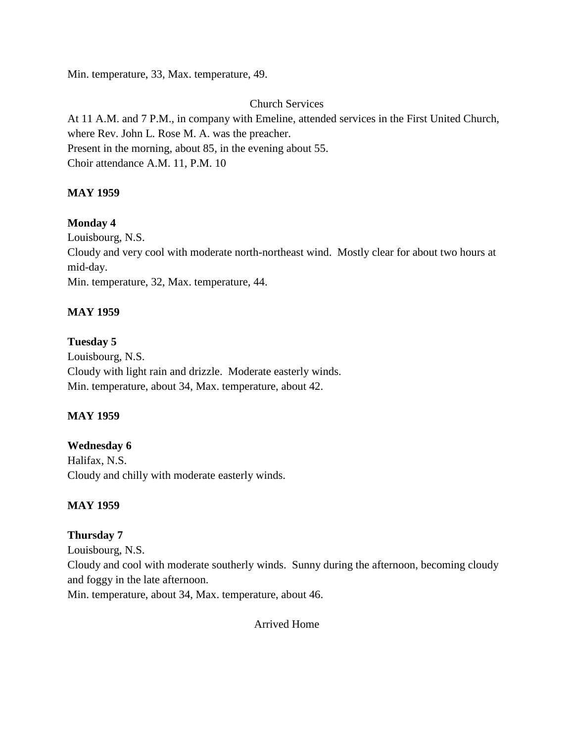Min. temperature, 33, Max. temperature, 49.

## Church Services

At 11 A.M. and 7 P.M., in company with Emeline, attended services in the First United Church, where Rev. John L. Rose M. A. was the preacher. Present in the morning, about 85, in the evening about 55. Choir attendance A.M. 11, P.M. 10

## **MAY 1959**

## **Monday 4**

Louisbourg, N.S.

Cloudy and very cool with moderate north-northeast wind. Mostly clear for about two hours at mid-day.

Min. temperature, 32, Max. temperature, 44.

## **MAY 1959**

## **Tuesday 5**

Louisbourg, N.S. Cloudy with light rain and drizzle. Moderate easterly winds. Min. temperature, about 34, Max. temperature, about 42.

## **MAY 1959**

## **Wednesday 6**

Halifax, N.S. Cloudy and chilly with moderate easterly winds.

## **MAY 1959**

## **Thursday 7**

Louisbourg, N.S. Cloudy and cool with moderate southerly winds. Sunny during the afternoon, becoming cloudy and foggy in the late afternoon.

Min. temperature, about 34, Max. temperature, about 46.

Arrived Home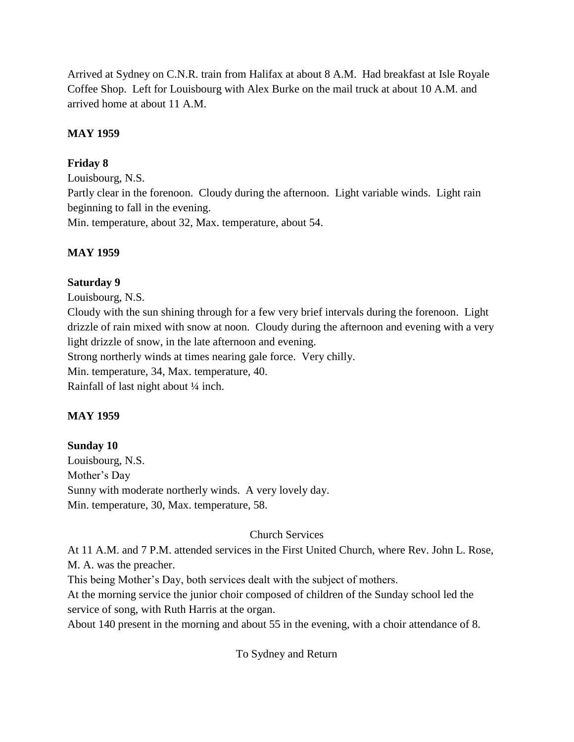Arrived at Sydney on C.N.R. train from Halifax at about 8 A.M. Had breakfast at Isle Royale Coffee Shop. Left for Louisbourg with Alex Burke on the mail truck at about 10 A.M. and arrived home at about 11 A.M.

## **MAY 1959**

## **Friday 8**

Louisbourg, N.S. Partly clear in the forenoon. Cloudy during the afternoon. Light variable winds. Light rain beginning to fall in the evening. Min. temperature, about 32, Max. temperature, about 54.

# **MAY 1959**

## **Saturday 9**

Louisbourg, N.S.

Cloudy with the sun shining through for a few very brief intervals during the forenoon. Light drizzle of rain mixed with snow at noon. Cloudy during the afternoon and evening with a very light drizzle of snow, in the late afternoon and evening.

Strong northerly winds at times nearing gale force. Very chilly.

Min. temperature, 34, Max. temperature, 40.

Rainfall of last night about ¼ inch.

# **MAY 1959**

# **Sunday 10**

Louisbourg, N.S. Mother's Day Sunny with moderate northerly winds. A very lovely day. Min. temperature, 30, Max. temperature, 58.

# Church Services

At 11 A.M. and 7 P.M. attended services in the First United Church, where Rev. John L. Rose, M. A. was the preacher.

This being Mother's Day, both services dealt with the subject of mothers.

At the morning service the junior choir composed of children of the Sunday school led the service of song, with Ruth Harris at the organ.

About 140 present in the morning and about 55 in the evening, with a choir attendance of 8.

To Sydney and Return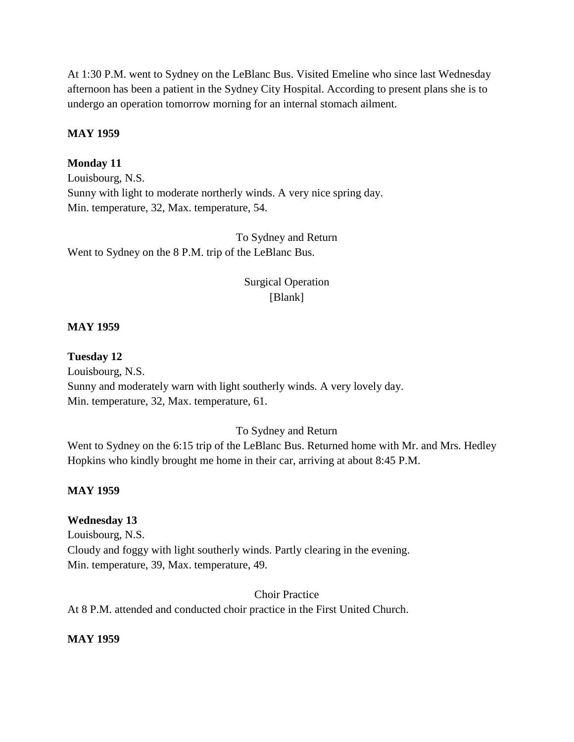At 1:30 P.M. went to Sydney on the LeBlanc Bus. Visited Emeline who since last Wednesday afternoon has been a patient in the Sydney City Hospital. According to present plans she is to undergo an operation tomorrow morning for an internal stomach ailment.

#### **MAY 1959**

#### **Monday 11**

Louisbourg, N.S. Sunny with light to moderate northerly winds. A very nice spring day. Min. temperature, 32, Max. temperature, 54.

To Sydney and Return Went to Sydney on the 8 P.M. trip of the LeBlanc Bus.

## Surgical Operation [Blank]

#### **MAY 1959**

#### **Tuesday 12**

Louisbourg, N.S. Sunny and moderately warn with light southerly winds. A very lovely day. Min. temperature, 32, Max. temperature, 61.

### To Sydney and Return

Went to Sydney on the 6:15 trip of the LeBlanc Bus. Returned home with Mr. and Mrs. Hedley Hopkins who kindly brought me home in their car, arriving at about 8:45 P.M.

#### **MAY 1959**

#### **Wednesday 13**

Louisbourg, N.S. Cloudy and foggy with light southerly winds. Partly clearing in the evening. Min. temperature, 39, Max. temperature, 49.

Choir Practice At 8 P.M. attended and conducted choir practice in the First United Church.

### **MAY 1959**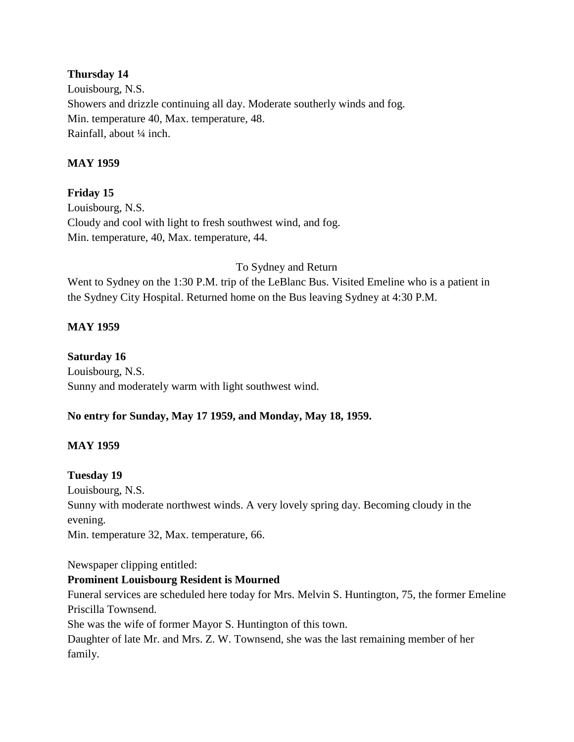## **Thursday 14**

Louisbourg, N.S. Showers and drizzle continuing all day. Moderate southerly winds and fog. Min. temperature 40, Max. temperature, 48. Rainfall, about ¼ inch.

## **MAY 1959**

## **Friday 15**

Louisbourg, N.S. Cloudy and cool with light to fresh southwest wind, and fog. Min. temperature, 40, Max. temperature, 44.

### To Sydney and Return

Went to Sydney on the 1:30 P.M. trip of the LeBlanc Bus. Visited Emeline who is a patient in the Sydney City Hospital. Returned home on the Bus leaving Sydney at 4:30 P.M.

## **MAY 1959**

### **Saturday 16**

Louisbourg, N.S. Sunny and moderately warm with light southwest wind.

## **No entry for Sunday, May 17 1959, and Monday, May 18, 1959.**

## **MAY 1959**

### **Tuesday 19**

Louisbourg, N.S. Sunny with moderate northwest winds. A very lovely spring day. Becoming cloudy in the evening. Min. temperature 32, Max. temperature, 66.

Newspaper clipping entitled:

## **Prominent Louisbourg Resident is Mourned**

Funeral services are scheduled here today for Mrs. Melvin S. Huntington, 75, the former Emeline Priscilla Townsend.

She was the wife of former Mayor S. Huntington of this town.

Daughter of late Mr. and Mrs. Z. W. Townsend, she was the last remaining member of her family.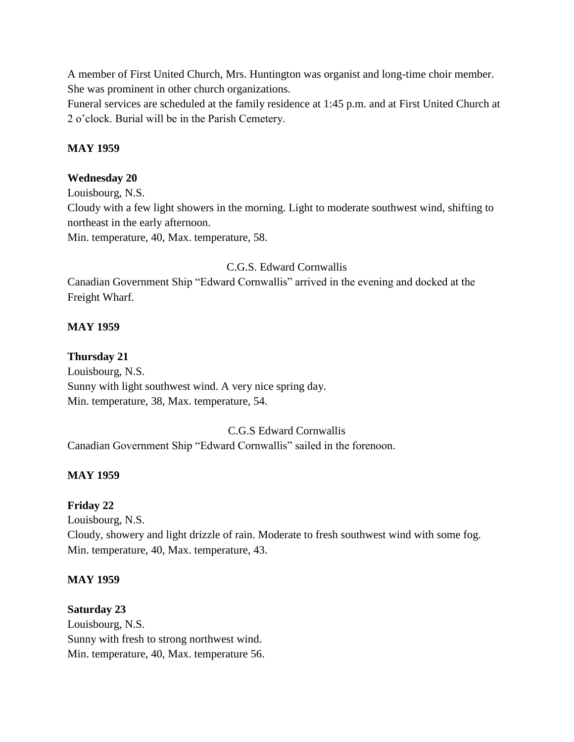A member of First United Church, Mrs. Huntington was organist and long-time choir member. She was prominent in other church organizations.

Funeral services are scheduled at the family residence at 1:45 p.m. and at First United Church at 2 o'clock. Burial will be in the Parish Cemetery.

## **MAY 1959**

## **Wednesday 20**

Louisbourg, N.S. Cloudy with a few light showers in the morning. Light to moderate southwest wind, shifting to northeast in the early afternoon. Min. temperature, 40, Max. temperature, 58.

## C.G.S. Edward Cornwallis

Canadian Government Ship "Edward Cornwallis" arrived in the evening and docked at the Freight Wharf.

## **MAY 1959**

## **Thursday 21**

Louisbourg, N.S. Sunny with light southwest wind. A very nice spring day. Min. temperature, 38, Max. temperature, 54.

## C.G.S Edward Cornwallis

Canadian Government Ship "Edward Cornwallis" sailed in the forenoon.

## **MAY 1959**

## **Friday 22**

Louisbourg, N.S. Cloudy, showery and light drizzle of rain. Moderate to fresh southwest wind with some fog. Min. temperature, 40, Max. temperature, 43.

## **MAY 1959**

## **Saturday 23**

Louisbourg, N.S. Sunny with fresh to strong northwest wind. Min. temperature, 40, Max. temperature 56.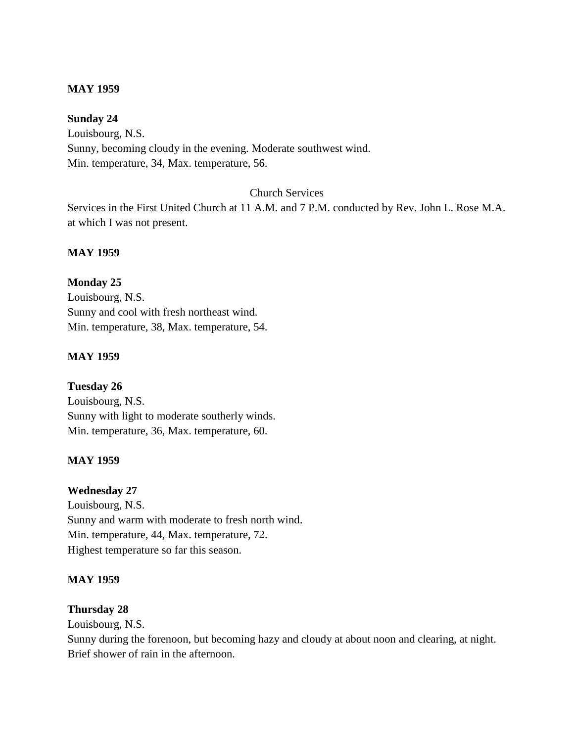### **MAY 1959**

## **Sunday 24**

Louisbourg, N.S. Sunny, becoming cloudy in the evening. Moderate southwest wind. Min. temperature, 34, Max. temperature, 56.

### Church Services

Services in the First United Church at 11 A.M. and 7 P.M. conducted by Rev. John L. Rose M.A. at which I was not present.

### **MAY 1959**

## **Monday 25**

Louisbourg, N.S. Sunny and cool with fresh northeast wind. Min. temperature, 38, Max. temperature, 54.

### **MAY 1959**

**Tuesday 26** Louisbourg, N.S. Sunny with light to moderate southerly winds. Min. temperature, 36, Max. temperature, 60.

## **MAY 1959**

**Wednesday 27** Louisbourg, N.S.

Sunny and warm with moderate to fresh north wind. Min. temperature, 44, Max. temperature, 72. Highest temperature so far this season.

## **MAY 1959**

## **Thursday 28**

Louisbourg, N.S.

Sunny during the forenoon, but becoming hazy and cloudy at about noon and clearing, at night. Brief shower of rain in the afternoon.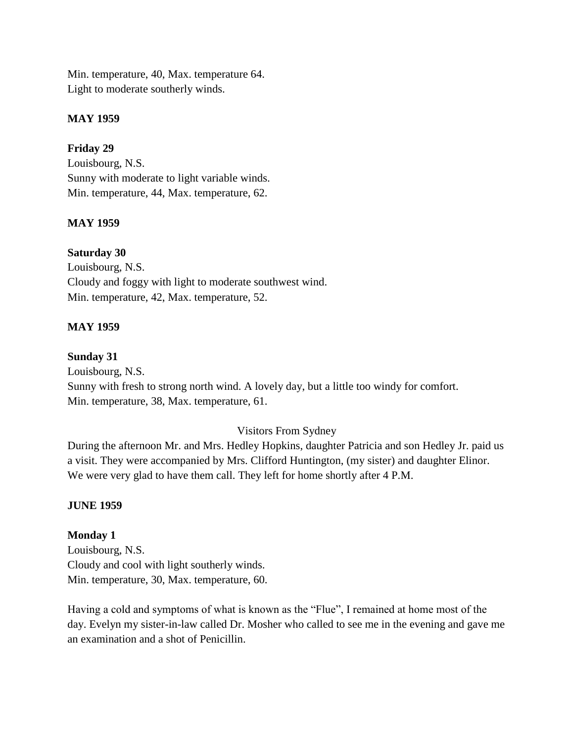Min. temperature, 40, Max. temperature 64. Light to moderate southerly winds.

## **MAY 1959**

## **Friday 29**

Louisbourg, N.S. Sunny with moderate to light variable winds. Min. temperature, 44, Max. temperature, 62.

## **MAY 1959**

## **Saturday 30**

Louisbourg, N.S. Cloudy and foggy with light to moderate southwest wind. Min. temperature, 42, Max. temperature, 52.

## **MAY 1959**

### **Sunday 31**

Louisbourg, N.S. Sunny with fresh to strong north wind. A lovely day, but a little too windy for comfort. Min. temperature, 38, Max. temperature, 61.

## Visitors From Sydney

During the afternoon Mr. and Mrs. Hedley Hopkins, daughter Patricia and son Hedley Jr. paid us a visit. They were accompanied by Mrs. Clifford Huntington, (my sister) and daughter Elinor. We were very glad to have them call. They left for home shortly after 4 P.M.

## **JUNE 1959**

## **Monday 1**

Louisbourg, N.S. Cloudy and cool with light southerly winds. Min. temperature, 30, Max. temperature, 60.

Having a cold and symptoms of what is known as the "Flue", I remained at home most of the day. Evelyn my sister-in-law called Dr. Mosher who called to see me in the evening and gave me an examination and a shot of Penicillin.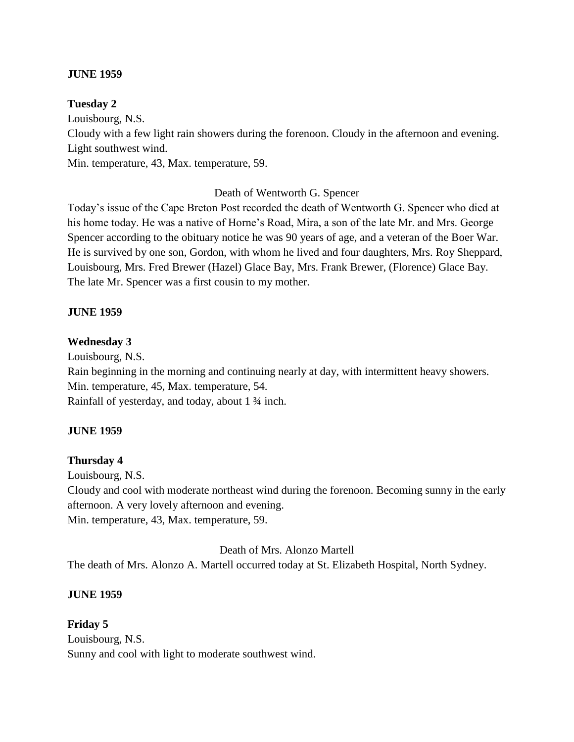### **JUNE 1959**

### **Tuesday 2**

Louisbourg, N.S. Cloudy with a few light rain showers during the forenoon. Cloudy in the afternoon and evening. Light southwest wind. Min. temperature, 43, Max. temperature, 59.

### Death of Wentworth G. Spencer

Today's issue of the Cape Breton Post recorded the death of Wentworth G. Spencer who died at his home today. He was a native of Horne's Road, Mira, a son of the late Mr. and Mrs. George Spencer according to the obituary notice he was 90 years of age, and a veteran of the Boer War. He is survived by one son, Gordon, with whom he lived and four daughters, Mrs. Roy Sheppard, Louisbourg, Mrs. Fred Brewer (Hazel) Glace Bay, Mrs. Frank Brewer, (Florence) Glace Bay. The late Mr. Spencer was a first cousin to my mother.

### **JUNE 1959**

### **Wednesday 3**

Louisbourg, N.S. Rain beginning in the morning and continuing nearly at day, with intermittent heavy showers. Min. temperature, 45, Max. temperature, 54. Rainfall of yesterday, and today, about 1 ¾ inch.

## **JUNE 1959**

## **Thursday 4**

Louisbourg, N.S. Cloudy and cool with moderate northeast wind during the forenoon. Becoming sunny in the early afternoon. A very lovely afternoon and evening. Min. temperature, 43, Max. temperature, 59.

Death of Mrs. Alonzo Martell

The death of Mrs. Alonzo A. Martell occurred today at St. Elizabeth Hospital, North Sydney.

### **JUNE 1959**

**Friday 5** Louisbourg, N.S. Sunny and cool with light to moderate southwest wind.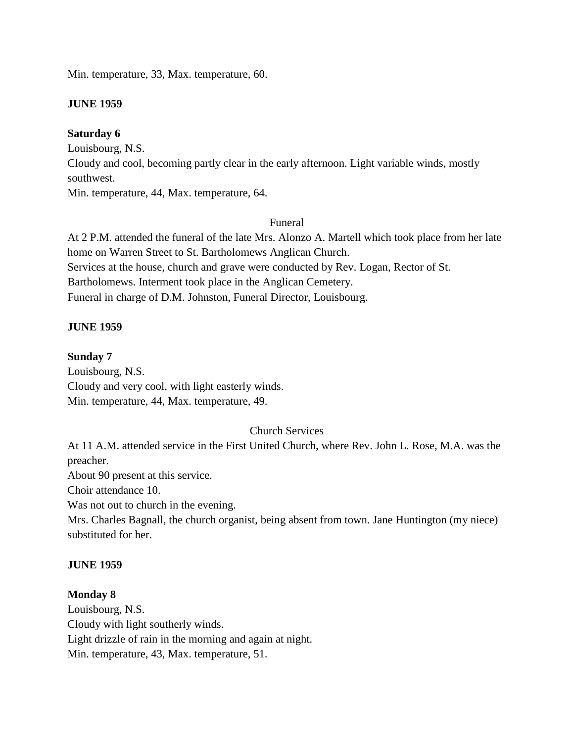Min. temperature, 33, Max. temperature, 60.

## **JUNE 1959**

## **Saturday 6**

Louisbourg, N.S.

Cloudy and cool, becoming partly clear in the early afternoon. Light variable winds, mostly southwest.

Min. temperature, 44, Max. temperature, 64.

## Funeral

At 2 P.M. attended the funeral of the late Mrs. Alonzo A. Martell which took place from her late home on Warren Street to St. Bartholomews Anglican Church. Services at the house, church and grave were conducted by Rev. Logan, Rector of St. Bartholomews. Interment took place in the Anglican Cemetery. Funeral in charge of D.M. Johnston, Funeral Director, Louisbourg.

### **JUNE 1959**

### **Sunday 7**

Louisbourg, N.S. Cloudy and very cool, with light easterly winds. Min. temperature, 44, Max. temperature, 49.

## Church Services

At 11 A.M. attended service in the First United Church, where Rev. John L. Rose, M.A. was the preacher.

About 90 present at this service.

Choir attendance 10.

Was not out to church in the evening.

Mrs. Charles Bagnall, the church organist, being absent from town. Jane Huntington (my niece) substituted for her.

### **JUNE 1959**

### **Monday 8**

Louisbourg, N.S. Cloudy with light southerly winds. Light drizzle of rain in the morning and again at night. Min. temperature, 43, Max. temperature, 51.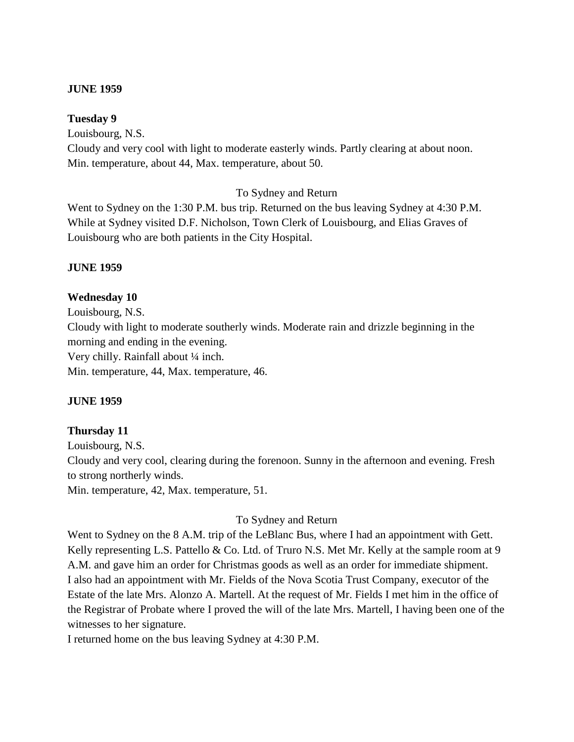#### **JUNE 1959**

#### **Tuesday 9**

Louisbourg, N.S. Cloudy and very cool with light to moderate easterly winds. Partly clearing at about noon. Min. temperature, about 44, Max. temperature, about 50.

### To Sydney and Return

Went to Sydney on the 1:30 P.M. bus trip. Returned on the bus leaving Sydney at 4:30 P.M. While at Sydney visited D.F. Nicholson, Town Clerk of Louisbourg, and Elias Graves of Louisbourg who are both patients in the City Hospital.

#### **JUNE 1959**

#### **Wednesday 10**

Louisbourg, N.S. Cloudy with light to moderate southerly winds. Moderate rain and drizzle beginning in the morning and ending in the evening. Very chilly. Rainfall about ¼ inch. Min. temperature, 44, Max. temperature, 46.

### **JUNE 1959**

### **Thursday 11**

Louisbourg, N.S. Cloudy and very cool, clearing during the forenoon. Sunny in the afternoon and evening. Fresh to strong northerly winds. Min. temperature, 42, Max. temperature, 51.

#### To Sydney and Return

Went to Sydney on the 8 A.M. trip of the LeBlanc Bus, where I had an appointment with Gett. Kelly representing L.S. Pattello & Co. Ltd. of Truro N.S. Met Mr. Kelly at the sample room at 9 A.M. and gave him an order for Christmas goods as well as an order for immediate shipment. I also had an appointment with Mr. Fields of the Nova Scotia Trust Company, executor of the Estate of the late Mrs. Alonzo A. Martell. At the request of Mr. Fields I met him in the office of the Registrar of Probate where I proved the will of the late Mrs. Martell, I having been one of the witnesses to her signature.

I returned home on the bus leaving Sydney at 4:30 P.M.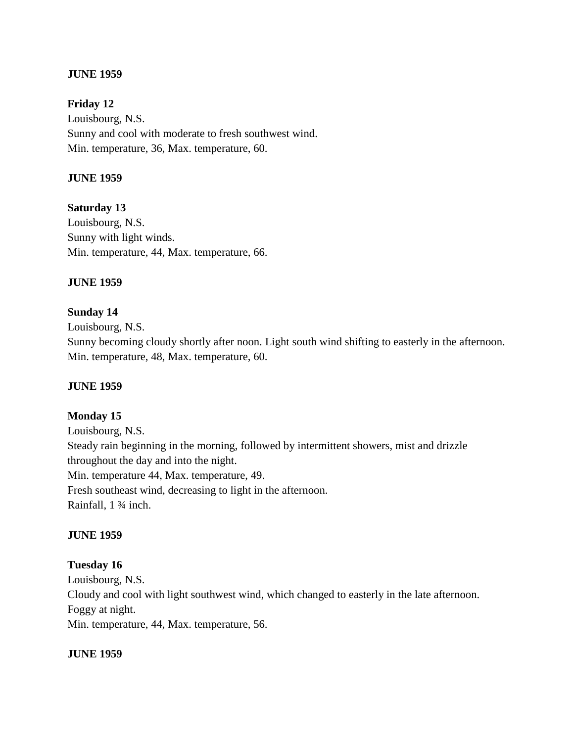### **JUNE 1959**

**Friday 12** Louisbourg, N.S. Sunny and cool with moderate to fresh southwest wind. Min. temperature, 36, Max. temperature, 60.

### **JUNE 1959**

**Saturday 13** Louisbourg, N.S. Sunny with light winds. Min. temperature, 44, Max. temperature, 66.

#### **JUNE 1959**

#### **Sunday 14**

Louisbourg, N.S.

Sunny becoming cloudy shortly after noon. Light south wind shifting to easterly in the afternoon. Min. temperature, 48, Max. temperature, 60.

#### **JUNE 1959**

#### **Monday 15**

Louisbourg, N.S. Steady rain beginning in the morning, followed by intermittent showers, mist and drizzle throughout the day and into the night. Min. temperature 44, Max. temperature, 49. Fresh southeast wind, decreasing to light in the afternoon. Rainfall, 1 ¾ inch.

#### **JUNE 1959**

### **Tuesday 16**

Louisbourg, N.S. Cloudy and cool with light southwest wind, which changed to easterly in the late afternoon. Foggy at night. Min. temperature, 44, Max. temperature, 56.

#### **JUNE 1959**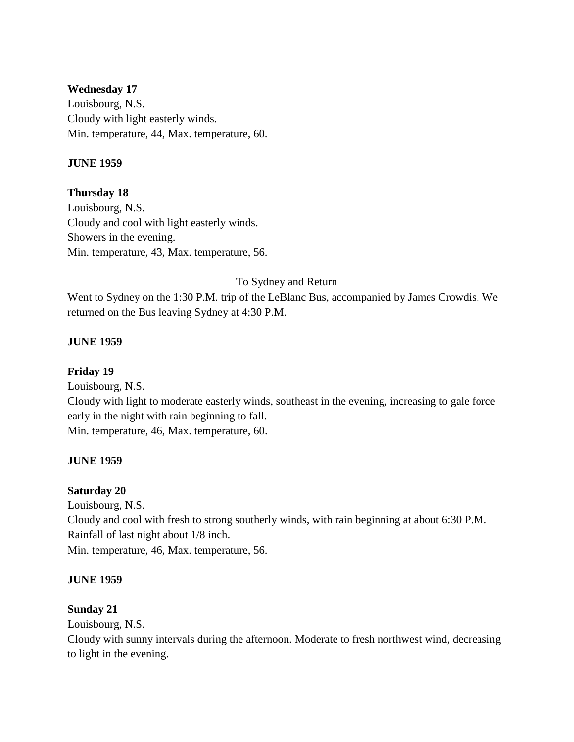### **Wednesday 17**

Louisbourg, N.S. Cloudy with light easterly winds. Min. temperature, 44, Max. temperature, 60.

## **JUNE 1959**

## **Thursday 18**

Louisbourg, N.S. Cloudy and cool with light easterly winds. Showers in the evening. Min. temperature, 43, Max. temperature, 56.

## To Sydney and Return

Went to Sydney on the 1:30 P.M. trip of the LeBlanc Bus, accompanied by James Crowdis. We returned on the Bus leaving Sydney at 4:30 P.M.

## **JUNE 1959**

## **Friday 19**

Louisbourg, N.S. Cloudy with light to moderate easterly winds, southeast in the evening, increasing to gale force early in the night with rain beginning to fall. Min. temperature, 46, Max. temperature, 60.

### **JUNE 1959**

## **Saturday 20**

Louisbourg, N.S. Cloudy and cool with fresh to strong southerly winds, with rain beginning at about 6:30 P.M. Rainfall of last night about 1/8 inch. Min. temperature, 46, Max. temperature, 56.

### **JUNE 1959**

## **Sunday 21**

Louisbourg, N.S.

Cloudy with sunny intervals during the afternoon. Moderate to fresh northwest wind, decreasing to light in the evening.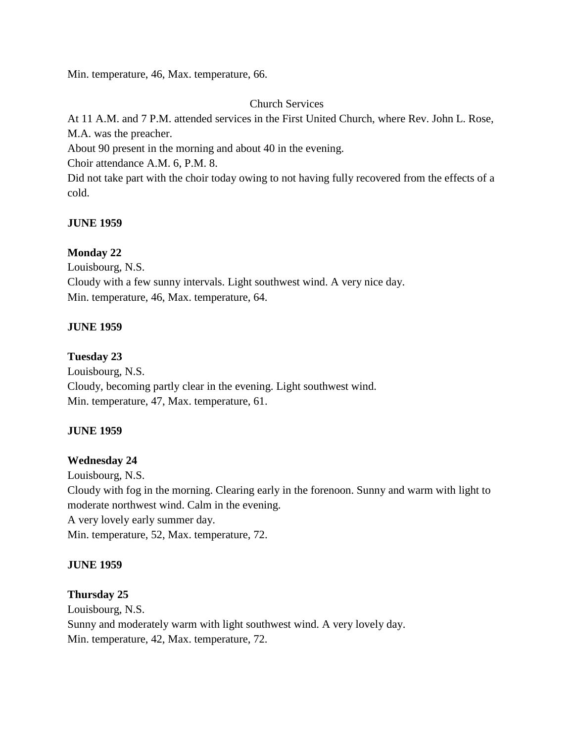Min. temperature, 46, Max. temperature, 66.

Church Services

At 11 A.M. and 7 P.M. attended services in the First United Church, where Rev. John L. Rose, M.A. was the preacher.

About 90 present in the morning and about 40 in the evening.

Choir attendance A.M. 6, P.M. 8.

Did not take part with the choir today owing to not having fully recovered from the effects of a cold.

## **JUNE 1959**

## **Monday 22**

Louisbourg, N.S. Cloudy with a few sunny intervals. Light southwest wind. A very nice day. Min. temperature, 46, Max. temperature, 64.

## **JUNE 1959**

## **Tuesday 23**

Louisbourg, N.S. Cloudy, becoming partly clear in the evening. Light southwest wind. Min. temperature, 47, Max. temperature, 61.

## **JUNE 1959**

## **Wednesday 24**

Louisbourg, N.S. Cloudy with fog in the morning. Clearing early in the forenoon. Sunny and warm with light to moderate northwest wind. Calm in the evening. A very lovely early summer day. Min. temperature, 52, Max. temperature, 72.

## **JUNE 1959**

## **Thursday 25**

Louisbourg, N.S. Sunny and moderately warm with light southwest wind. A very lovely day. Min. temperature, 42, Max. temperature, 72.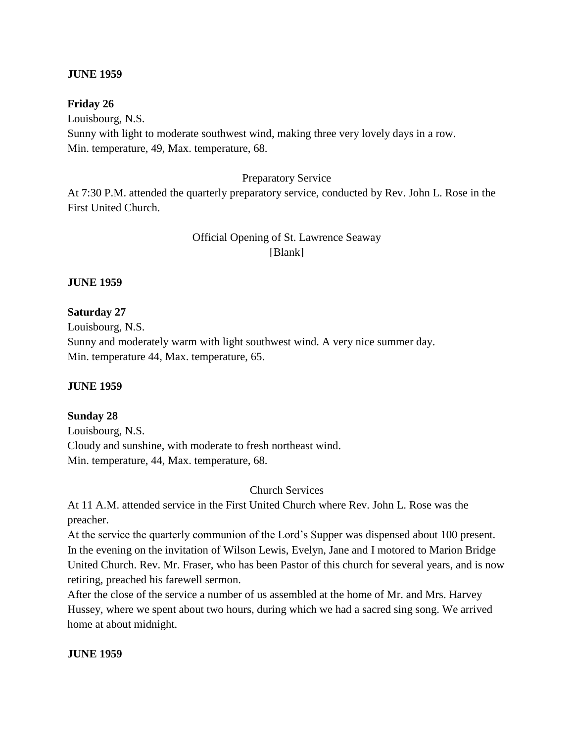### **JUNE 1959**

#### **Friday 26**

Louisbourg, N.S. Sunny with light to moderate southwest wind, making three very lovely days in a row. Min. temperature, 49, Max. temperature, 68.

#### Preparatory Service

At 7:30 P.M. attended the quarterly preparatory service, conducted by Rev. John L. Rose in the First United Church.

## Official Opening of St. Lawrence Seaway [Blank]

#### **JUNE 1959**

### **Saturday 27**

Louisbourg, N.S. Sunny and moderately warm with light southwest wind. A very nice summer day. Min. temperature 44, Max. temperature, 65.

#### **JUNE 1959**

#### **Sunday 28**

Louisbourg, N.S. Cloudy and sunshine, with moderate to fresh northeast wind. Min. temperature, 44, Max. temperature, 68.

Church Services

At 11 A.M. attended service in the First United Church where Rev. John L. Rose was the preacher.

At the service the quarterly communion of the Lord's Supper was dispensed about 100 present. In the evening on the invitation of Wilson Lewis, Evelyn, Jane and I motored to Marion Bridge United Church. Rev. Mr. Fraser, who has been Pastor of this church for several years, and is now retiring, preached his farewell sermon.

After the close of the service a number of us assembled at the home of Mr. and Mrs. Harvey Hussey, where we spent about two hours, during which we had a sacred sing song. We arrived home at about midnight.

#### **JUNE 1959**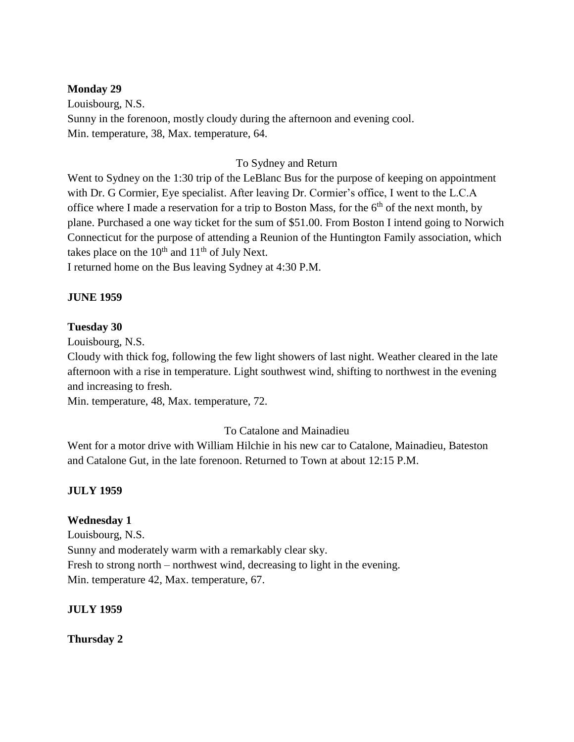### **Monday 29**

Louisbourg, N.S. Sunny in the forenoon, mostly cloudy during the afternoon and evening cool. Min. temperature, 38, Max. temperature, 64.

## To Sydney and Return

Went to Sydney on the 1:30 trip of the LeBlanc Bus for the purpose of keeping on appointment with Dr. G Cormier, Eye specialist. After leaving Dr. Cormier's office, I went to the L.C.A office where I made a reservation for a trip to Boston Mass, for the  $6<sup>th</sup>$  of the next month, by plane. Purchased a one way ticket for the sum of \$51.00. From Boston I intend going to Norwich Connecticut for the purpose of attending a Reunion of the Huntington Family association, which takes place on the  $10^{th}$  and  $11^{th}$  of July Next.

I returned home on the Bus leaving Sydney at 4:30 P.M.

## **JUNE 1959**

### **Tuesday 30**

Louisbourg, N.S.

Cloudy with thick fog, following the few light showers of last night. Weather cleared in the late afternoon with a rise in temperature. Light southwest wind, shifting to northwest in the evening and increasing to fresh.

Min. temperature, 48, Max. temperature, 72.

## To Catalone and Mainadieu

Went for a motor drive with William Hilchie in his new car to Catalone, Mainadieu, Bateston and Catalone Gut, in the late forenoon. Returned to Town at about 12:15 P.M.

## **JULY 1959**

## **Wednesday 1**

Louisbourg, N.S. Sunny and moderately warm with a remarkably clear sky. Fresh to strong north – northwest wind, decreasing to light in the evening. Min. temperature 42, Max. temperature, 67.

### **JULY 1959**

**Thursday 2**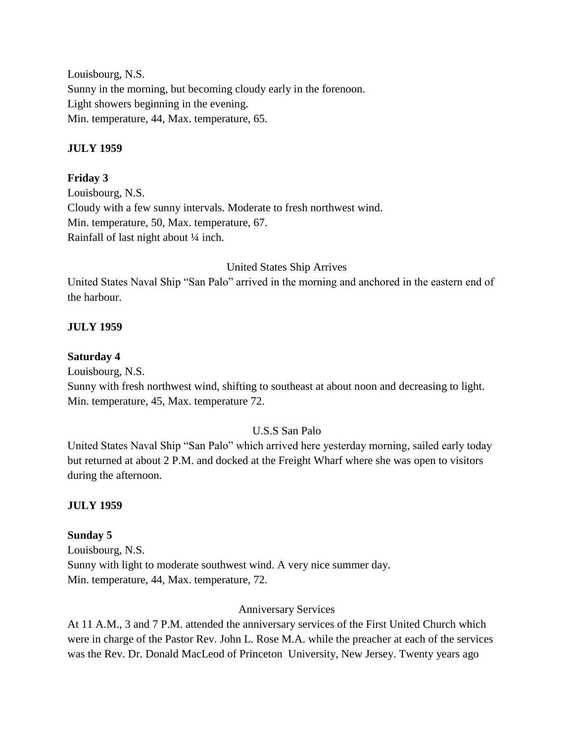Louisbourg, N.S. Sunny in the morning, but becoming cloudy early in the forenoon. Light showers beginning in the evening. Min. temperature, 44, Max. temperature, 65.

## **JULY 1959**

## **Friday 3**

Louisbourg, N.S. Cloudy with a few sunny intervals. Moderate to fresh northwest wind. Min. temperature, 50, Max. temperature, 67. Rainfall of last night about ¼ inch.

## United States Ship Arrives

United States Naval Ship "San Palo" arrived in the morning and anchored in the eastern end of the harbour.

## **JULY 1959**

### **Saturday 4**

Louisbourg, N.S.

Sunny with fresh northwest wind, shifting to southeast at about noon and decreasing to light. Min. temperature, 45, Max. temperature 72.

### U.S.S San Palo

United States Naval Ship "San Palo" which arrived here yesterday morning, sailed early today but returned at about 2 P.M. and docked at the Freight Wharf where she was open to visitors during the afternoon.

### **JULY 1959**

### **Sunday 5**

Louisbourg, N.S. Sunny with light to moderate southwest wind. A very nice summer day. Min. temperature, 44, Max. temperature, 72.

### Anniversary Services

At 11 A.M., 3 and 7 P.M. attended the anniversary services of the First United Church which were in charge of the Pastor Rev. John L. Rose M.A. while the preacher at each of the services was the Rev. Dr. Donald MacLeod of Princeton University, New Jersey. Twenty years ago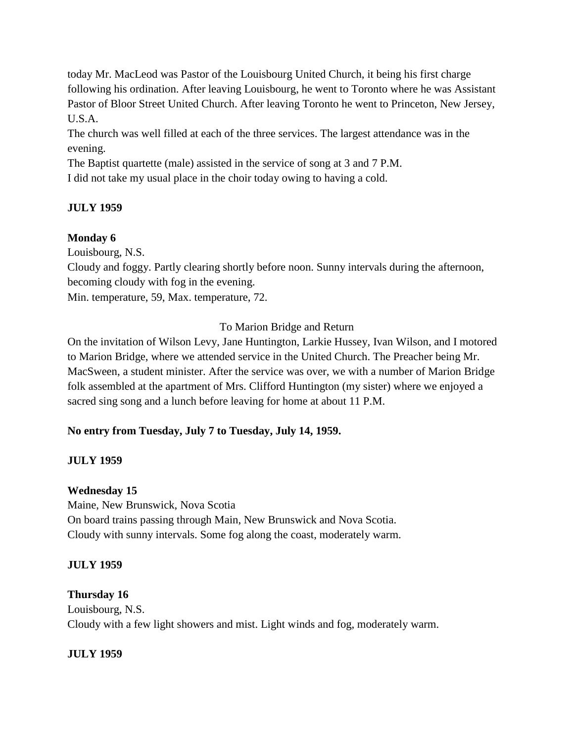today Mr. MacLeod was Pastor of the Louisbourg United Church, it being his first charge following his ordination. After leaving Louisbourg, he went to Toronto where he was Assistant Pastor of Bloor Street United Church. After leaving Toronto he went to Princeton, New Jersey, U.S.A.

The church was well filled at each of the three services. The largest attendance was in the evening.

The Baptist quartette (male) assisted in the service of song at 3 and 7 P.M.

I did not take my usual place in the choir today owing to having a cold.

# **JULY 1959**

# **Monday 6**

Louisbourg, N.S.

Cloudy and foggy. Partly clearing shortly before noon. Sunny intervals during the afternoon, becoming cloudy with fog in the evening.

Min. temperature, 59, Max. temperature, 72.

# To Marion Bridge and Return

On the invitation of Wilson Levy, Jane Huntington, Larkie Hussey, Ivan Wilson, and I motored to Marion Bridge, where we attended service in the United Church. The Preacher being Mr. MacSween, a student minister. After the service was over, we with a number of Marion Bridge folk assembled at the apartment of Mrs. Clifford Huntington (my sister) where we enjoyed a sacred sing song and a lunch before leaving for home at about 11 P.M.

# **No entry from Tuesday, July 7 to Tuesday, July 14, 1959.**

# **JULY 1959**

# **Wednesday 15**

Maine, New Brunswick, Nova Scotia On board trains passing through Main, New Brunswick and Nova Scotia. Cloudy with sunny intervals. Some fog along the coast, moderately warm.

# **JULY 1959**

# **Thursday 16**

Louisbourg, N.S. Cloudy with a few light showers and mist. Light winds and fog, moderately warm.

# **JULY 1959**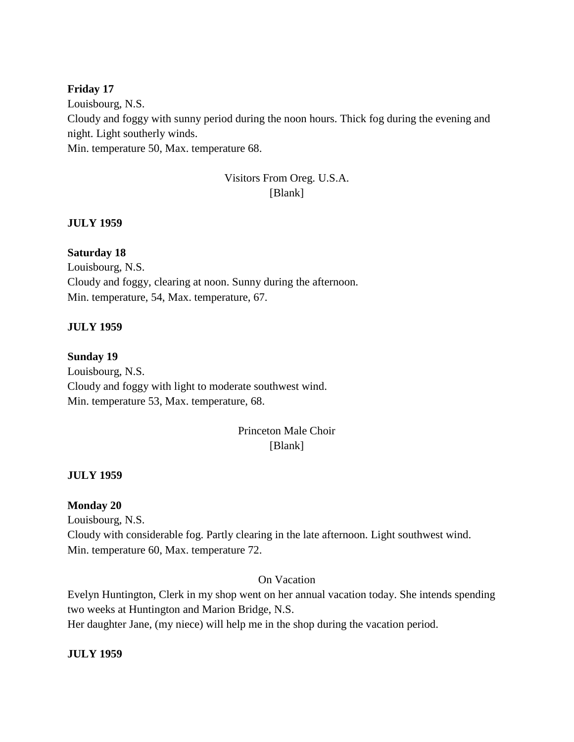### **Friday 17**

Louisbourg, N.S. Cloudy and foggy with sunny period during the noon hours. Thick fog during the evening and night. Light southerly winds. Min. temperature 50, Max. temperature 68.

# Visitors From Oreg. U.S.A. [Blank]

### **JULY 1959**

## **Saturday 18**

Louisbourg, N.S. Cloudy and foggy, clearing at noon. Sunny during the afternoon. Min. temperature, 54, Max. temperature, 67.

### **JULY 1959**

#### **Sunday 19**

Louisbourg, N.S. Cloudy and foggy with light to moderate southwest wind. Min. temperature 53, Max. temperature, 68.

# Princeton Male Choir [Blank]

#### **JULY 1959**

### **Monday 20**

Louisbourg, N.S. Cloudy with considerable fog. Partly clearing in the late afternoon. Light southwest wind. Min. temperature 60, Max. temperature 72.

## On Vacation

Evelyn Huntington, Clerk in my shop went on her annual vacation today. She intends spending two weeks at Huntington and Marion Bridge, N.S.

Her daughter Jane, (my niece) will help me in the shop during the vacation period.

### **JULY 1959**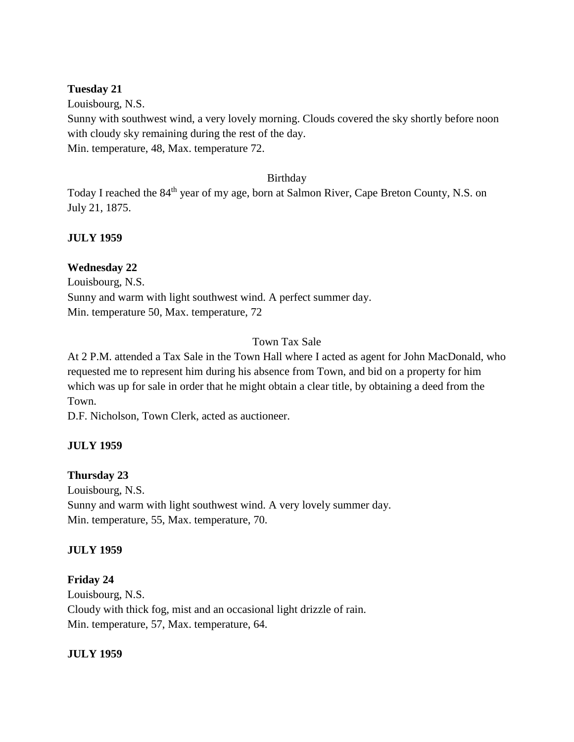### **Tuesday 21**

Louisbourg, N.S. Sunny with southwest wind, a very lovely morning. Clouds covered the sky shortly before noon with cloudy sky remaining during the rest of the day. Min. temperature, 48, Max. temperature 72.

### Birthday

Today I reached the 84<sup>th</sup> year of my age, born at Salmon River, Cape Breton County, N.S. on July 21, 1875.

## **JULY 1959**

## **Wednesday 22**

Louisbourg, N.S. Sunny and warm with light southwest wind. A perfect summer day. Min. temperature 50, Max. temperature, 72

## Town Tax Sale

At 2 P.M. attended a Tax Sale in the Town Hall where I acted as agent for John MacDonald, who requested me to represent him during his absence from Town, and bid on a property for him which was up for sale in order that he might obtain a clear title, by obtaining a deed from the Town.

D.F. Nicholson, Town Clerk, acted as auctioneer.

## **JULY 1959**

## **Thursday 23**

Louisbourg, N.S. Sunny and warm with light southwest wind. A very lovely summer day. Min. temperature, 55, Max. temperature, 70.

### **JULY 1959**

## **Friday 24**

Louisbourg, N.S. Cloudy with thick fog, mist and an occasional light drizzle of rain. Min. temperature, 57, Max. temperature, 64.

### **JULY 1959**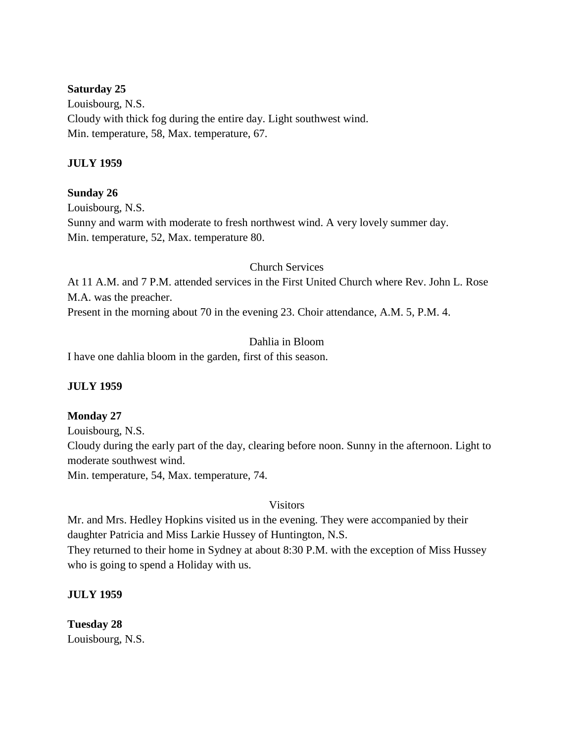#### **Saturday 25**

Louisbourg, N.S. Cloudy with thick fog during the entire day. Light southwest wind. Min. temperature, 58, Max. temperature, 67.

### **JULY 1959**

### **Sunday 26**

Louisbourg, N.S. Sunny and warm with moderate to fresh northwest wind. A very lovely summer day. Min. temperature, 52, Max. temperature 80.

#### Church Services

At 11 A.M. and 7 P.M. attended services in the First United Church where Rev. John L. Rose M.A. was the preacher.

Present in the morning about 70 in the evening 23. Choir attendance, A.M. 5, P.M. 4.

## Dahlia in Bloom

I have one dahlia bloom in the garden, first of this season.

### **JULY 1959**

#### **Monday 27**

Louisbourg, N.S. Cloudy during the early part of the day, clearing before noon. Sunny in the afternoon. Light to moderate southwest wind.

Min. temperature, 54, Max. temperature, 74.

#### Visitors

Mr. and Mrs. Hedley Hopkins visited us in the evening. They were accompanied by their daughter Patricia and Miss Larkie Hussey of Huntington, N.S. They returned to their home in Sydney at about 8:30 P.M. with the exception of Miss Hussey

who is going to spend a Holiday with us.

### **JULY 1959**

**Tuesday 28** Louisbourg, N.S.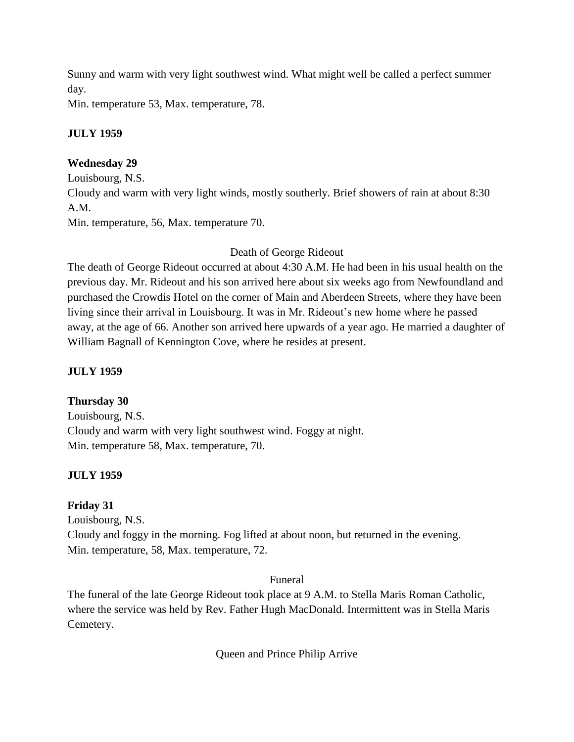Sunny and warm with very light southwest wind. What might well be called a perfect summer day.

Min. temperature 53, Max. temperature, 78.

# **JULY 1959**

# **Wednesday 29**

Louisbourg, N.S. Cloudy and warm with very light winds, mostly southerly. Brief showers of rain at about 8:30 A.M. Min. temperature, 56, Max. temperature 70.

# Death of George Rideout

The death of George Rideout occurred at about 4:30 A.M. He had been in his usual health on the previous day. Mr. Rideout and his son arrived here about six weeks ago from Newfoundland and purchased the Crowdis Hotel on the corner of Main and Aberdeen Streets, where they have been living since their arrival in Louisbourg. It was in Mr. Rideout's new home where he passed away, at the age of 66. Another son arrived here upwards of a year ago. He married a daughter of William Bagnall of Kennington Cove, where he resides at present.

# **JULY 1959**

# **Thursday 30**

Louisbourg, N.S. Cloudy and warm with very light southwest wind. Foggy at night. Min. temperature 58, Max. temperature, 70.

# **JULY 1959**

# **Friday 31**

Louisbourg, N.S. Cloudy and foggy in the morning. Fog lifted at about noon, but returned in the evening. Min. temperature, 58, Max. temperature, 72.

# Funeral

The funeral of the late George Rideout took place at 9 A.M. to Stella Maris Roman Catholic, where the service was held by Rev. Father Hugh MacDonald. Intermittent was in Stella Maris Cemetery.

Queen and Prince Philip Arrive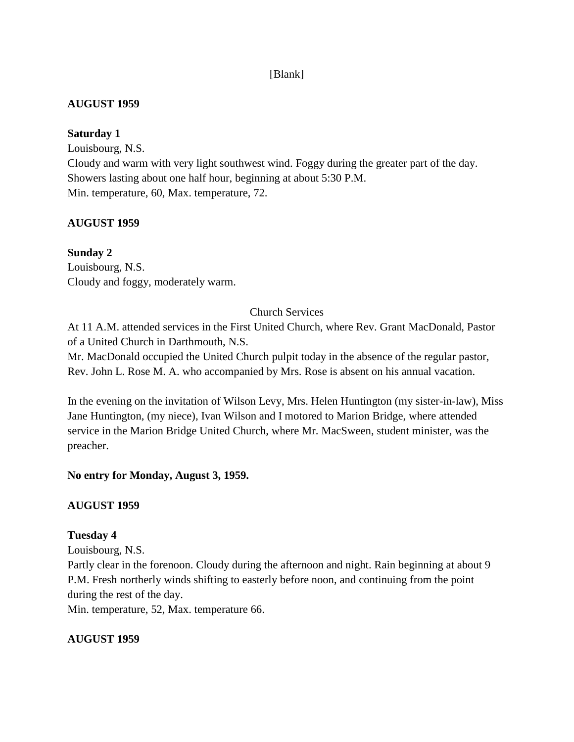## [Blank]

## **AUGUST 1959**

## **Saturday 1**

Louisbourg, N.S. Cloudy and warm with very light southwest wind. Foggy during the greater part of the day. Showers lasting about one half hour, beginning at about 5:30 P.M. Min. temperature, 60, Max. temperature, 72.

# **AUGUST 1959**

**Sunday 2** Louisbourg, N.S. Cloudy and foggy, moderately warm.

## Church Services

At 11 A.M. attended services in the First United Church, where Rev. Grant MacDonald, Pastor of a United Church in Darthmouth, N.S.

Mr. MacDonald occupied the United Church pulpit today in the absence of the regular pastor, Rev. John L. Rose M. A. who accompanied by Mrs. Rose is absent on his annual vacation.

In the evening on the invitation of Wilson Levy, Mrs. Helen Huntington (my sister-in-law), Miss Jane Huntington, (my niece), Ivan Wilson and I motored to Marion Bridge, where attended service in the Marion Bridge United Church, where Mr. MacSween, student minister, was the preacher.

## **No entry for Monday, August 3, 1959.**

## **AUGUST 1959**

## **Tuesday 4**

Louisbourg, N.S.

Partly clear in the forenoon. Cloudy during the afternoon and night. Rain beginning at about 9 P.M. Fresh northerly winds shifting to easterly before noon, and continuing from the point during the rest of the day.

Min. temperature, 52, Max. temperature 66.

# **AUGUST 1959**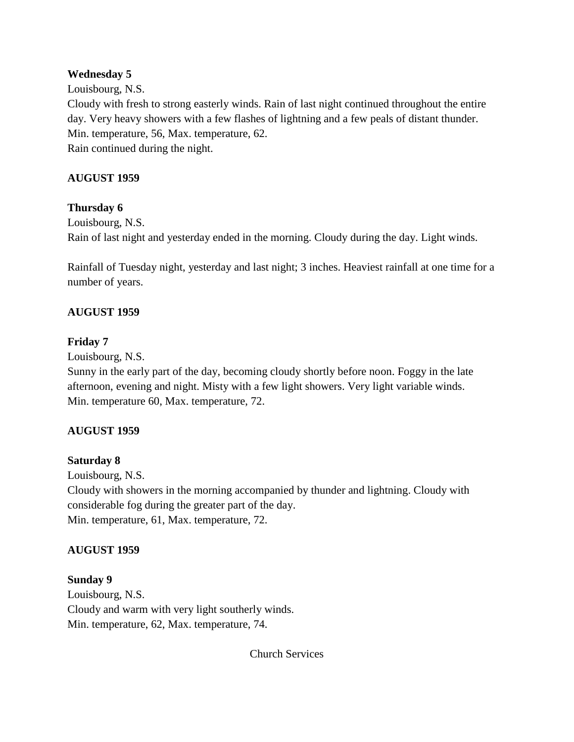## **Wednesday 5**

Louisbourg, N.S.

Cloudy with fresh to strong easterly winds. Rain of last night continued throughout the entire day. Very heavy showers with a few flashes of lightning and a few peals of distant thunder. Min. temperature, 56, Max. temperature, 62. Rain continued during the night.

## **AUGUST 1959**

## **Thursday 6**

Louisbourg, N.S. Rain of last night and yesterday ended in the morning. Cloudy during the day. Light winds.

Rainfall of Tuesday night, yesterday and last night; 3 inches. Heaviest rainfall at one time for a number of years.

## **AUGUST 1959**

## **Friday 7**

Louisbourg, N.S.

Sunny in the early part of the day, becoming cloudy shortly before noon. Foggy in the late afternoon, evening and night. Misty with a few light showers. Very light variable winds. Min. temperature 60, Max. temperature, 72.

## **AUGUST 1959**

## **Saturday 8**

Louisbourg, N.S.

Cloudy with showers in the morning accompanied by thunder and lightning. Cloudy with considerable fog during the greater part of the day. Min. temperature, 61, Max. temperature, 72.

## **AUGUST 1959**

## **Sunday 9**

Louisbourg, N.S. Cloudy and warm with very light southerly winds. Min. temperature, 62, Max. temperature, 74.

Church Services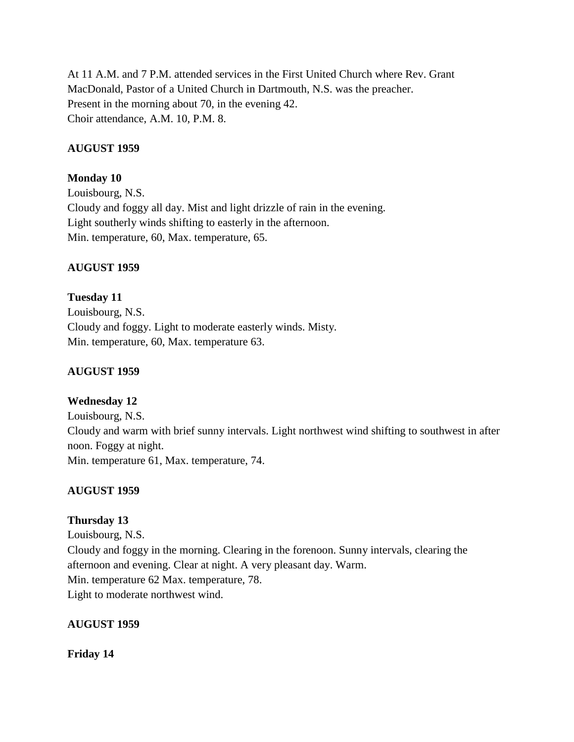At 11 A.M. and 7 P.M. attended services in the First United Church where Rev. Grant MacDonald, Pastor of a United Church in Dartmouth, N.S. was the preacher. Present in the morning about 70, in the evening 42. Choir attendance, A.M. 10, P.M. 8.

## **AUGUST 1959**

## **Monday 10**

Louisbourg, N.S. Cloudy and foggy all day. Mist and light drizzle of rain in the evening. Light southerly winds shifting to easterly in the afternoon. Min. temperature, 60, Max. temperature, 65.

## **AUGUST 1959**

**Tuesday 11** Louisbourg, N.S. Cloudy and foggy. Light to moderate easterly winds. Misty. Min. temperature, 60, Max. temperature 63.

## **AUGUST 1959**

# **Wednesday 12**

Louisbourg, N.S. Cloudy and warm with brief sunny intervals. Light northwest wind shifting to southwest in after noon. Foggy at night. Min. temperature 61, Max. temperature, 74.

# **AUGUST 1959**

# **Thursday 13**

Louisbourg, N.S. Cloudy and foggy in the morning. Clearing in the forenoon. Sunny intervals, clearing the afternoon and evening. Clear at night. A very pleasant day. Warm. Min. temperature 62 Max. temperature, 78. Light to moderate northwest wind.

## **AUGUST 1959**

**Friday 14**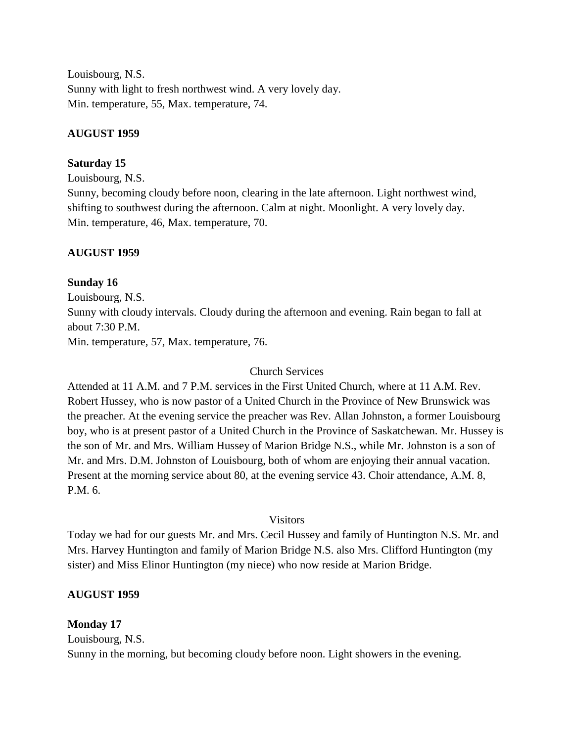Louisbourg, N.S. Sunny with light to fresh northwest wind. A very lovely day. Min. temperature, 55, Max. temperature, 74.

## **AUGUST 1959**

## **Saturday 15**

Louisbourg, N.S.

Sunny, becoming cloudy before noon, clearing in the late afternoon. Light northwest wind, shifting to southwest during the afternoon. Calm at night. Moonlight. A very lovely day. Min. temperature, 46, Max. temperature, 70.

## **AUGUST 1959**

## **Sunday 16**

Louisbourg, N.S. Sunny with cloudy intervals. Cloudy during the afternoon and evening. Rain began to fall at about 7:30 P.M. Min. temperature, 57, Max. temperature, 76.

## Church Services

Attended at 11 A.M. and 7 P.M. services in the First United Church, where at 11 A.M. Rev. Robert Hussey, who is now pastor of a United Church in the Province of New Brunswick was the preacher. At the evening service the preacher was Rev. Allan Johnston, a former Louisbourg boy, who is at present pastor of a United Church in the Province of Saskatchewan. Mr. Hussey is the son of Mr. and Mrs. William Hussey of Marion Bridge N.S., while Mr. Johnston is a son of Mr. and Mrs. D.M. Johnston of Louisbourg, both of whom are enjoying their annual vacation. Present at the morning service about 80, at the evening service 43. Choir attendance, A.M. 8, P.M. 6.

## Visitors

Today we had for our guests Mr. and Mrs. Cecil Hussey and family of Huntington N.S. Mr. and Mrs. Harvey Huntington and family of Marion Bridge N.S. also Mrs. Clifford Huntington (my sister) and Miss Elinor Huntington (my niece) who now reside at Marion Bridge.

## **AUGUST 1959**

## **Monday 17**

Louisbourg, N.S. Sunny in the morning, but becoming cloudy before noon. Light showers in the evening.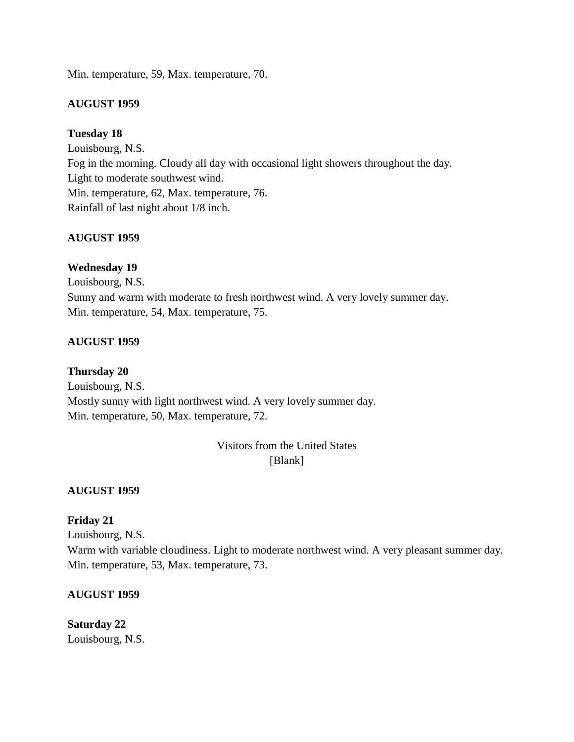Min. temperature, 59, Max. temperature, 70.

### **AUGUST 1959**

### **Tuesday 18**

Louisbourg, N.S. Fog in the morning. Cloudy all day with occasional light showers throughout the day. Light to moderate southwest wind. Min. temperature, 62, Max. temperature, 76. Rainfall of last night about 1/8 inch.

### **AUGUST 1959**

## **Wednesday 19**

Louisbourg, N.S. Sunny and warm with moderate to fresh northwest wind. A very lovely summer day. Min. temperature, 54, Max. temperature, 75.

### **AUGUST 1959**

### **Thursday 20**

Louisbourg, N.S. Mostly sunny with light northwest wind. A very lovely summer day. Min. temperature, 50, Max. temperature, 72.

> Visitors from the United States [Blank]

### **AUGUST 1959**

## **Friday 21**

Louisbourg, N.S. Warm with variable cloudiness. Light to moderate northwest wind. A very pleasant summer day. Min. temperature, 53, Max. temperature, 73.

### **AUGUST 1959**

# **Saturday 22**

Louisbourg, N.S.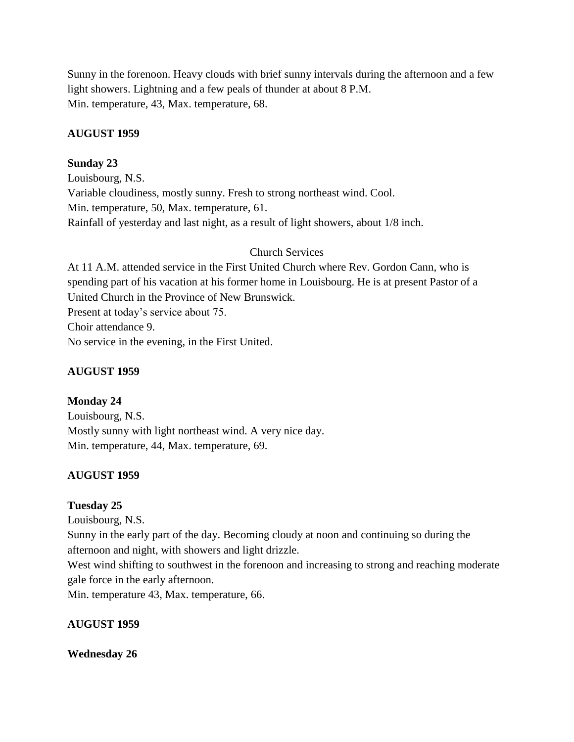Sunny in the forenoon. Heavy clouds with brief sunny intervals during the afternoon and a few light showers. Lightning and a few peals of thunder at about 8 P.M. Min. temperature, 43, Max. temperature, 68.

## **AUGUST 1959**

## **Sunday 23**

Louisbourg, N.S. Variable cloudiness, mostly sunny. Fresh to strong northeast wind. Cool. Min. temperature, 50, Max. temperature, 61. Rainfall of yesterday and last night, as a result of light showers, about 1/8 inch.

## Church Services

At 11 A.M. attended service in the First United Church where Rev. Gordon Cann, who is spending part of his vacation at his former home in Louisbourg. He is at present Pastor of a United Church in the Province of New Brunswick. Present at today's service about 75. Choir attendance 9. No service in the evening, in the First United.

# **AUGUST 1959**

# **Monday 24**

Louisbourg, N.S. Mostly sunny with light northeast wind. A very nice day. Min. temperature, 44, Max. temperature, 69.

# **AUGUST 1959**

## **Tuesday 25**

Louisbourg, N.S.

Sunny in the early part of the day. Becoming cloudy at noon and continuing so during the afternoon and night, with showers and light drizzle.

West wind shifting to southwest in the forenoon and increasing to strong and reaching moderate gale force in the early afternoon.

Min. temperature 43, Max. temperature, 66.

# **AUGUST 1959**

## **Wednesday 26**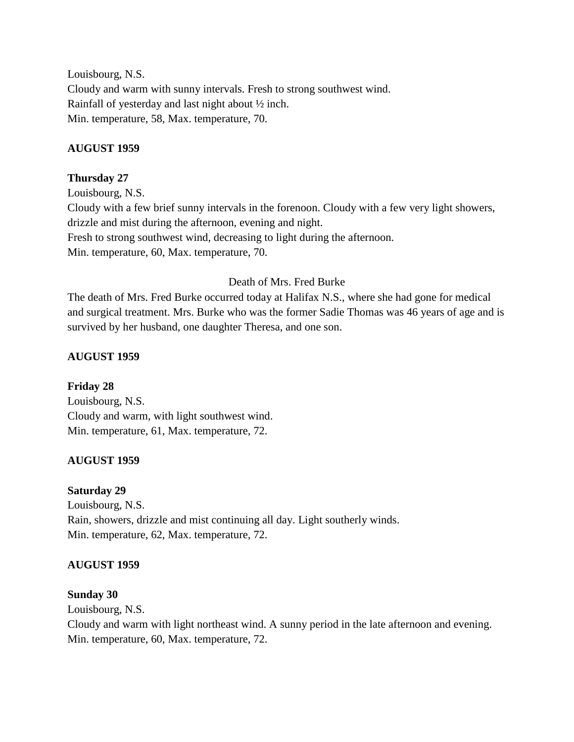Louisbourg, N.S. Cloudy and warm with sunny intervals. Fresh to strong southwest wind. Rainfall of yesterday and last night about ½ inch. Min. temperature, 58, Max. temperature, 70.

## **AUGUST 1959**

## **Thursday 27**

Louisbourg, N.S. Cloudy with a few brief sunny intervals in the forenoon. Cloudy with a few very light showers, drizzle and mist during the afternoon, evening and night. Fresh to strong southwest wind, decreasing to light during the afternoon. Min. temperature, 60, Max. temperature, 70.

## Death of Mrs. Fred Burke

The death of Mrs. Fred Burke occurred today at Halifax N.S., where she had gone for medical and surgical treatment. Mrs. Burke who was the former Sadie Thomas was 46 years of age and is survived by her husband, one daughter Theresa, and one son.

## **AUGUST 1959**

## **Friday 28**

Louisbourg, N.S. Cloudy and warm, with light southwest wind. Min. temperature, 61, Max. temperature, 72.

## **AUGUST 1959**

### **Saturday 29**

Louisbourg, N.S. Rain, showers, drizzle and mist continuing all day. Light southerly winds. Min. temperature, 62, Max. temperature, 72.

## **AUGUST 1959**

### **Sunday 30**

Louisbourg, N.S.

Cloudy and warm with light northeast wind. A sunny period in the late afternoon and evening. Min. temperature, 60, Max. temperature, 72.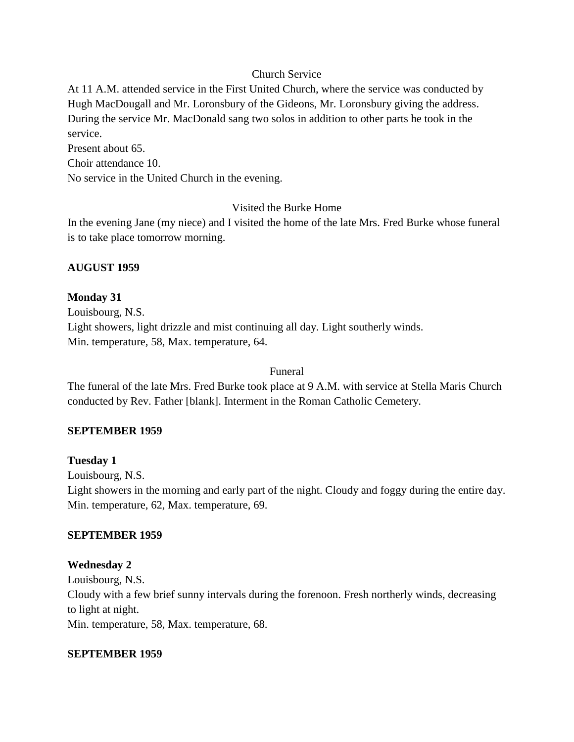## Church Service

At 11 A.M. attended service in the First United Church, where the service was conducted by Hugh MacDougall and Mr. Loronsbury of the Gideons, Mr. Loronsbury giving the address. During the service Mr. MacDonald sang two solos in addition to other parts he took in the service.

Present about 65.

Choir attendance 10.

No service in the United Church in the evening.

## Visited the Burke Home

In the evening Jane (my niece) and I visited the home of the late Mrs. Fred Burke whose funeral is to take place tomorrow morning.

### **AUGUST 1959**

## **Monday 31**

Louisbourg, N.S. Light showers, light drizzle and mist continuing all day. Light southerly winds. Min. temperature, 58, Max. temperature, 64.

### Funeral

The funeral of the late Mrs. Fred Burke took place at 9 A.M. with service at Stella Maris Church conducted by Rev. Father [blank]. Interment in the Roman Catholic Cemetery.

## **SEPTEMBER 1959**

## **Tuesday 1**

Louisbourg, N.S.

Light showers in the morning and early part of the night. Cloudy and foggy during the entire day. Min. temperature, 62, Max. temperature, 69.

### **SEPTEMBER 1959**

## **Wednesday 2**

Louisbourg, N.S. Cloudy with a few brief sunny intervals during the forenoon. Fresh northerly winds, decreasing to light at night. Min. temperature, 58, Max. temperature, 68.

### **SEPTEMBER 1959**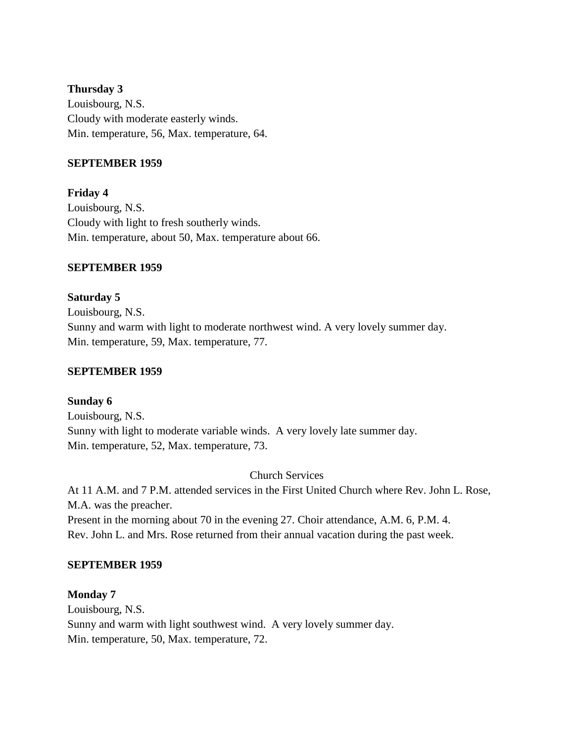### **Thursday 3**

Louisbourg, N.S. Cloudy with moderate easterly winds. Min. temperature, 56, Max. temperature, 64.

## **SEPTEMBER 1959**

**Friday 4** Louisbourg, N.S. Cloudy with light to fresh southerly winds. Min. temperature, about 50, Max. temperature about 66.

### **SEPTEMBER 1959**

**Saturday 5** Louisbourg, N.S. Sunny and warm with light to moderate northwest wind. A very lovely summer day. Min. temperature, 59, Max. temperature, 77.

## **SEPTEMBER 1959**

**Sunday 6** Louisbourg, N.S. Sunny with light to moderate variable winds. A very lovely late summer day. Min. temperature, 52, Max. temperature, 73.

Church Services

At 11 A.M. and 7 P.M. attended services in the First United Church where Rev. John L. Rose, M.A. was the preacher. Present in the morning about 70 in the evening 27. Choir attendance, A.M. 6, P.M. 4. Rev. John L. and Mrs. Rose returned from their annual vacation during the past week.

### **SEPTEMBER 1959**

### **Monday 7**

Louisbourg, N.S. Sunny and warm with light southwest wind. A very lovely summer day. Min. temperature, 50, Max. temperature, 72.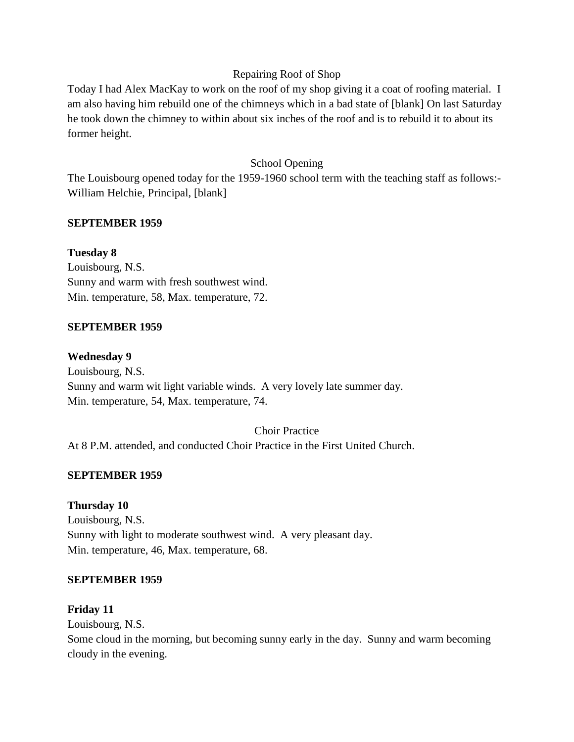## Repairing Roof of Shop

Today I had Alex MacKay to work on the roof of my shop giving it a coat of roofing material. I am also having him rebuild one of the chimneys which in a bad state of [blank] On last Saturday he took down the chimney to within about six inches of the roof and is to rebuild it to about its former height.

# School Opening

The Louisbourg opened today for the 1959-1960 school term with the teaching staff as follows:- William Helchie, Principal, [blank]

## **SEPTEMBER 1959**

## **Tuesday 8**

Louisbourg, N.S. Sunny and warm with fresh southwest wind. Min. temperature, 58, Max. temperature, 72.

## **SEPTEMBER 1959**

### **Wednesday 9**

Louisbourg, N.S. Sunny and warm wit light variable winds. A very lovely late summer day. Min. temperature, 54, Max. temperature, 74.

## Choir Practice

At 8 P.M. attended, and conducted Choir Practice in the First United Church.

## **SEPTEMBER 1959**

# **Thursday 10**

Louisbourg, N.S. Sunny with light to moderate southwest wind. A very pleasant day. Min. temperature, 46, Max. temperature, 68.

## **SEPTEMBER 1959**

## **Friday 11**

Louisbourg, N.S.

Some cloud in the morning, but becoming sunny early in the day. Sunny and warm becoming cloudy in the evening.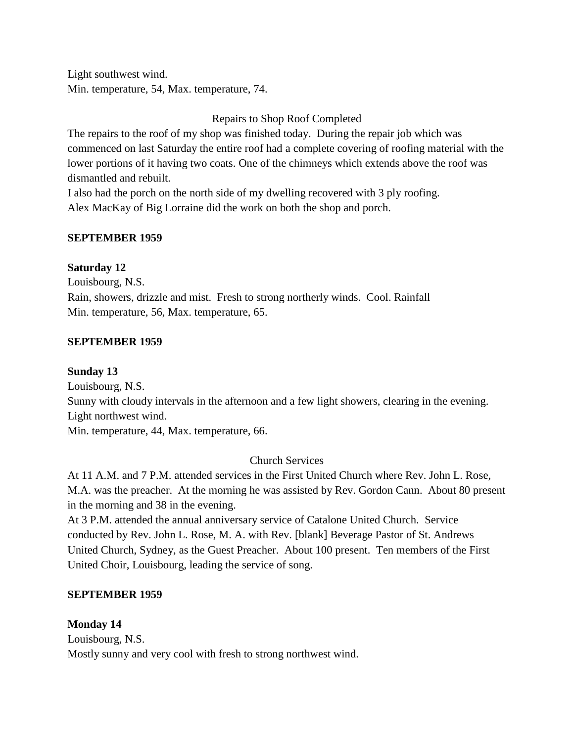Light southwest wind. Min. temperature, 54, Max. temperature, 74.

Repairs to Shop Roof Completed

The repairs to the roof of my shop was finished today. During the repair job which was commenced on last Saturday the entire roof had a complete covering of roofing material with the lower portions of it having two coats. One of the chimneys which extends above the roof was dismantled and rebuilt.

I also had the porch on the north side of my dwelling recovered with 3 ply roofing. Alex MacKay of Big Lorraine did the work on both the shop and porch.

## **SEPTEMBER 1959**

## **Saturday 12**

Louisbourg, N.S. Rain, showers, drizzle and mist. Fresh to strong northerly winds. Cool. Rainfall Min. temperature, 56, Max. temperature, 65.

## **SEPTEMBER 1959**

## **Sunday 13**

Louisbourg, N.S.

Sunny with cloudy intervals in the afternoon and a few light showers, clearing in the evening. Light northwest wind.

Min. temperature, 44, Max. temperature, 66.

# Church Services

At 11 A.M. and 7 P.M. attended services in the First United Church where Rev. John L. Rose, M.A. was the preacher. At the morning he was assisted by Rev. Gordon Cann. About 80 present in the morning and 38 in the evening.

At 3 P.M. attended the annual anniversary service of Catalone United Church. Service conducted by Rev. John L. Rose, M. A. with Rev. [blank] Beverage Pastor of St. Andrews United Church, Sydney, as the Guest Preacher. About 100 present. Ten members of the First United Choir, Louisbourg, leading the service of song.

# **SEPTEMBER 1959**

## **Monday 14**

Louisbourg, N.S. Mostly sunny and very cool with fresh to strong northwest wind.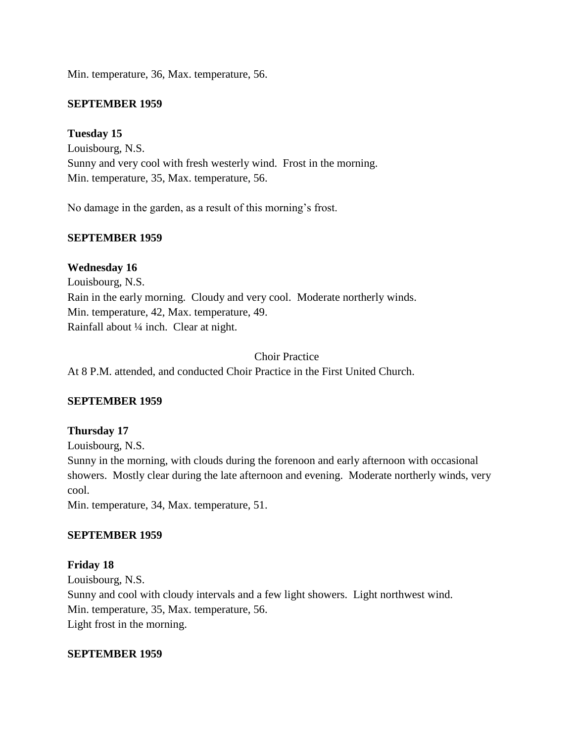Min. temperature, 36, Max. temperature, 56.

## **SEPTEMBER 1959**

**Tuesday 15**

Louisbourg, N.S. Sunny and very cool with fresh westerly wind. Frost in the morning. Min. temperature, 35, Max. temperature, 56.

No damage in the garden, as a result of this morning's frost.

### **SEPTEMBER 1959**

**Wednesday 16** Louisbourg, N.S. Rain in the early morning. Cloudy and very cool. Moderate northerly winds. Min. temperature, 42, Max. temperature, 49. Rainfall about ¼ inch. Clear at night.

### Choir Practice

At 8 P.M. attended, and conducted Choir Practice in the First United Church.

## **SEPTEMBER 1959**

### **Thursday 17**

Louisbourg, N.S.

Sunny in the morning, with clouds during the forenoon and early afternoon with occasional showers. Mostly clear during the late afternoon and evening. Moderate northerly winds, very cool.

Min. temperature, 34, Max. temperature, 51.

### **SEPTEMBER 1959**

## **Friday 18**

Louisbourg, N.S. Sunny and cool with cloudy intervals and a few light showers. Light northwest wind. Min. temperature, 35, Max. temperature, 56. Light frost in the morning.

### **SEPTEMBER 1959**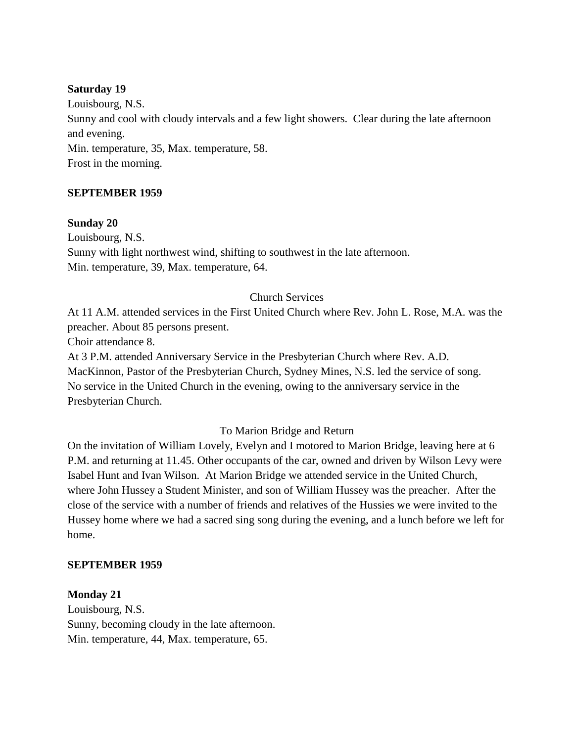### **Saturday 19**

Louisbourg, N.S. Sunny and cool with cloudy intervals and a few light showers. Clear during the late afternoon and evening. Min. temperature, 35, Max. temperature, 58. Frost in the morning.

### **SEPTEMBER 1959**

### **Sunday 20**

Louisbourg, N.S. Sunny with light northwest wind, shifting to southwest in the late afternoon. Min. temperature, 39, Max. temperature, 64.

### Church Services

At 11 A.M. attended services in the First United Church where Rev. John L. Rose, M.A. was the preacher. About 85 persons present.

Choir attendance 8.

At 3 P.M. attended Anniversary Service in the Presbyterian Church where Rev. A.D. MacKinnon, Pastor of the Presbyterian Church, Sydney Mines, N.S. led the service of song. No service in the United Church in the evening, owing to the anniversary service in the Presbyterian Church.

### To Marion Bridge and Return

On the invitation of William Lovely, Evelyn and I motored to Marion Bridge, leaving here at 6 P.M. and returning at 11.45. Other occupants of the car, owned and driven by Wilson Levy were Isabel Hunt and Ivan Wilson. At Marion Bridge we attended service in the United Church, where John Hussey a Student Minister, and son of William Hussey was the preacher. After the close of the service with a number of friends and relatives of the Hussies we were invited to the Hussey home where we had a sacred sing song during the evening, and a lunch before we left for home.

#### **SEPTEMBER 1959**

#### **Monday 21**

Louisbourg, N.S. Sunny, becoming cloudy in the late afternoon. Min. temperature, 44, Max. temperature, 65.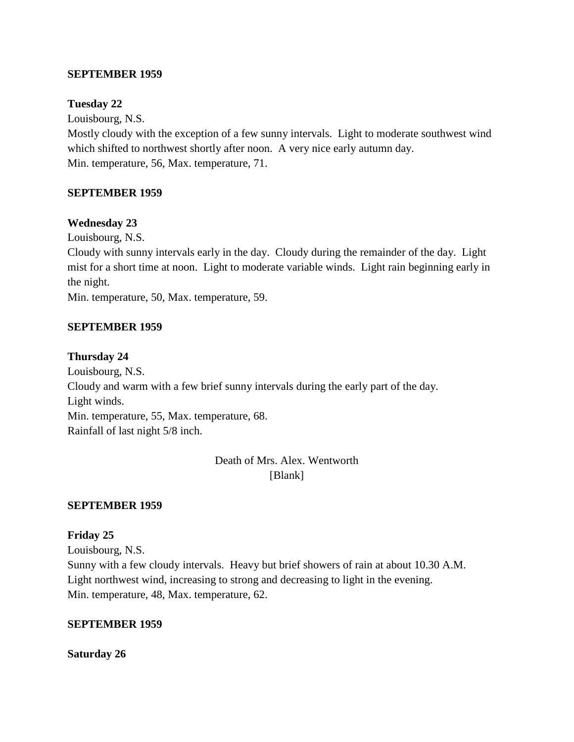## **SEPTEMBER 1959**

### **Tuesday 22**

Louisbourg, N.S.

Mostly cloudy with the exception of a few sunny intervals. Light to moderate southwest wind which shifted to northwest shortly after noon. A very nice early autumn day. Min. temperature, 56, Max. temperature, 71.

### **SEPTEMBER 1959**

### **Wednesday 23**

Louisbourg, N.S.

Cloudy with sunny intervals early in the day. Cloudy during the remainder of the day. Light mist for a short time at noon. Light to moderate variable winds. Light rain beginning early in the night.

Min. temperature, 50, Max. temperature, 59.

### **SEPTEMBER 1959**

### **Thursday 24**

Louisbourg, N.S. Cloudy and warm with a few brief sunny intervals during the early part of the day. Light winds. Min. temperature, 55, Max. temperature, 68. Rainfall of last night 5/8 inch.

> Death of Mrs. Alex. Wentworth [Blank]

### **SEPTEMBER 1959**

### **Friday 25**

Louisbourg, N.S. Sunny with a few cloudy intervals. Heavy but brief showers of rain at about 10.30 A.M. Light northwest wind, increasing to strong and decreasing to light in the evening. Min. temperature, 48, Max. temperature, 62.

## **SEPTEMBER 1959**

**Saturday 26**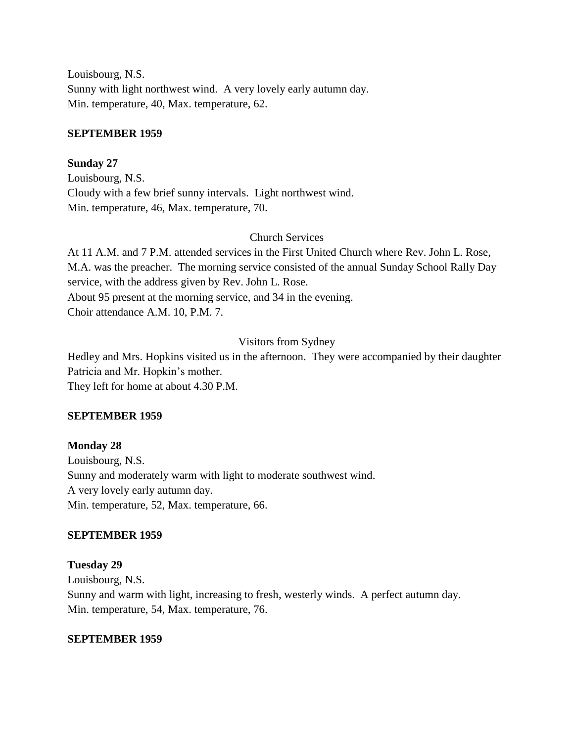Louisbourg, N.S. Sunny with light northwest wind. A very lovely early autumn day. Min. temperature, 40, Max. temperature, 62.

#### **SEPTEMBER 1959**

#### **Sunday 27**

Louisbourg, N.S. Cloudy with a few brief sunny intervals. Light northwest wind. Min. temperature, 46, Max. temperature, 70.

#### Church Services

At 11 A.M. and 7 P.M. attended services in the First United Church where Rev. John L. Rose, M.A. was the preacher. The morning service consisted of the annual Sunday School Rally Day service, with the address given by Rev. John L. Rose. About 95 present at the morning service, and 34 in the evening. Choir attendance A.M. 10, P.M. 7.

#### Visitors from Sydney

Hedley and Mrs. Hopkins visited us in the afternoon. They were accompanied by their daughter Patricia and Mr. Hopkin's mother. They left for home at about 4.30 P.M.

#### **SEPTEMBER 1959**

## **Monday 28**

Louisbourg, N.S. Sunny and moderately warm with light to moderate southwest wind. A very lovely early autumn day. Min. temperature, 52, Max. temperature, 66.

#### **SEPTEMBER 1959**

**Tuesday 29** Louisbourg, N.S. Sunny and warm with light, increasing to fresh, westerly winds. A perfect autumn day. Min. temperature, 54, Max. temperature, 76.

#### **SEPTEMBER 1959**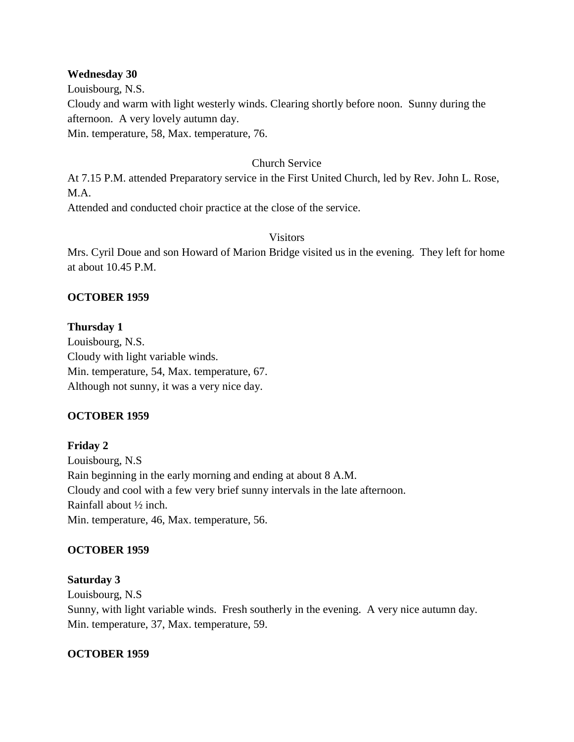#### **Wednesday 30**

Louisbourg, N.S. Cloudy and warm with light westerly winds. Clearing shortly before noon. Sunny during the afternoon. A very lovely autumn day. Min. temperature, 58, Max. temperature, 76.

#### Church Service

At 7.15 P.M. attended Preparatory service in the First United Church, led by Rev. John L. Rose, M.A.

Attended and conducted choir practice at the close of the service.

#### Visitors

Mrs. Cyril Doue and son Howard of Marion Bridge visited us in the evening. They left for home at about 10.45 P.M.

#### **OCTOBER 1959**

**Thursday 1** Louisbourg, N.S. Cloudy with light variable winds. Min. temperature, 54, Max. temperature, 67. Although not sunny, it was a very nice day.

## **OCTOBER 1959**

**Friday 2** Louisbourg, N.S Rain beginning in the early morning and ending at about 8 A.M. Cloudy and cool with a few very brief sunny intervals in the late afternoon. Rainfall about ½ inch. Min. temperature, 46, Max. temperature, 56.

#### **OCTOBER 1959**

#### **Saturday 3**

Louisbourg, N.S Sunny, with light variable winds. Fresh southerly in the evening. A very nice autumn day. Min. temperature, 37, Max. temperature, 59.

#### **OCTOBER 1959**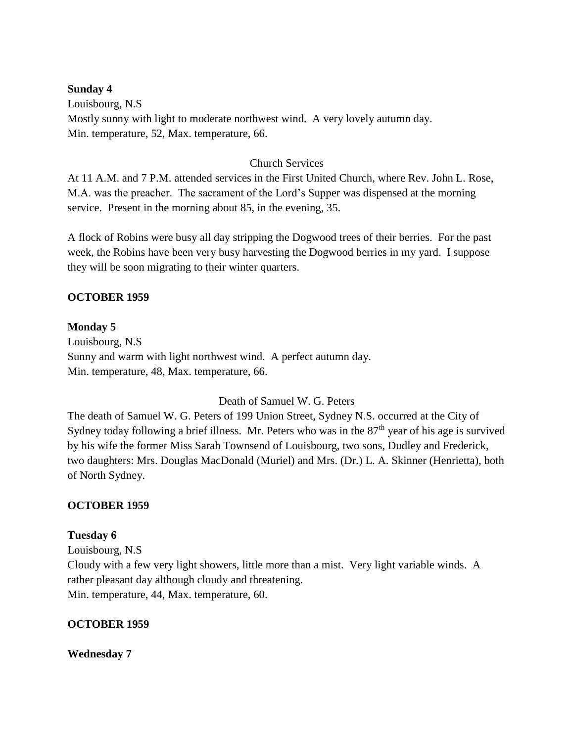#### **Sunday 4**

Louisbourg, N.S Mostly sunny with light to moderate northwest wind. A very lovely autumn day. Min. temperature, 52, Max. temperature, 66.

## Church Services

At 11 A.M. and 7 P.M. attended services in the First United Church, where Rev. John L. Rose, M.A. was the preacher. The sacrament of the Lord's Supper was dispensed at the morning service. Present in the morning about 85, in the evening, 35.

A flock of Robins were busy all day stripping the Dogwood trees of their berries. For the past week, the Robins have been very busy harvesting the Dogwood berries in my yard. I suppose they will be soon migrating to their winter quarters.

## **OCTOBER 1959**

#### **Monday 5**

Louisbourg, N.S Sunny and warm with light northwest wind. A perfect autumn day. Min. temperature, 48, Max. temperature, 66.

#### Death of Samuel W. G. Peters

The death of Samuel W. G. Peters of 199 Union Street, Sydney N.S. occurred at the City of Sydney today following a brief illness. Mr. Peters who was in the  $87<sup>th</sup>$  year of his age is survived by his wife the former Miss Sarah Townsend of Louisbourg, two sons, Dudley and Frederick, two daughters: Mrs. Douglas MacDonald (Muriel) and Mrs. (Dr.) L. A. Skinner (Henrietta), both of North Sydney.

#### **OCTOBER 1959**

#### **Tuesday 6**

Louisbourg, N.S Cloudy with a few very light showers, little more than a mist. Very light variable winds. A rather pleasant day although cloudy and threatening. Min. temperature, 44, Max. temperature, 60.

## **OCTOBER 1959**

#### **Wednesday 7**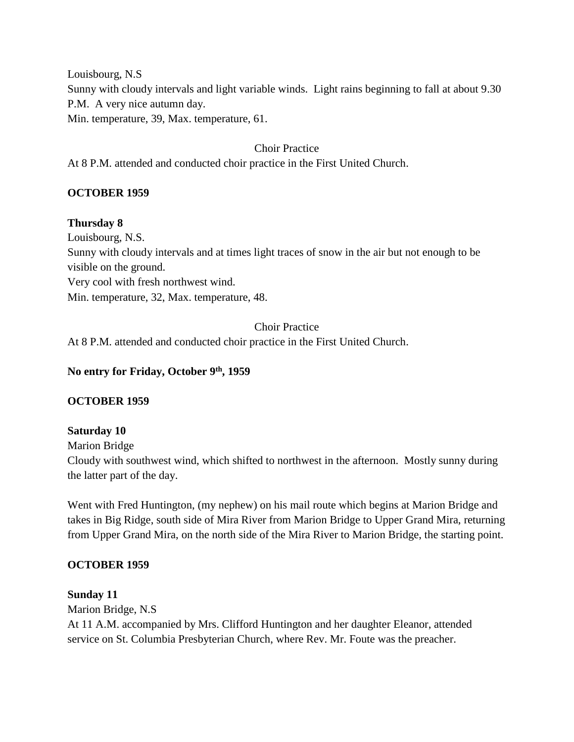Louisbourg, N.S

Sunny with cloudy intervals and light variable winds. Light rains beginning to fall at about 9.30 P.M. A very nice autumn day.

Min. temperature, 39, Max. temperature, 61.

# Choir Practice

At 8 P.M. attended and conducted choir practice in the First United Church.

# **OCTOBER 1959**

## **Thursday 8**

Louisbourg, N.S.

Sunny with cloudy intervals and at times light traces of snow in the air but not enough to be visible on the ground.

Very cool with fresh northwest wind.

Min. temperature, 32, Max. temperature, 48.

# Choir Practice

At 8 P.M. attended and conducted choir practice in the First United Church.

## **No entry for Friday, October 9th, 1959**

# **OCTOBER 1959**

# **Saturday 10**

Marion Bridge

Cloudy with southwest wind, which shifted to northwest in the afternoon. Mostly sunny during the latter part of the day.

Went with Fred Huntington, (my nephew) on his mail route which begins at Marion Bridge and takes in Big Ridge, south side of Mira River from Marion Bridge to Upper Grand Mira, returning from Upper Grand Mira, on the north side of the Mira River to Marion Bridge, the starting point.

## **OCTOBER 1959**

## **Sunday 11**

Marion Bridge, N.S

At 11 A.M. accompanied by Mrs. Clifford Huntington and her daughter Eleanor, attended service on St. Columbia Presbyterian Church, where Rev. Mr. Foute was the preacher.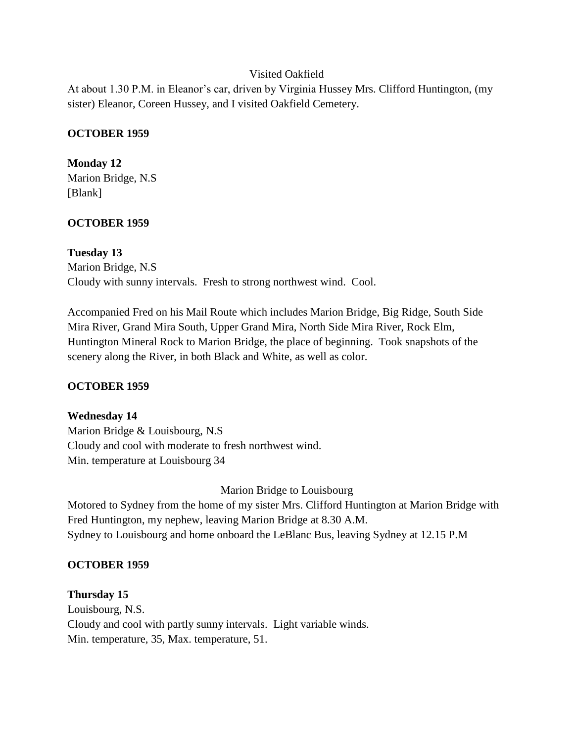## Visited Oakfield

At about 1.30 P.M. in Eleanor's car, driven by Virginia Hussey Mrs. Clifford Huntington, (my sister) Eleanor, Coreen Hussey, and I visited Oakfield Cemetery.

#### **OCTOBER 1959**

**Monday 12** Marion Bridge, N.S [Blank]

## **OCTOBER 1959**

**Tuesday 13** Marion Bridge, N.S Cloudy with sunny intervals. Fresh to strong northwest wind. Cool.

Accompanied Fred on his Mail Route which includes Marion Bridge, Big Ridge, South Side Mira River, Grand Mira South, Upper Grand Mira, North Side Mira River, Rock Elm, Huntington Mineral Rock to Marion Bridge, the place of beginning. Took snapshots of the scenery along the River, in both Black and White, as well as color.

## **OCTOBER 1959**

**Wednesday 14** Marion Bridge & Louisbourg, N.S Cloudy and cool with moderate to fresh northwest wind. Min. temperature at Louisbourg 34

Marion Bridge to Louisbourg Motored to Sydney from the home of my sister Mrs. Clifford Huntington at Marion Bridge with Fred Huntington, my nephew, leaving Marion Bridge at 8.30 A.M. Sydney to Louisbourg and home onboard the LeBlanc Bus, leaving Sydney at 12.15 P.M

#### **OCTOBER 1959**

**Thursday 15** Louisbourg, N.S. Cloudy and cool with partly sunny intervals. Light variable winds. Min. temperature, 35, Max. temperature, 51.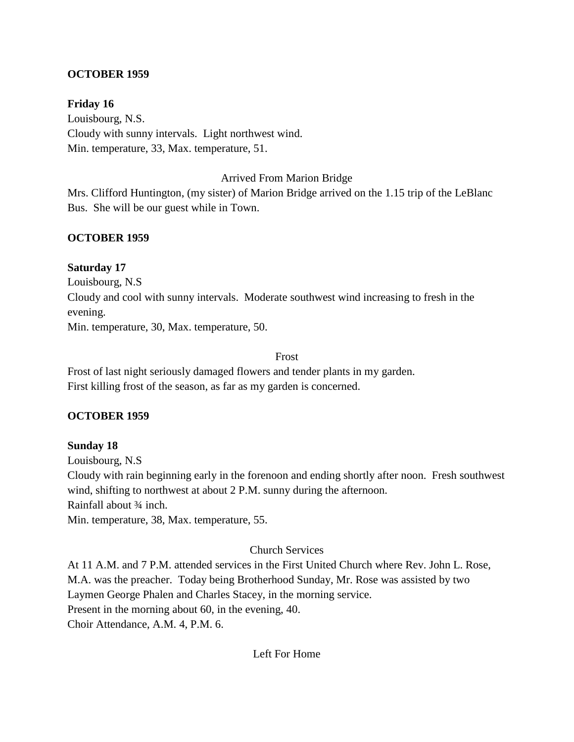## **OCTOBER 1959**

**Friday 16**

Louisbourg, N.S. Cloudy with sunny intervals. Light northwest wind. Min. temperature, 33, Max. temperature, 51.

## Arrived From Marion Bridge

Mrs. Clifford Huntington, (my sister) of Marion Bridge arrived on the 1.15 trip of the LeBlanc Bus. She will be our guest while in Town.

## **OCTOBER 1959**

## **Saturday 17**

Louisbourg, N.S Cloudy and cool with sunny intervals. Moderate southwest wind increasing to fresh in the evening. Min. temperature, 30, Max. temperature, 50.

#### Frost

Frost of last night seriously damaged flowers and tender plants in my garden. First killing frost of the season, as far as my garden is concerned.

## **OCTOBER 1959**

## **Sunday 18**

Louisbourg, N.S Cloudy with rain beginning early in the forenoon and ending shortly after noon. Fresh southwest wind, shifting to northwest at about 2 P.M. sunny during the afternoon.

Rainfall about ¾ inch.

Min. temperature, 38, Max. temperature, 55.

# Church Services

At 11 A.M. and 7 P.M. attended services in the First United Church where Rev. John L. Rose, M.A. was the preacher. Today being Brotherhood Sunday, Mr. Rose was assisted by two Laymen George Phalen and Charles Stacey, in the morning service. Present in the morning about 60, in the evening, 40.

Choir Attendance, A.M. 4, P.M. 6.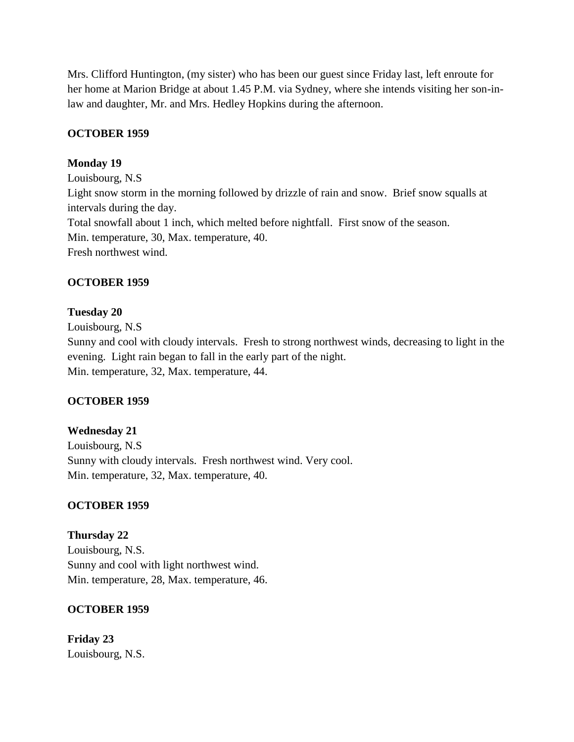Mrs. Clifford Huntington, (my sister) who has been our guest since Friday last, left enroute for her home at Marion Bridge at about 1.45 P.M. via Sydney, where she intends visiting her son-inlaw and daughter, Mr. and Mrs. Hedley Hopkins during the afternoon.

#### **OCTOBER 1959**

#### **Monday 19**

Louisbourg, N.S Light snow storm in the morning followed by drizzle of rain and snow. Brief snow squalls at intervals during the day. Total snowfall about 1 inch, which melted before nightfall. First snow of the season. Min. temperature, 30, Max. temperature, 40. Fresh northwest wind.

#### **OCTOBER 1959**

#### **Tuesday 20**

Louisbourg, N.S Sunny and cool with cloudy intervals. Fresh to strong northwest winds, decreasing to light in the evening. Light rain began to fall in the early part of the night. Min. temperature, 32, Max. temperature, 44.

## **OCTOBER 1959**

# **Wednesday 21** Louisbourg, N.S Sunny with cloudy intervals. Fresh northwest wind. Very cool. Min. temperature, 32, Max. temperature, 40.

## **OCTOBER 1959**

# **Thursday 22** Louisbourg, N.S. Sunny and cool with light northwest wind. Min. temperature, 28, Max. temperature, 46.

# **OCTOBER 1959**

**Friday 23** Louisbourg, N.S.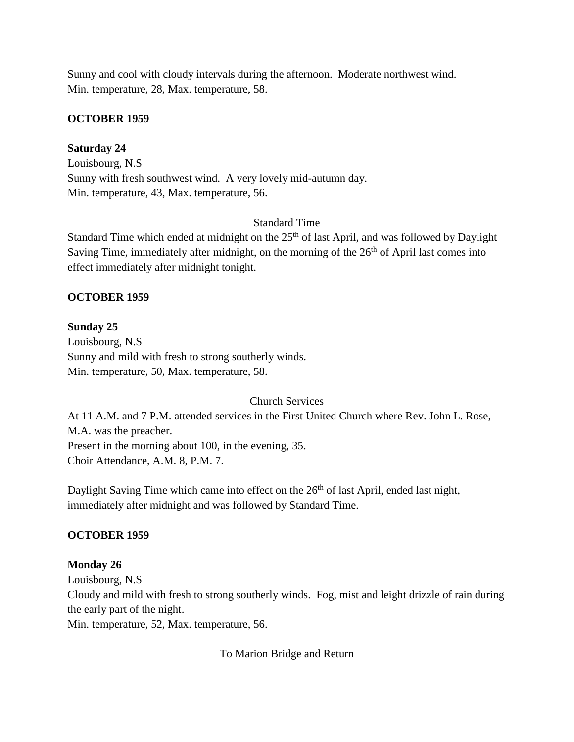Sunny and cool with cloudy intervals during the afternoon. Moderate northwest wind. Min. temperature, 28, Max. temperature, 58.

#### **OCTOBER 1959**

#### **Saturday 24**

Louisbourg, N.S Sunny with fresh southwest wind. A very lovely mid-autumn day. Min. temperature, 43, Max. temperature, 56.

## Standard Time

Standard Time which ended at midnight on the  $25<sup>th</sup>$  of last April, and was followed by Daylight Saving Time, immediately after midnight, on the morning of the  $26<sup>th</sup>$  of April last comes into effect immediately after midnight tonight.

#### **OCTOBER 1959**

#### **Sunday 25**

Louisbourg, N.S Sunny and mild with fresh to strong southerly winds. Min. temperature, 50, Max. temperature, 58.

#### Church Services

At 11 A.M. and 7 P.M. attended services in the First United Church where Rev. John L. Rose, M.A. was the preacher. Present in the morning about 100, in the evening, 35. Choir Attendance, A.M. 8, P.M. 7.

Daylight Saving Time which came into effect on the  $26<sup>th</sup>$  of last April, ended last night, immediately after midnight and was followed by Standard Time.

#### **OCTOBER 1959**

## **Monday 26**

Louisbourg, N.S

Cloudy and mild with fresh to strong southerly winds. Fog, mist and leight drizzle of rain during the early part of the night.

Min. temperature, 52, Max. temperature, 56.

To Marion Bridge and Return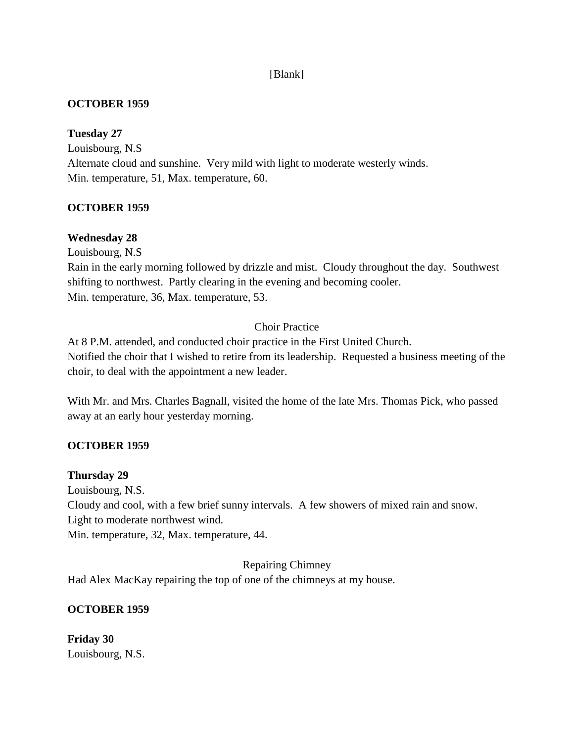# [Blank]

## **OCTOBER 1959**

## **Tuesday 27**

Louisbourg, N.S Alternate cloud and sunshine. Very mild with light to moderate westerly winds. Min. temperature, 51, Max. temperature, 60.

# **OCTOBER 1959**

# **Wednesday 28**

Louisbourg, N.S

Rain in the early morning followed by drizzle and mist. Cloudy throughout the day. Southwest shifting to northwest. Partly clearing in the evening and becoming cooler. Min. temperature, 36, Max. temperature, 53.

# Choir Practice

At 8 P.M. attended, and conducted choir practice in the First United Church. Notified the choir that I wished to retire from its leadership. Requested a business meeting of the choir, to deal with the appointment a new leader.

With Mr. and Mrs. Charles Bagnall, visited the home of the late Mrs. Thomas Pick, who passed away at an early hour yesterday morning.

## **OCTOBER 1959**

## **Thursday 29**

Louisbourg, N.S. Cloudy and cool, with a few brief sunny intervals. A few showers of mixed rain and snow. Light to moderate northwest wind. Min. temperature, 32, Max. temperature, 44.

Repairing Chimney Had Alex MacKay repairing the top of one of the chimneys at my house.

## **OCTOBER 1959**

**Friday 30** Louisbourg, N.S.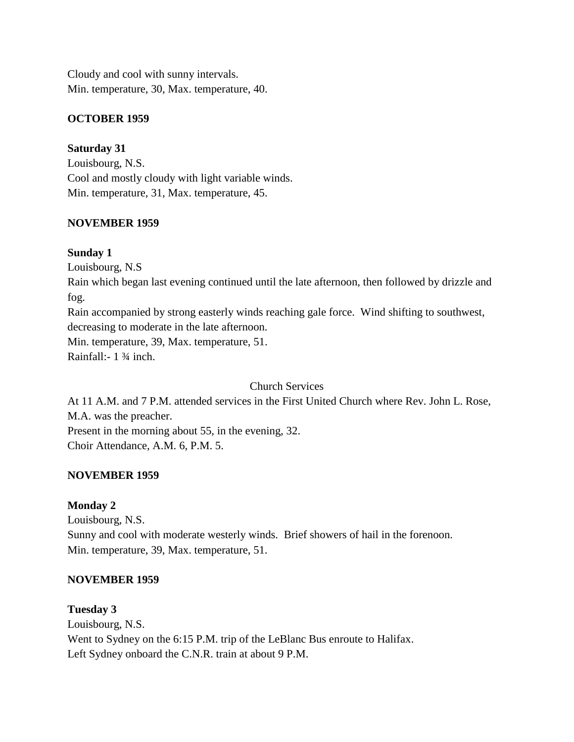Cloudy and cool with sunny intervals. Min. temperature, 30, Max. temperature, 40.

# **OCTOBER 1959**

# **Saturday 31**

Louisbourg, N.S. Cool and mostly cloudy with light variable winds. Min. temperature, 31, Max. temperature, 45.

# **NOVEMBER 1959**

# **Sunday 1**

Louisbourg, N.S

Rain which began last evening continued until the late afternoon, then followed by drizzle and fog.

Rain accompanied by strong easterly winds reaching gale force. Wind shifting to southwest, decreasing to moderate in the late afternoon.

Min. temperature, 39, Max. temperature, 51.

Rainfall:- 1 ¾ inch.

Church Services

At 11 A.M. and 7 P.M. attended services in the First United Church where Rev. John L. Rose, M.A. was the preacher. Present in the morning about 55, in the evening, 32.

Choir Attendance, A.M. 6, P.M. 5.

## **NOVEMBER 1959**

# **Monday 2**

Louisbourg, N.S. Sunny and cool with moderate westerly winds. Brief showers of hail in the forenoon. Min. temperature, 39, Max. temperature, 51.

# **NOVEMBER 1959**

**Tuesday 3** Louisbourg, N.S. Went to Sydney on the 6:15 P.M. trip of the LeBlanc Bus enroute to Halifax. Left Sydney onboard the C.N.R. train at about 9 P.M.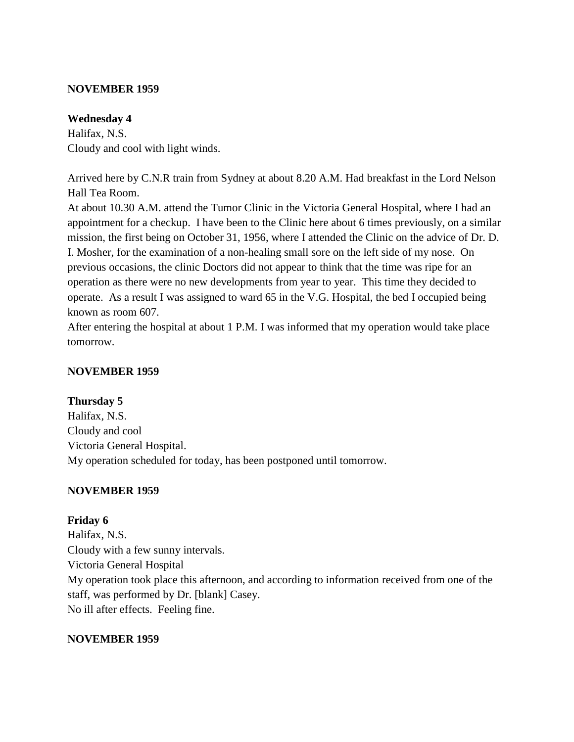#### **NOVEMBER 1959**

#### **Wednesday 4**

Halifax, N.S. Cloudy and cool with light winds.

Arrived here by C.N.R train from Sydney at about 8.20 A.M. Had breakfast in the Lord Nelson Hall Tea Room.

At about 10.30 A.M. attend the Tumor Clinic in the Victoria General Hospital, where I had an appointment for a checkup. I have been to the Clinic here about 6 times previously, on a similar mission, the first being on October 31, 1956, where I attended the Clinic on the advice of Dr. D. I. Mosher, for the examination of a non-healing small sore on the left side of my nose. On previous occasions, the clinic Doctors did not appear to think that the time was ripe for an operation as there were no new developments from year to year. This time they decided to operate. As a result I was assigned to ward 65 in the V.G. Hospital, the bed I occupied being known as room 607.

After entering the hospital at about 1 P.M. I was informed that my operation would take place tomorrow.

## **NOVEMBER 1959**

## **Thursday 5**

Halifax, N.S. Cloudy and cool Victoria General Hospital. My operation scheduled for today, has been postponed until tomorrow.

## **NOVEMBER 1959**

## **Friday 6**

Halifax, N.S. Cloudy with a few sunny intervals. Victoria General Hospital My operation took place this afternoon, and according to information received from one of the staff, was performed by Dr. [blank] Casey. No ill after effects. Feeling fine.

## **NOVEMBER 1959**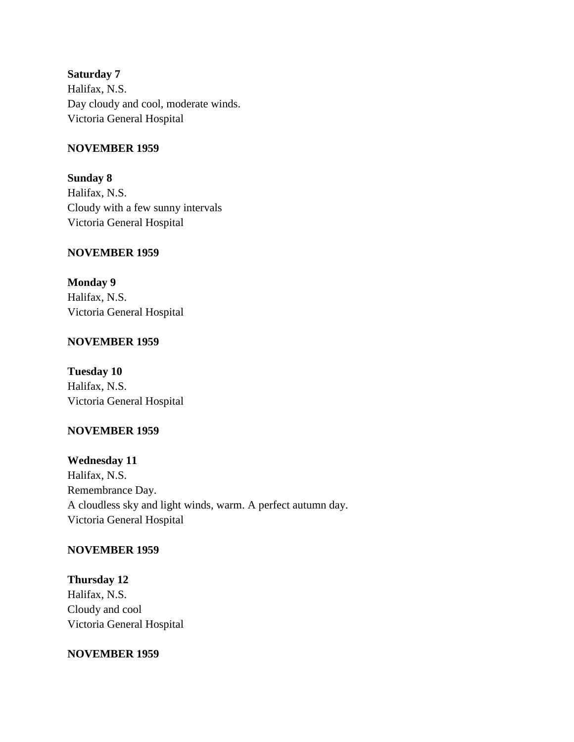**Saturday 7** Halifax, N.S. Day cloudy and cool, moderate winds. Victoria General Hospital

#### **NOVEMBER 1959**

**Sunday 8** Halifax, N.S. Cloudy with a few sunny intervals Victoria General Hospital

#### **NOVEMBER 1959**

**Monday 9** Halifax, N.S. Victoria General Hospital

#### **NOVEMBER 1959**

**Tuesday 10** Halifax, N.S. Victoria General Hospital

## **NOVEMBER 1959**

**Wednesday 11** Halifax, N.S. Remembrance Day. A cloudless sky and light winds, warm. A perfect autumn day. Victoria General Hospital

#### **NOVEMBER 1959**

**Thursday 12** Halifax, N.S. Cloudy and cool Victoria General Hospital

#### **NOVEMBER 1959**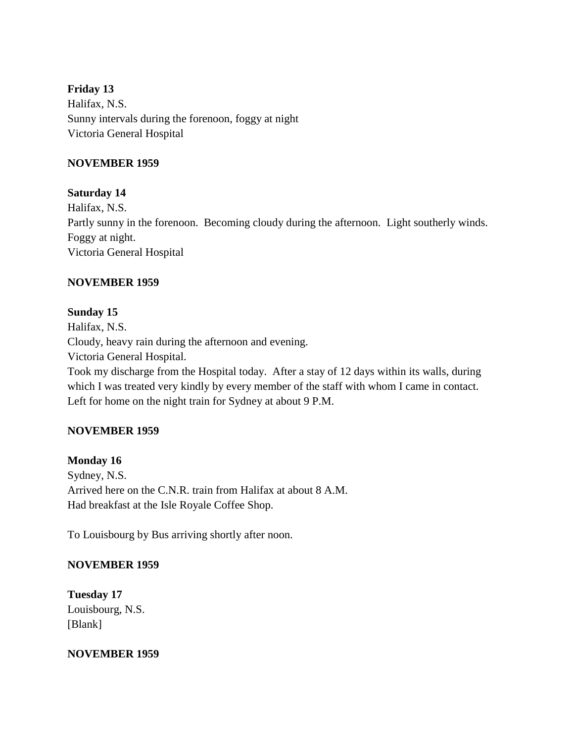# **Friday 13** Halifax, N.S. Sunny intervals during the forenoon, foggy at night Victoria General Hospital

## **NOVEMBER 1959**

# **Saturday 14**

Halifax, N.S. Partly sunny in the forenoon. Becoming cloudy during the afternoon. Light southerly winds. Foggy at night. Victoria General Hospital

# **NOVEMBER 1959**

# **Sunday 15**

Halifax, N.S. Cloudy, heavy rain during the afternoon and evening. Victoria General Hospital. Took my discharge from the Hospital today. After a stay of 12 days within its walls, during which I was treated very kindly by every member of the staff with whom I came in contact. Left for home on the night train for Sydney at about 9 P.M.

# **NOVEMBER 1959**

# **Monday 16**

Sydney, N.S. Arrived here on the C.N.R. train from Halifax at about 8 A.M. Had breakfast at the Isle Royale Coffee Shop.

To Louisbourg by Bus arriving shortly after noon.

## **NOVEMBER 1959**

**Tuesday 17** Louisbourg, N.S. [Blank]

## **NOVEMBER 1959**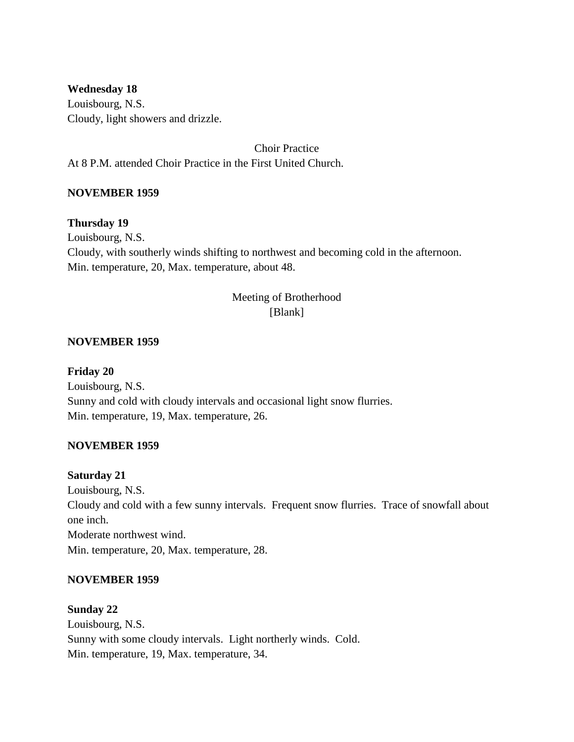**Wednesday 18** Louisbourg, N.S. Cloudy, light showers and drizzle.

Choir Practice At 8 P.M. attended Choir Practice in the First United Church.

# **NOVEMBER 1959**

## **Thursday 19**

Louisbourg, N.S. Cloudy, with southerly winds shifting to northwest and becoming cold in the afternoon. Min. temperature, 20, Max. temperature, about 48.

# Meeting of Brotherhood [Blank]

#### **NOVEMBER 1959**

#### **Friday 20**

Louisbourg, N.S. Sunny and cold with cloudy intervals and occasional light snow flurries. Min. temperature, 19, Max. temperature, 26.

## **NOVEMBER 1959**

#### **Saturday 21**

Louisbourg, N.S. Cloudy and cold with a few sunny intervals. Frequent snow flurries. Trace of snowfall about one inch. Moderate northwest wind. Min. temperature, 20, Max. temperature, 28.

## **NOVEMBER 1959**

#### **Sunday 22**

Louisbourg, N.S. Sunny with some cloudy intervals. Light northerly winds. Cold. Min. temperature, 19, Max. temperature, 34.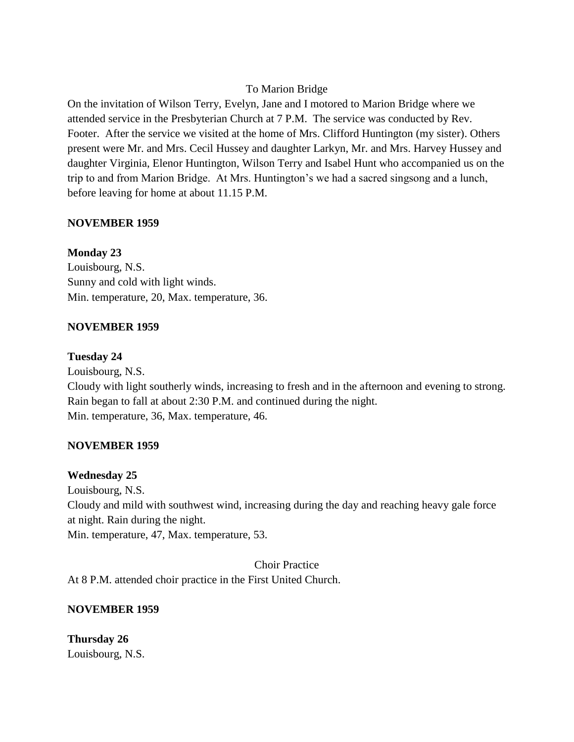## To Marion Bridge

On the invitation of Wilson Terry, Evelyn, Jane and I motored to Marion Bridge where we attended service in the Presbyterian Church at 7 P.M. The service was conducted by Rev. Footer. After the service we visited at the home of Mrs. Clifford Huntington (my sister). Others present were Mr. and Mrs. Cecil Hussey and daughter Larkyn, Mr. and Mrs. Harvey Hussey and daughter Virginia, Elenor Huntington, Wilson Terry and Isabel Hunt who accompanied us on the trip to and from Marion Bridge. At Mrs. Huntington's we had a sacred singsong and a lunch, before leaving for home at about 11.15 P.M.

# **NOVEMBER 1959**

# **Monday 23**

Louisbourg, N.S. Sunny and cold with light winds. Min. temperature, 20, Max. temperature, 36.

## **NOVEMBER 1959**

## **Tuesday 24**

Louisbourg, N.S. Cloudy with light southerly winds, increasing to fresh and in the afternoon and evening to strong. Rain began to fall at about 2:30 P.M. and continued during the night. Min. temperature, 36, Max. temperature, 46.

## **NOVEMBER 1959**

## **Wednesday 25**

Louisbourg, N.S. Cloudy and mild with southwest wind, increasing during the day and reaching heavy gale force at night. Rain during the night. Min. temperature, 47, Max. temperature, 53.

Choir Practice

At 8 P.M. attended choir practice in the First United Church.

## **NOVEMBER 1959**

**Thursday 26** Louisbourg, N.S.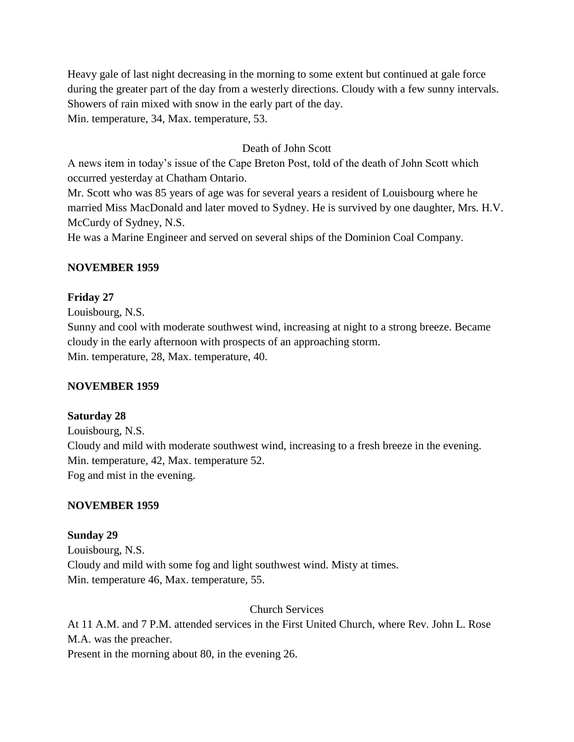Heavy gale of last night decreasing in the morning to some extent but continued at gale force during the greater part of the day from a westerly directions. Cloudy with a few sunny intervals. Showers of rain mixed with snow in the early part of the day. Min. temperature, 34, Max. temperature, 53.

# Death of John Scott

A news item in today's issue of the Cape Breton Post, told of the death of John Scott which occurred yesterday at Chatham Ontario.

Mr. Scott who was 85 years of age was for several years a resident of Louisbourg where he married Miss MacDonald and later moved to Sydney. He is survived by one daughter, Mrs. H.V. McCurdy of Sydney, N.S.

He was a Marine Engineer and served on several ships of the Dominion Coal Company.

## **NOVEMBER 1959**

#### **Friday 27**

Louisbourg, N.S.

Sunny and cool with moderate southwest wind, increasing at night to a strong breeze. Became cloudy in the early afternoon with prospects of an approaching storm. Min. temperature, 28, Max. temperature, 40.

## **NOVEMBER 1959**

#### **Saturday 28**

Louisbourg, N.S. Cloudy and mild with moderate southwest wind, increasing to a fresh breeze in the evening. Min. temperature, 42, Max. temperature 52. Fog and mist in the evening.

#### **NOVEMBER 1959**

## **Sunday 29**

Louisbourg, N.S. Cloudy and mild with some fog and light southwest wind. Misty at times. Min. temperature 46, Max. temperature, 55.

#### Church Services

At 11 A.M. and 7 P.M. attended services in the First United Church, where Rev. John L. Rose M.A. was the preacher.

Present in the morning about 80, in the evening 26.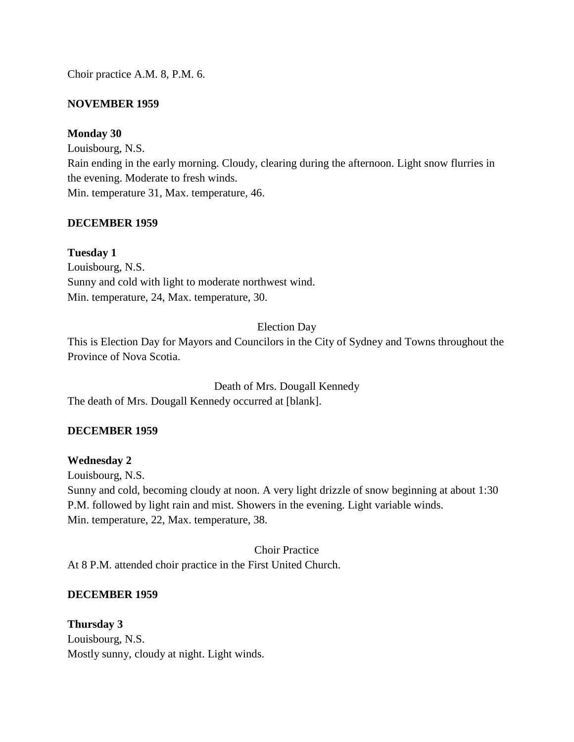Choir practice A.M. 8, P.M. 6.

## **NOVEMBER 1959**

## **Monday 30**

Louisbourg, N.S. Rain ending in the early morning. Cloudy, clearing during the afternoon. Light snow flurries in the evening. Moderate to fresh winds. Min. temperature 31, Max. temperature, 46.

## **DECEMBER 1959**

**Tuesday 1** Louisbourg, N.S. Sunny and cold with light to moderate northwest wind. Min. temperature, 24, Max. temperature, 30.

# Election Day

This is Election Day for Mayors and Councilors in the City of Sydney and Towns throughout the Province of Nova Scotia.

Death of Mrs. Dougall Kennedy The death of Mrs. Dougall Kennedy occurred at [blank].

## **DECEMBER 1959**

## **Wednesday 2**

Louisbourg, N.S. Sunny and cold, becoming cloudy at noon. A very light drizzle of snow beginning at about 1:30 P.M. followed by light rain and mist. Showers in the evening. Light variable winds. Min. temperature, 22, Max. temperature, 38.

Choir Practice

At 8 P.M. attended choir practice in the First United Church.

## **DECEMBER 1959**

**Thursday 3** Louisbourg, N.S. Mostly sunny, cloudy at night. Light winds.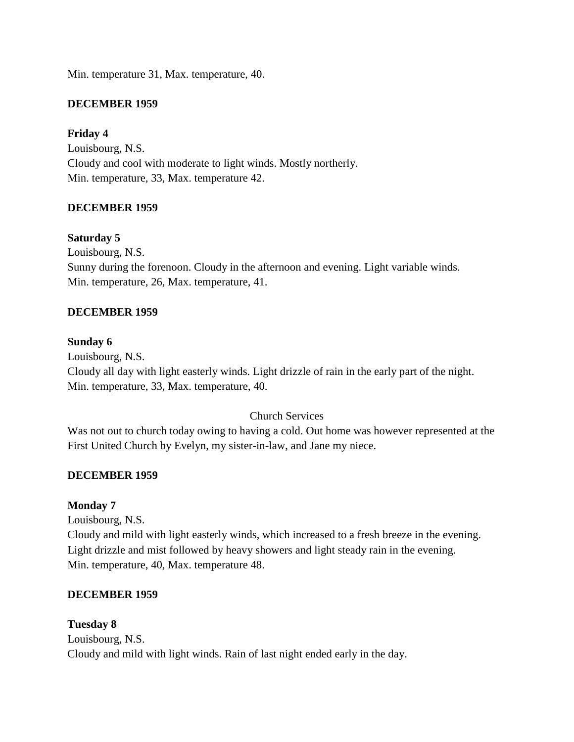Min. temperature 31, Max. temperature, 40.

#### **DECEMBER 1959**

#### **Friday 4**

Louisbourg, N.S. Cloudy and cool with moderate to light winds. Mostly northerly. Min. temperature, 33, Max. temperature 42.

#### **DECEMBER 1959**

#### **Saturday 5**

Louisbourg, N.S. Sunny during the forenoon. Cloudy in the afternoon and evening. Light variable winds. Min. temperature, 26, Max. temperature, 41.

#### **DECEMBER 1959**

#### **Sunday 6**

Louisbourg, N.S. Cloudy all day with light easterly winds. Light drizzle of rain in the early part of the night. Min. temperature, 33, Max. temperature, 40.

## Church Services

Was not out to church today owing to having a cold. Out home was however represented at the First United Church by Evelyn, my sister-in-law, and Jane my niece.

#### **DECEMBER 1959**

#### **Monday 7**

Louisbourg, N.S.

Cloudy and mild with light easterly winds, which increased to a fresh breeze in the evening. Light drizzle and mist followed by heavy showers and light steady rain in the evening. Min. temperature, 40, Max. temperature 48.

#### **DECEMBER 1959**

#### **Tuesday 8**

Louisbourg, N.S. Cloudy and mild with light winds. Rain of last night ended early in the day.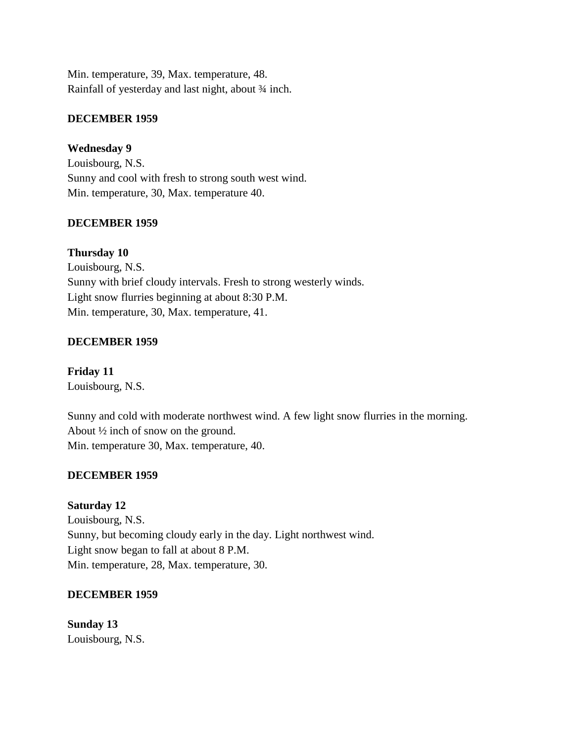Min. temperature, 39, Max. temperature, 48. Rainfall of yesterday and last night, about 34 inch.

## **DECEMBER 1959**

**Wednesday 9**

Louisbourg, N.S. Sunny and cool with fresh to strong south west wind. Min. temperature, 30, Max. temperature 40.

#### **DECEMBER 1959**

#### **Thursday 10**

Louisbourg, N.S. Sunny with brief cloudy intervals. Fresh to strong westerly winds. Light snow flurries beginning at about 8:30 P.M. Min. temperature, 30, Max. temperature, 41.

#### **DECEMBER 1959**

**Friday 11** Louisbourg, N.S.

Sunny and cold with moderate northwest wind. A few light snow flurries in the morning. About ½ inch of snow on the ground. Min. temperature 30, Max. temperature, 40.

#### **DECEMBER 1959**

**Saturday 12**

Louisbourg, N.S. Sunny, but becoming cloudy early in the day. Light northwest wind. Light snow began to fall at about 8 P.M. Min. temperature, 28, Max. temperature, 30.

#### **DECEMBER 1959**

**Sunday 13** Louisbourg, N.S.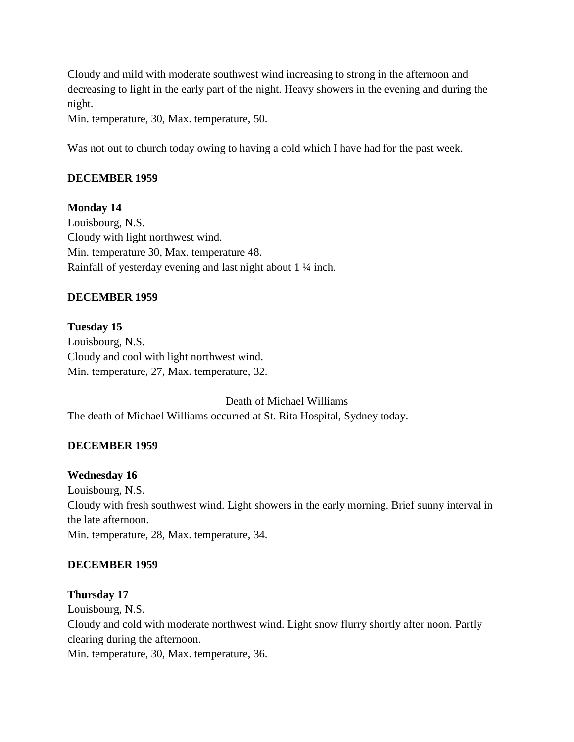Cloudy and mild with moderate southwest wind increasing to strong in the afternoon and decreasing to light in the early part of the night. Heavy showers in the evening and during the night.

Min. temperature, 30, Max. temperature, 50.

Was not out to church today owing to having a cold which I have had for the past week.

#### **DECEMBER 1959**

**Monday 14** Louisbourg, N.S. Cloudy with light northwest wind. Min. temperature 30, Max. temperature 48. Rainfall of yesterday evening and last night about 1 ¼ inch.

#### **DECEMBER 1959**

**Tuesday 15** Louisbourg, N.S. Cloudy and cool with light northwest wind. Min. temperature, 27, Max. temperature, 32.

Death of Michael Williams The death of Michael Williams occurred at St. Rita Hospital, Sydney today.

#### **DECEMBER 1959**

#### **Wednesday 16**

Louisbourg, N.S. Cloudy with fresh southwest wind. Light showers in the early morning. Brief sunny interval in the late afternoon. Min. temperature, 28, Max. temperature, 34.

#### **DECEMBER 1959**

#### **Thursday 17**

Louisbourg, N.S.

Cloudy and cold with moderate northwest wind. Light snow flurry shortly after noon. Partly clearing during the afternoon.

Min. temperature, 30, Max. temperature, 36.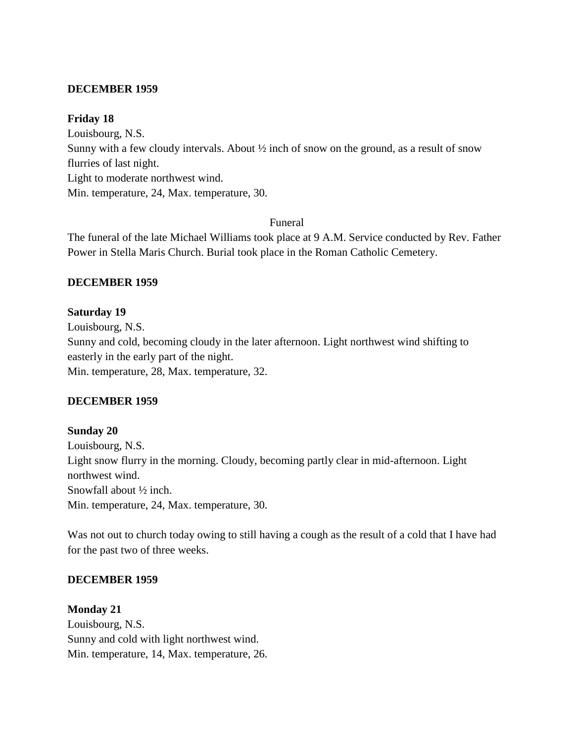#### **DECEMBER 1959**

#### **Friday 18**

Louisbourg, N.S. Sunny with a few cloudy intervals. About ½ inch of snow on the ground, as a result of snow flurries of last night. Light to moderate northwest wind. Min. temperature, 24, Max. temperature, 30.

#### Funeral

The funeral of the late Michael Williams took place at 9 A.M. Service conducted by Rev. Father Power in Stella Maris Church. Burial took place in the Roman Catholic Cemetery.

#### **DECEMBER 1959**

#### **Saturday 19**

Louisbourg, N.S. Sunny and cold, becoming cloudy in the later afternoon. Light northwest wind shifting to easterly in the early part of the night. Min. temperature, 28, Max. temperature, 32.

## **DECEMBER 1959**

# **Sunday 20** Louisbourg, N.S. Light snow flurry in the morning. Cloudy, becoming partly clear in mid-afternoon. Light northwest wind. Snowfall about ½ inch. Min. temperature, 24, Max. temperature, 30.

Was not out to church today owing to still having a cough as the result of a cold that I have had for the past two of three weeks.

## **DECEMBER 1959**

**Monday 21** Louisbourg, N.S. Sunny and cold with light northwest wind. Min. temperature, 14, Max. temperature, 26.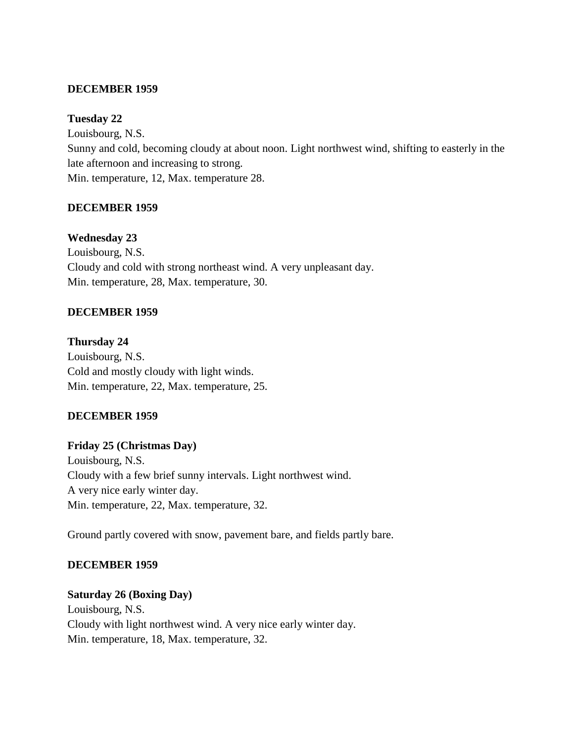#### **DECEMBER 1959**

#### **Tuesday 22**

Louisbourg, N.S. Sunny and cold, becoming cloudy at about noon. Light northwest wind, shifting to easterly in the late afternoon and increasing to strong. Min. temperature, 12, Max. temperature 28.

## **DECEMBER 1959**

## **Wednesday 23**

Louisbourg, N.S. Cloudy and cold with strong northeast wind. A very unpleasant day. Min. temperature, 28, Max. temperature, 30.

## **DECEMBER 1959**

**Thursday 24** Louisbourg, N.S. Cold and mostly cloudy with light winds. Min. temperature, 22, Max. temperature, 25.

## **DECEMBER 1959**

## **Friday 25 (Christmas Day)**

Louisbourg, N.S. Cloudy with a few brief sunny intervals. Light northwest wind. A very nice early winter day. Min. temperature, 22, Max. temperature, 32.

Ground partly covered with snow, pavement bare, and fields partly bare.

#### **DECEMBER 1959**

#### **Saturday 26 (Boxing Day)**

Louisbourg, N.S. Cloudy with light northwest wind. A very nice early winter day. Min. temperature, 18, Max. temperature, 32.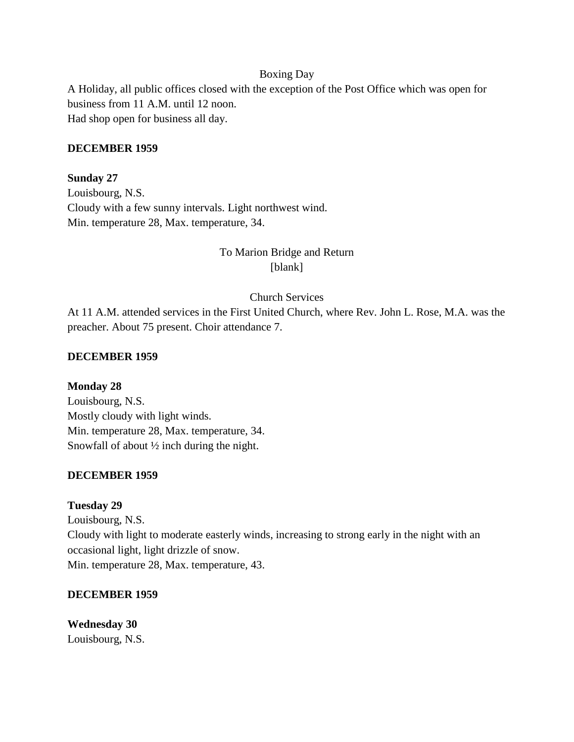#### Boxing Day

A Holiday, all public offices closed with the exception of the Post Office which was open for business from 11 A.M. until 12 noon. Had shop open for business all day.

#### **DECEMBER 1959**

**Sunday 27** Louisbourg, N.S. Cloudy with a few sunny intervals. Light northwest wind. Min. temperature 28, Max. temperature, 34.

# To Marion Bridge and Return [blank]

#### Church Services

At 11 A.M. attended services in the First United Church, where Rev. John L. Rose, M.A. was the preacher. About 75 present. Choir attendance 7.

#### **DECEMBER 1959**

**Monday 28** Louisbourg, N.S. Mostly cloudy with light winds. Min. temperature 28, Max. temperature, 34. Snowfall of about ½ inch during the night.

#### **DECEMBER 1959**

#### **Tuesday 29**

Louisbourg, N.S. Cloudy with light to moderate easterly winds, increasing to strong early in the night with an occasional light, light drizzle of snow. Min. temperature 28, Max. temperature, 43.

#### **DECEMBER 1959**

**Wednesday 30** Louisbourg, N.S.